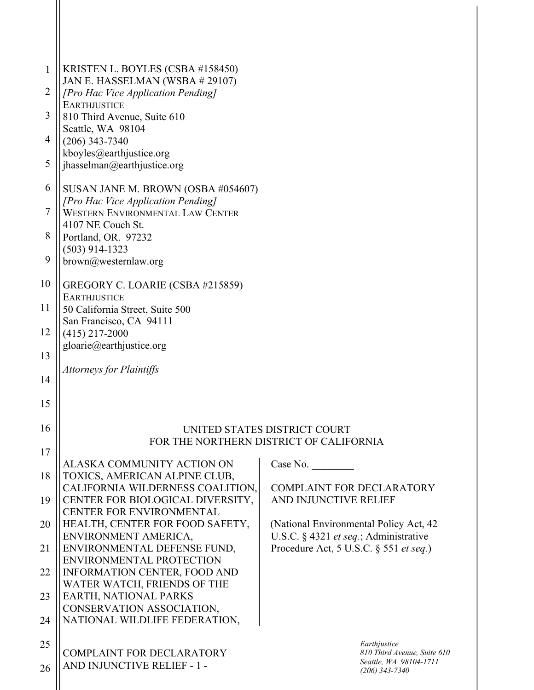| $\mathbf{1}$   | KRISTEN L. BOYLES (CSBA #158450)                                                                 |                                                                                 |  |
|----------------|--------------------------------------------------------------------------------------------------|---------------------------------------------------------------------------------|--|
| $\overline{2}$ | JAN E. HASSELMAN (WSBA # 29107)<br>[Pro Hac Vice Application Pending]                            |                                                                                 |  |
| 3              | <b>EARTHJUSTICE</b><br>810 Third Avenue, Suite 610                                               |                                                                                 |  |
| $\overline{4}$ | Seattle, WA 98104<br>$(206)$ 343-7340                                                            |                                                                                 |  |
| 5              | kboyles@earthjustice.org<br>jhasselman@earthjustice.org                                          |                                                                                 |  |
| 6              | SUSAN JANE M. BROWN (OSBA #054607)                                                               |                                                                                 |  |
| $\overline{7}$ | [Pro Hac Vice Application Pending]<br><b>WESTERN ENVIRONMENTAL LAW CENTER</b>                    |                                                                                 |  |
| 8              | 4107 NE Couch St.<br>Portland, OR. 97232                                                         |                                                                                 |  |
| 9              | $(503)$ 914-1323<br>brown@westernlaw.org                                                         |                                                                                 |  |
| 10             | GREGORY C. LOARIE (CSBA #215859)                                                                 |                                                                                 |  |
| 11             | <b>EARTHJUSTICE</b><br>50 California Street, Suite 500                                           |                                                                                 |  |
| 12             | San Francisco, CA 94111<br>$(415)$ 217-2000                                                      |                                                                                 |  |
| 13             | gloarie@earthjustice.org                                                                         |                                                                                 |  |
| 14             | <b>Attorneys for Plaintiffs</b>                                                                  |                                                                                 |  |
| 15             |                                                                                                  |                                                                                 |  |
| 16             | UNITED STATES DISTRICT COURT                                                                     |                                                                                 |  |
| 17             |                                                                                                  | FOR THE NORTHERN DISTRICT OF CALIFORNIA                                         |  |
| 18             | ALASKA COMMUNITY ACTION ON<br>TOXICS, AMERICAN ALPINE CLUB,                                      | Case No.                                                                        |  |
| 19             | CALIFORNIA WILDERNESS COALITION,<br>CENTER FOR BIOLOGICAL DIVERSITY,<br>CENTER FOR ENVIRONMENTAL | <b>COMPLAINT FOR DECLARATORY</b><br>AND INJUNCTIVE RELIEF                       |  |
| 20             | HEALTH, CENTER FOR FOOD SAFETY,                                                                  | (National Environmental Policy Act, 42)                                         |  |
| 21             | ENVIRONMENT AMERICA,<br>ENVIRONMENTAL DEFENSE FUND,                                              | U.S.C. § 4321 et seq.; Administrative<br>Procedure Act, 5 U.S.C. § 551 et seq.) |  |
| 22             | ENVIRONMENTAL PROTECTION<br><b>INFORMATION CENTER, FOOD AND</b>                                  |                                                                                 |  |
| 23             | WATER WATCH, FRIENDS OF THE<br>EARTH, NATIONAL PARKS                                             |                                                                                 |  |
| 24             | CONSERVATION ASSOCIATION,<br>NATIONAL WILDLIFE FEDERATION,                                       |                                                                                 |  |
| 25             |                                                                                                  | Earthjustice                                                                    |  |
| 26             | <b>COMPLAINT FOR DECLARATORY</b><br>AND INJUNCTIVE RELIEF - 1 -                                  | 810 Third Avenue, Suite 610<br>Seattle, WA 98104-1711<br>$(206)$ 343-7340       |  |
|                |                                                                                                  |                                                                                 |  |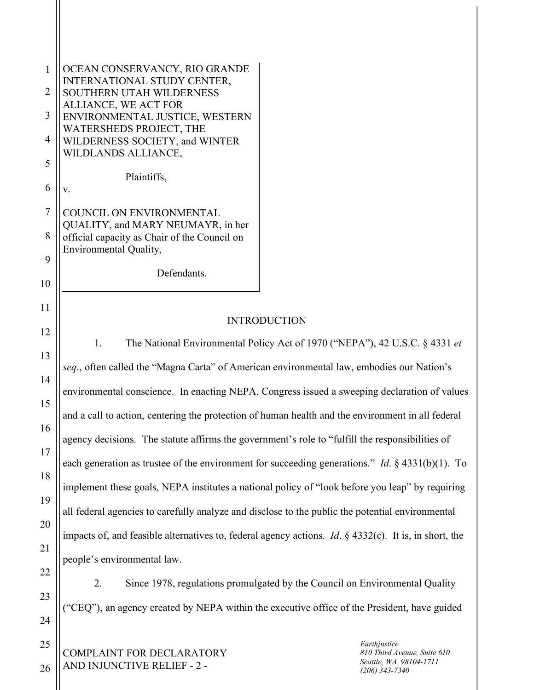| $\mathbf{1}$   | OCEAN CONSERVANCY, RIO GRANDE                                                                                   |  |                                                                           |  |
|----------------|-----------------------------------------------------------------------------------------------------------------|--|---------------------------------------------------------------------------|--|
| $\overline{2}$ | INTERNATIONAL STUDY CENTER,<br>SOUTHERN UTAH WILDERNESS                                                         |  |                                                                           |  |
| 3              | ALLIANCE, WE ACT FOR<br>ENVIRONMENTAL JUSTICE, WESTERN<br>WATERSHEDS PROJECT, THE                               |  |                                                                           |  |
| 4              | WILDERNESS SOCIETY, and WINTER<br>WILDLANDS ALLIANCE,                                                           |  |                                                                           |  |
| 5              | Plaintiffs,                                                                                                     |  |                                                                           |  |
| 6              | V.                                                                                                              |  |                                                                           |  |
| $\overline{7}$ | COUNCIL ON ENVIRONMENTAL<br>QUALITY, and MARY NEUMAYR, in her                                                   |  |                                                                           |  |
| 8              | official capacity as Chair of the Council on<br>Environmental Quality,                                          |  |                                                                           |  |
| 9              | Defendants.                                                                                                     |  |                                                                           |  |
| 10             |                                                                                                                 |  |                                                                           |  |
| 11             | <b>INTRODUCTION</b>                                                                                             |  |                                                                           |  |
| 12             | 1.<br>The National Environmental Policy Act of 1970 ("NEPA"), 42 U.S.C. § 4331 et                               |  |                                                                           |  |
| 13             | seq., often called the "Magna Carta" of American environmental law, embodies our Nation's                       |  |                                                                           |  |
| 14             | environmental conscience. In enacting NEPA, Congress issued a sweeping declaration of values                    |  |                                                                           |  |
| 15<br>16       | and a call to action, centering the protection of human health and the environment in all federal               |  |                                                                           |  |
| 17             | agency decisions. The statute affirms the government's role to "fulfill the responsibilities of                 |  |                                                                           |  |
| 18             | each generation as trustee of the environment for succeeding generations." <i>Id.</i> $\S$ 4331(b)(1). To       |  |                                                                           |  |
| 19             | implement these goals, NEPA institutes a national policy of "look before you leap" by requiring                 |  |                                                                           |  |
| 20             | all federal agencies to carefully analyze and disclose to the public the potential environmental                |  |                                                                           |  |
| 21             | impacts of, and feasible alternatives to, federal agency actions. <i>Id.</i> $\S$ 4332(c). It is, in short, the |  |                                                                           |  |
| 22             | people's environmental law.                                                                                     |  |                                                                           |  |
| 23             | Since 1978, regulations promulgated by the Council on Environmental Quality<br>2.                               |  |                                                                           |  |
| 24             | ("CEQ"), an agency created by NEPA within the executive office of the President, have guided                    |  |                                                                           |  |
| 25             |                                                                                                                 |  | Earthjustice                                                              |  |
| 26             | COMPLAINT FOR DECLARATORY<br>AND INJUNCTIVE RELIEF - 2 -                                                        |  | 810 Third Avenue, Suite 610<br>Seattle, WA 98104-1711<br>$(206)$ 343-7340 |  |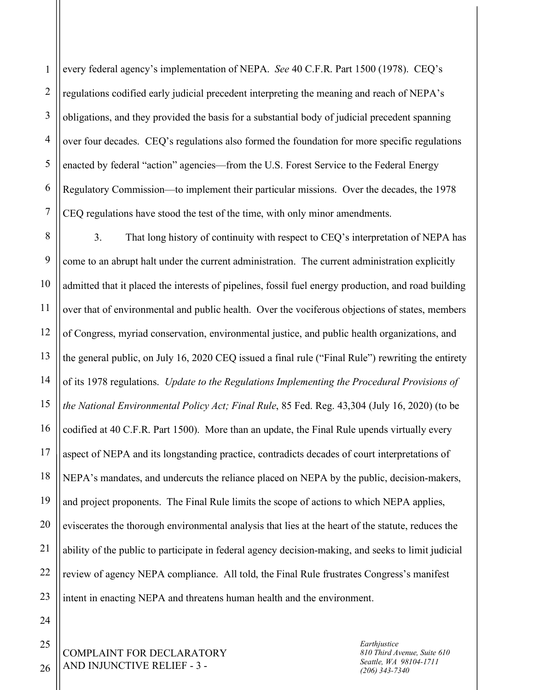1 2 3 4 5 6 7 every federal agency's implementation of NEPA. *See* 40 C.F.R. Part 1500 (1978). CEQ's regulations codified early judicial precedent interpreting the meaning and reach of NEPA's obligations, and they provided the basis for a substantial body of judicial precedent spanning over four decades. CEQ's regulations also formed the foundation for more specific regulations enacted by federal "action" agencies—from the U.S. Forest Service to the Federal Energy Regulatory Commission—to implement their particular missions. Over the decades, the 1978 CEQ regulations have stood the test of the time, with only minor amendments.

8 9 10 11 12 13 14 15 16 17 18 19 20 21 22 23 3. That long history of continuity with respect to CEQ's interpretation of NEPA has come to an abrupt halt under the current administration. The current administration explicitly admitted that it placed the interests of pipelines, fossil fuel energy production, and road building over that of environmental and public health. Over the vociferous objections of states, members of Congress, myriad conservation, environmental justice, and public health organizations, and the general public, on July 16, 2020 CEQ issued a final rule ("Final Rule") rewriting the entirety of its 1978 regulations. *Update to the Regulations Implementing the Procedural Provisions of the National Environmental Policy Act; Final Rule*, 85 Fed. Reg. 43,304 (July 16, 2020) (to be codified at 40 C.F.R. Part 1500). More than an update, the Final Rule upends virtually every aspect of NEPA and its longstanding practice, contradicts decades of court interpretations of NEPA's mandates, and undercuts the reliance placed on NEPA by the public, decision-makers, and project proponents. The Final Rule limits the scope of actions to which NEPA applies, eviscerates the thorough environmental analysis that lies at the heart of the statute, reduces the ability of the public to participate in federal agency decision-making, and seeks to limit judicial review of agency NEPA compliance. All told, the Final Rule frustrates Congress's manifest intent in enacting NEPA and threatens human health and the environment.

> *Earthjustice 810 Third Avenue, Suite 610 Seattle, WA 98104-1711 (206) 343-7340*

COMPLAINT FOR DECLARATORY AND INJUNCTIVE RELIEF - 3 -

26

24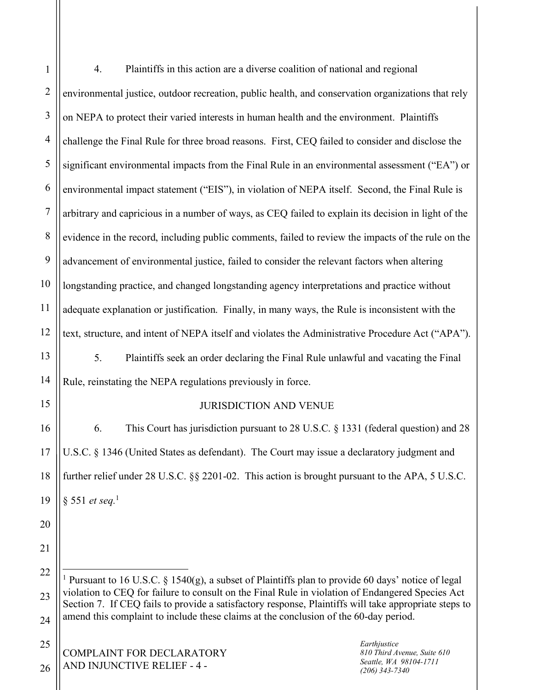| $\mathbf{1}$   | Plaintiffs in this action are a diverse coalition of national and regional<br>4.                                                                                                                                                                                                                                                                                                                                   |  |  |
|----------------|--------------------------------------------------------------------------------------------------------------------------------------------------------------------------------------------------------------------------------------------------------------------------------------------------------------------------------------------------------------------------------------------------------------------|--|--|
| $\overline{2}$ | environmental justice, outdoor recreation, public health, and conservation organizations that rely                                                                                                                                                                                                                                                                                                                 |  |  |
| 3              | on NEPA to protect their varied interests in human health and the environment. Plaintiffs                                                                                                                                                                                                                                                                                                                          |  |  |
| $\overline{4}$ | challenge the Final Rule for three broad reasons. First, CEQ failed to consider and disclose the                                                                                                                                                                                                                                                                                                                   |  |  |
| 5              | significant environmental impacts from the Final Rule in an environmental assessment ("EA") or                                                                                                                                                                                                                                                                                                                     |  |  |
| 6              | environmental impact statement ("EIS"), in violation of NEPA itself. Second, the Final Rule is                                                                                                                                                                                                                                                                                                                     |  |  |
| $\overline{7}$ | arbitrary and capricious in a number of ways, as CEQ failed to explain its decision in light of the                                                                                                                                                                                                                                                                                                                |  |  |
| 8              | evidence in the record, including public comments, failed to review the impacts of the rule on the                                                                                                                                                                                                                                                                                                                 |  |  |
| 9              | advancement of environmental justice, failed to consider the relevant factors when altering                                                                                                                                                                                                                                                                                                                        |  |  |
| 10             | longstanding practice, and changed longstanding agency interpretations and practice without                                                                                                                                                                                                                                                                                                                        |  |  |
| 11             | adequate explanation or justification. Finally, in many ways, the Rule is inconsistent with the                                                                                                                                                                                                                                                                                                                    |  |  |
| 12             | text, structure, and intent of NEPA itself and violates the Administrative Procedure Act ("APA").                                                                                                                                                                                                                                                                                                                  |  |  |
| 13             | 5.<br>Plaintiffs seek an order declaring the Final Rule unlawful and vacating the Final                                                                                                                                                                                                                                                                                                                            |  |  |
| 14             | Rule, reinstating the NEPA regulations previously in force.                                                                                                                                                                                                                                                                                                                                                        |  |  |
| 15             | <b>JURISDICTION AND VENUE</b>                                                                                                                                                                                                                                                                                                                                                                                      |  |  |
| 16             | This Court has jurisdiction pursuant to 28 U.S.C. § 1331 (federal question) and 28<br>6.                                                                                                                                                                                                                                                                                                                           |  |  |
| 17             | U.S.C. § 1346 (United States as defendant). The Court may issue a declaratory judgment and                                                                                                                                                                                                                                                                                                                         |  |  |
| 18             | further relief under 28 U.S.C. §§ 2201-02. This action is brought pursuant to the APA, 5 U.S.C.                                                                                                                                                                                                                                                                                                                    |  |  |
| 19             | § 551 et seq. <sup>1</sup>                                                                                                                                                                                                                                                                                                                                                                                         |  |  |
| 20             |                                                                                                                                                                                                                                                                                                                                                                                                                    |  |  |
| 21             |                                                                                                                                                                                                                                                                                                                                                                                                                    |  |  |
| 22             | <sup>1</sup> Pursuant to 16 U.S.C. § 1540(g), a subset of Plaintiffs plan to provide 60 days' notice of legal<br>violation to CEQ for failure to consult on the Final Rule in violation of Endangered Species Act<br>Section 7. If CEQ fails to provide a satisfactory response, Plaintiffs will take appropriate steps to<br>amend this complaint to include these claims at the conclusion of the 60-day period. |  |  |
| 23             |                                                                                                                                                                                                                                                                                                                                                                                                                    |  |  |
| 24             |                                                                                                                                                                                                                                                                                                                                                                                                                    |  |  |
| 25             | Earthjustice<br><b>COMPLAINT FOR DECLARATORY</b><br>810 Third Avenue, Suite 610                                                                                                                                                                                                                                                                                                                                    |  |  |
| 26             | Seattle, WA 98104-1711<br>AND INJUNCTIVE RELIEF - 4 -<br>$(206)$ 343-7340                                                                                                                                                                                                                                                                                                                                          |  |  |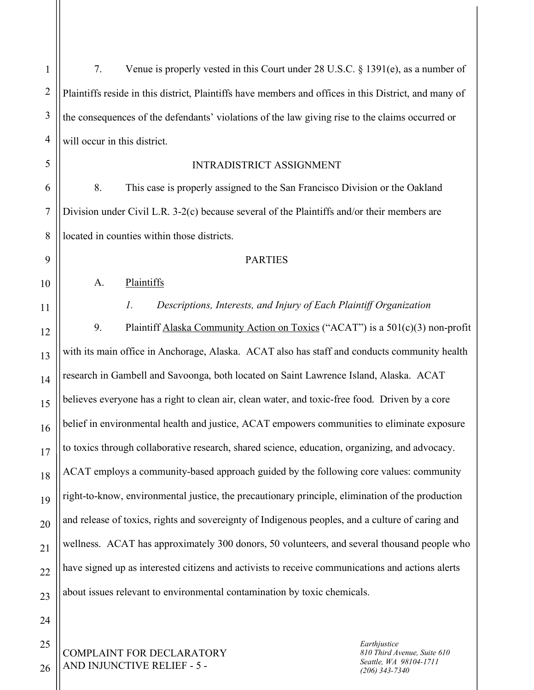26

7. Venue is properly vested in this Court under 28 U.S.C. § 1391(e), as a number of Plaintiffs reside in this district, Plaintiffs have members and offices in this District, and many of the consequences of the defendants' violations of the law giving rise to the claims occurred or will occur in this district.

## INTRADISTRICT ASSIGNMENT

8. This case is properly assigned to the San Francisco Division or the Oakland Division under Civil L.R. 3-2(c) because several of the Plaintiffs and/or their members are located in counties within those districts.

## **PARTIES**

A. Plaintiffs

## *1. Descriptions, Interests, and Injury of Each Plaintiff Organization*

9. Plaintiff Alaska Community Action on Toxics ("ACAT") is a 501(c)(3) non-profit with its main office in Anchorage, Alaska. ACAT also has staff and conducts community health research in Gambell and Savoonga, both located on Saint Lawrence Island, Alaska. ACAT believes everyone has a right to clean air, clean water, and toxic-free food. Driven by a core belief in environmental health and justice, ACAT empowers communities to eliminate exposure to toxics through collaborative research, shared science, education, organizing, and advocacy. ACAT employs a community-based approach guided by the following core values: community right-to-know, environmental justice, the precautionary principle, elimination of the production and release of toxics, rights and sovereignty of Indigenous peoples, and a culture of caring and wellness. ACAT has approximately 300 donors, 50 volunteers, and several thousand people who have signed up as interested citizens and activists to receive communications and actions alerts about issues relevant to environmental contamination by toxic chemicals.

COMPLAINT FOR DECLARATORY AND INJUNCTIVE RELIEF - 5 -

*Earthjustice 810 Third Avenue, Suite 610 Seattle, WA 98104-1711 (206) 343-7340*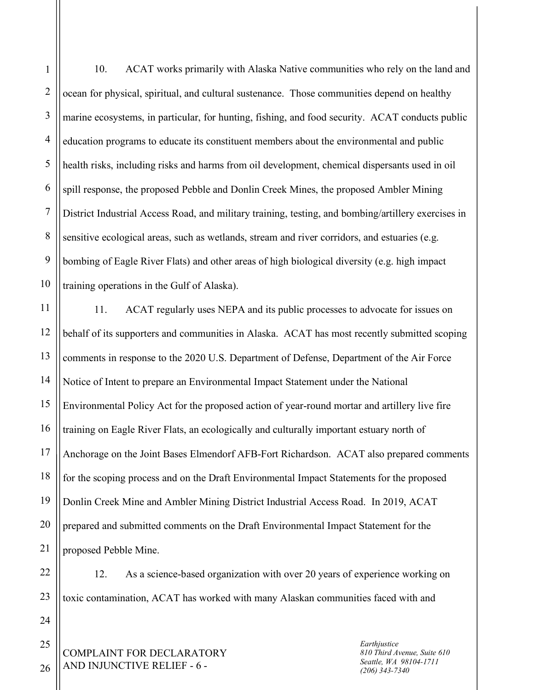1 2 3 4 5 6 7 8 9 10 11 12 10. ACAT works primarily with Alaska Native communities who rely on the land and ocean for physical, spiritual, and cultural sustenance. Those communities depend on healthy marine ecosystems, in particular, for hunting, fishing, and food security. ACAT conducts public education programs to educate its constituent members about the environmental and public health risks, including risks and harms from oil development, chemical dispersants used in oil spill response, the proposed Pebble and Donlin Creek Mines, the proposed Ambler Mining District Industrial Access Road, and military training, testing, and bombing/artillery exercises in sensitive ecological areas, such as wetlands, stream and river corridors, and estuaries (e.g. bombing of Eagle River Flats) and other areas of high biological diversity (e.g. high impact training operations in the Gulf of Alaska). 11. ACAT regularly uses NEPA and its public processes to advocate for issues on behalf of its supporters and communities in Alaska. ACAT has most recently submitted scoping

13 14 15 16 17 18 19 20 21 comments in response to the 2020 U.S. Department of Defense, Department of the Air Force Notice of Intent to prepare an Environmental Impact Statement under the National Environmental Policy Act for the proposed action of year-round mortar and artillery live fire training on Eagle River Flats, an ecologically and culturally important estuary north of Anchorage on the Joint Bases Elmendorf AFB-Fort Richardson. ACAT also prepared comments for the scoping process and on the Draft Environmental Impact Statements for the proposed Donlin Creek Mine and Ambler Mining District Industrial Access Road. In 2019, ACAT prepared and submitted comments on the Draft Environmental Impact Statement for the proposed Pebble Mine.

12. As a science-based organization with over 20 years of experience working on toxic contamination, ACAT has worked with many Alaskan communities faced with and

COMPLAINT FOR DECLARATORY AND INJUNCTIVE RELIEF - 6 -

*Earthjustice 810 Third Avenue, Suite 610 Seattle, WA 98104-1711 (206) 343-7340*

25 26

22

23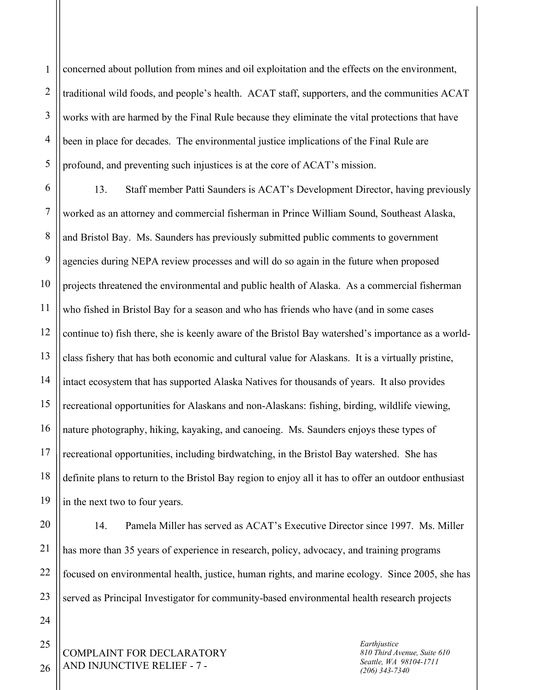1 2 3 4 5 concerned about pollution from mines and oil exploitation and the effects on the environment, traditional wild foods, and people's health. ACAT staff, supporters, and the communities ACAT works with are harmed by the Final Rule because they eliminate the vital protections that have been in place for decades. The environmental justice implications of the Final Rule are profound, and preventing such injustices is at the core of ACAT's mission.

6 7 8 9 10 11 12 13 14 15 16 17 18 19 13. Staff member Patti Saunders is ACAT's Development Director, having previously worked as an attorney and commercial fisherman in Prince William Sound, Southeast Alaska, and Bristol Bay. Ms. Saunders has previously submitted public comments to government agencies during NEPA review processes and will do so again in the future when proposed projects threatened the environmental and public health of Alaska. As a commercial fisherman who fished in Bristol Bay for a season and who has friends who have (and in some cases continue to) fish there, she is keenly aware of the Bristol Bay watershed's importance as a worldclass fishery that has both economic and cultural value for Alaskans. It is a virtually pristine, intact ecosystem that has supported Alaska Natives for thousands of years. It also provides recreational opportunities for Alaskans and non-Alaskans: fishing, birding, wildlife viewing, nature photography, hiking, kayaking, and canoeing. Ms. Saunders enjoys these types of recreational opportunities, including birdwatching, in the Bristol Bay watershed. She has definite plans to return to the Bristol Bay region to enjoy all it has to offer an outdoor enthusiast in the next two to four years.

20 21 22 23 14. Pamela Miller has served as ACAT's Executive Director since 1997. Ms. Miller has more than 35 years of experience in research, policy, advocacy, and training programs focused on environmental health, justice, human rights, and marine ecology. Since 2005, she has served as Principal Investigator for community-based environmental health research projects

COMPLAINT FOR DECLARATORY AND INJUNCTIVE RELIEF - 7 -

*Earthjustice 810 Third Avenue, Suite 610 Seattle, WA 98104-1711 (206) 343-7340*

26

24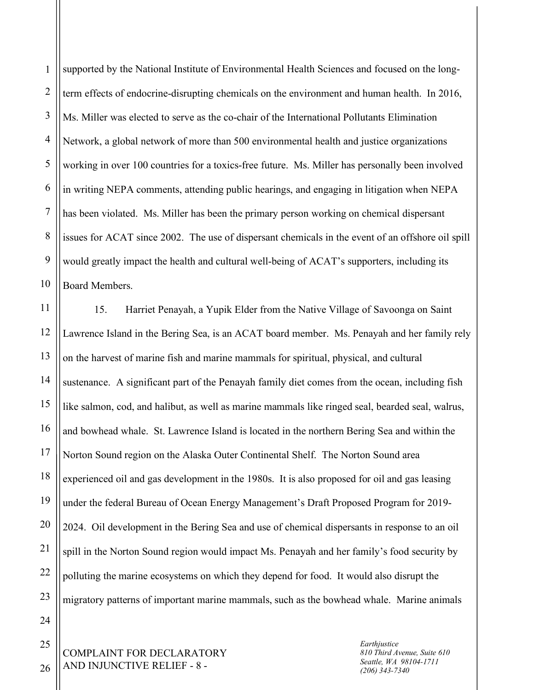1 2 3 4 5 6 7 8 9 10 supported by the National Institute of Environmental Health Sciences and focused on the longterm effects of endocrine-disrupting chemicals on the environment and human health. In 2016, Ms. Miller was elected to serve as the co-chair of the International Pollutants Elimination Network, a global network of more than 500 environmental health and justice organizations working in over 100 countries for a toxics-free future. Ms. Miller has personally been involved in writing NEPA comments, attending public hearings, and engaging in litigation when NEPA has been violated. Ms. Miller has been the primary person working on chemical dispersant issues for ACAT since 2002. The use of dispersant chemicals in the event of an offshore oil spill would greatly impact the health and cultural well-being of ACAT's supporters, including its Board Members.

11 12 13 14 15 16 17 18 19 20 21 22 23 24 15. Harriet Penayah, a Yupik Elder from the Native Village of Savoonga on Saint Lawrence Island in the Bering Sea, is an ACAT board member. Ms. Penayah and her family rely on the harvest of marine fish and marine mammals for spiritual, physical, and cultural sustenance. A significant part of the Penayah family diet comes from the ocean, including fish like salmon, cod, and halibut, as well as marine mammals like ringed seal, bearded seal, walrus, and bowhead whale. St. Lawrence Island is located in the northern Bering Sea and within the Norton Sound region on the Alaska Outer Continental Shelf. The Norton Sound area experienced oil and gas development in the 1980s. It is also proposed for oil and gas leasing under the federal Bureau of Ocean Energy Management's Draft Proposed Program for 2019- 2024. Oil development in the Bering Sea and use of chemical dispersants in response to an oil spill in the Norton Sound region would impact Ms. Penayah and her family's food security by polluting the marine ecosystems on which they depend for food. It would also disrupt the migratory patterns of important marine mammals, such as the bowhead whale. Marine animals

COMPLAINT FOR DECLARATORY AND INJUNCTIVE RELIEF - 8 -

*Earthjustice 810 Third Avenue, Suite 610 Seattle, WA 98104-1711 (206) 343-7340*

26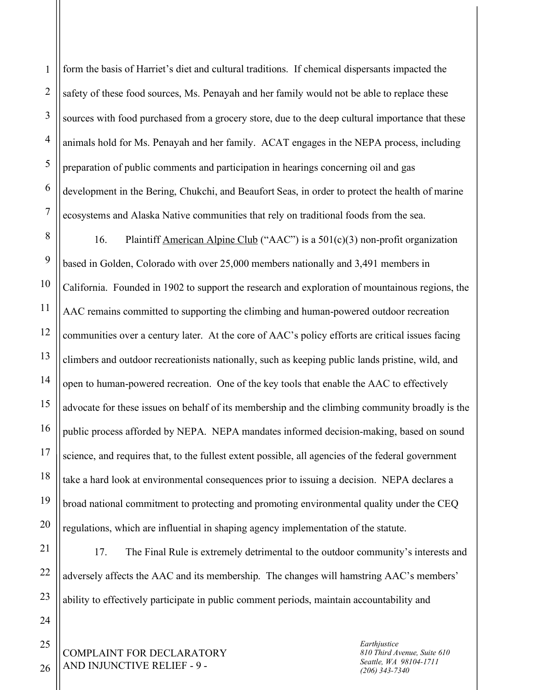2 3 4 5 6 form the basis of Harriet's diet and cultural traditions. If chemical dispersants impacted the safety of these food sources, Ms. Penayah and her family would not be able to replace these sources with food purchased from a grocery store, due to the deep cultural importance that these animals hold for Ms. Penayah and her family. ACAT engages in the NEPA process, including preparation of public comments and participation in hearings concerning oil and gas development in the Bering, Chukchi, and Beaufort Seas, in order to protect the health of marine ecosystems and Alaska Native communities that rely on traditional foods from the sea.

8 9 10 11 12 13 14 15 16 17 18 19 20 16. Plaintiff American Alpine Club ("AAC") is a 501(c)(3) non-profit organization based in Golden, Colorado with over 25,000 members nationally and 3,491 members in California. Founded in 1902 to support the research and exploration of mountainous regions, the AAC remains committed to supporting the climbing and human-powered outdoor recreation communities over a century later. At the core of AAC's policy efforts are critical issues facing climbers and outdoor recreationists nationally, such as keeping public lands pristine, wild, and open to human-powered recreation. One of the key tools that enable the AAC to effectively advocate for these issues on behalf of its membership and the climbing community broadly is the public process afforded by NEPA. NEPA mandates informed decision-making, based on sound science, and requires that, to the fullest extent possible, all agencies of the federal government take a hard look at environmental consequences prior to issuing a decision. NEPA declares a broad national commitment to protecting and promoting environmental quality under the CEQ regulations, which are influential in shaping agency implementation of the statute.

17. The Final Rule is extremely detrimental to the outdoor community's interests and adversely affects the AAC and its membership. The changes will hamstring AAC's members' ability to effectively participate in public comment periods, maintain accountability and

COMPLAINT FOR DECLARATORY AND INJUNCTIVE RELIEF - 9 -

*Earthjustice 810 Third Avenue, Suite 610 Seattle, WA 98104-1711 (206) 343-7340*

26

25

21

22

23

24

1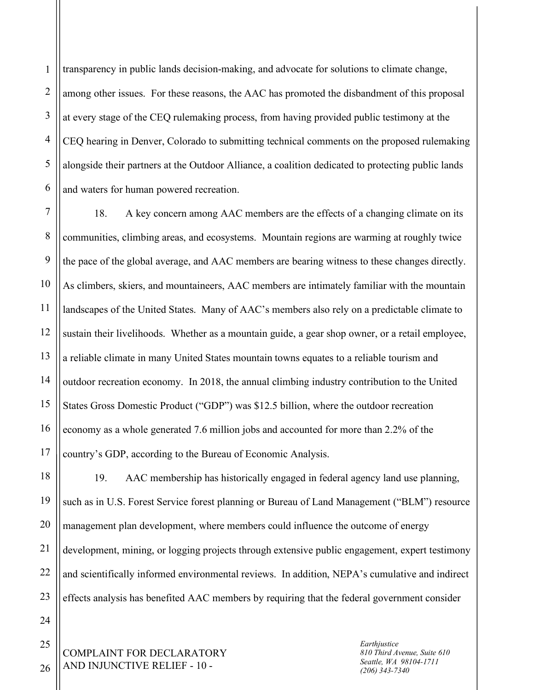1 2 3 4 5 6 transparency in public lands decision-making, and advocate for solutions to climate change, among other issues. For these reasons, the AAC has promoted the disbandment of this proposal at every stage of the CEQ rulemaking process, from having provided public testimony at the CEQ hearing in Denver, Colorado to submitting technical comments on the proposed rulemaking alongside their partners at the Outdoor Alliance, a coalition dedicated to protecting public lands and waters for human powered recreation.

7 8 9 10 11 12 13 14 15 16 17 18. A key concern among AAC members are the effects of a changing climate on its communities, climbing areas, and ecosystems. Mountain regions are warming at roughly twice the pace of the global average, and AAC members are bearing witness to these changes directly. As climbers, skiers, and mountaineers, AAC members are intimately familiar with the mountain landscapes of the United States. Many of AAC's members also rely on a predictable climate to sustain their livelihoods. Whether as a mountain guide, a gear shop owner, or a retail employee, a reliable climate in many United States mountain towns equates to a reliable tourism and outdoor recreation economy. In 2018, the annual climbing industry contribution to the United States Gross Domestic Product ("GDP") was \$12.5 billion, where the outdoor recreation economy as a whole generated 7.6 million jobs and accounted for more than 2.2% of the country's GDP, according to the Bureau of Economic Analysis.

18 19 20 21 22 23 19. AAC membership has historically engaged in federal agency land use planning, such as in U.S. Forest Service forest planning or Bureau of Land Management ("BLM") resource management plan development, where members could influence the outcome of energy development, mining, or logging projects through extensive public engagement, expert testimony and scientifically informed environmental reviews. In addition, NEPA's cumulative and indirect effects analysis has benefited AAC members by requiring that the federal government consider

COMPLAINT FOR DECLARATORY AND INJUNCTIVE RELIEF - 10 -

24

25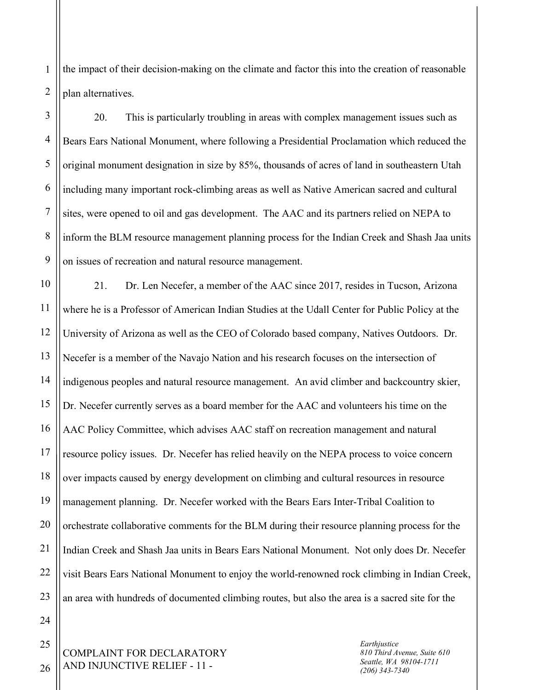1 2 the impact of their decision-making on the climate and factor this into the creation of reasonable plan alternatives.

3 4 5 6 7 8 9 20. This is particularly troubling in areas with complex management issues such as Bears Ears National Monument, where following a Presidential Proclamation which reduced the original monument designation in size by 85%, thousands of acres of land in southeastern Utah including many important rock-climbing areas as well as Native American sacred and cultural sites, were opened to oil and gas development. The AAC and its partners relied on NEPA to inform the BLM resource management planning process for the Indian Creek and Shash Jaa units on issues of recreation and natural resource management.

10 11 12 13 14 15 16 17 18 19 20 21 22 23 21. Dr. Len Necefer, a member of the AAC since 2017, resides in Tucson, Arizona where he is a Professor of American Indian Studies at the Udall Center for Public Policy at the University of Arizona as well as the CEO of Colorado based company, Natives Outdoors. Dr. Necefer is a member of the Navajo Nation and his research focuses on the intersection of indigenous peoples and natural resource management. An avid climber and backcountry skier, Dr. Necefer currently serves as a board member for the AAC and volunteers his time on the AAC Policy Committee, which advises AAC staff on recreation management and natural resource policy issues. Dr. Necefer has relied heavily on the NEPA process to voice concern over impacts caused by energy development on climbing and cultural resources in resource management planning. Dr. Necefer worked with the Bears Ears Inter-Tribal Coalition to orchestrate collaborative comments for the BLM during their resource planning process for the Indian Creek and Shash Jaa units in Bears Ears National Monument. Not only does Dr. Necefer visit Bears Ears National Monument to enjoy the world-renowned rock climbing in Indian Creek, an area with hundreds of documented climbing routes, but also the area is a sacred site for the

COMPLAINT FOR DECLARATORY AND INJUNCTIVE RELIEF - 11 -

24

25

26

*Earthjustice 810 Third Avenue, Suite 610 Seattle, WA 98104-1711 (206) 343-7340*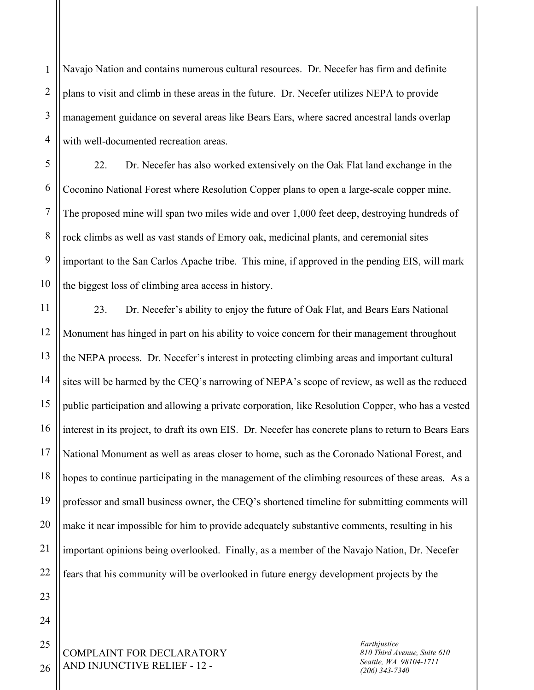1 2 3 4 Navajo Nation and contains numerous cultural resources. Dr. Necefer has firm and definite plans to visit and climb in these areas in the future. Dr. Necefer utilizes NEPA to provide management guidance on several areas like Bears Ears, where sacred ancestral lands overlap with well-documented recreation areas.

5 6 7 8 9 10 22. Dr. Necefer has also worked extensively on the Oak Flat land exchange in the Coconino National Forest where Resolution Copper plans to open a large-scale copper mine. The proposed mine will span two miles wide and over 1,000 feet deep, destroying hundreds of rock climbs as well as vast stands of Emory oak, medicinal plants, and ceremonial sites important to the San Carlos Apache tribe. This mine, if approved in the pending EIS, will mark the biggest loss of climbing area access in history.

11 12 13 14 15 16 17 18 19 20 21 22 23. Dr. Necefer's ability to enjoy the future of Oak Flat, and Bears Ears National Monument has hinged in part on his ability to voice concern for their management throughout the NEPA process. Dr. Necefer's interest in protecting climbing areas and important cultural sites will be harmed by the CEQ's narrowing of NEPA's scope of review, as well as the reduced public participation and allowing a private corporation, like Resolution Copper, who has a vested interest in its project, to draft its own EIS. Dr. Necefer has concrete plans to return to Bears Ears National Monument as well as areas closer to home, such as the Coronado National Forest, and hopes to continue participating in the management of the climbing resources of these areas. As a professor and small business owner, the CEQ's shortened timeline for submitting comments will make it near impossible for him to provide adequately substantive comments, resulting in his important opinions being overlooked. Finally, as a member of the Navajo Nation, Dr. Necefer fears that his community will be overlooked in future energy development projects by the

COMPLAINT FOR DECLARATORY AND INJUNCTIVE RELIEF - 12 -

*Earthjustice 810 Third Avenue, Suite 610 Seattle, WA 98104-1711 (206) 343-7340*

26

23

24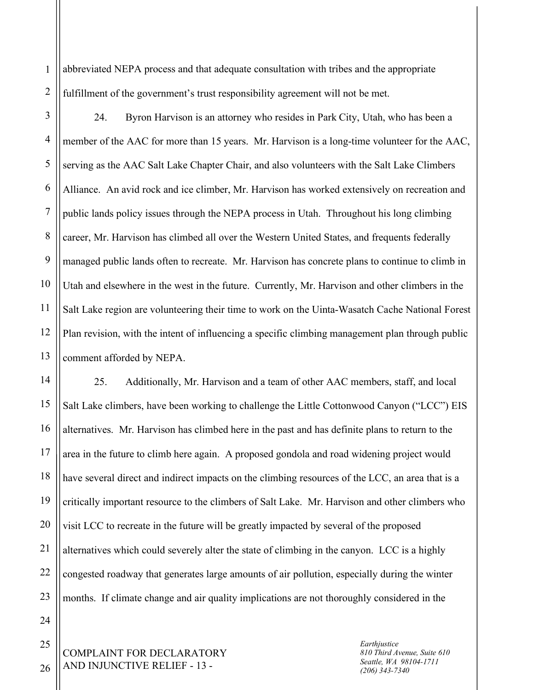1 2 abbreviated NEPA process and that adequate consultation with tribes and the appropriate fulfillment of the government's trust responsibility agreement will not be met.

3 4 5 6 7 8 9 10 11 12 13 24. Byron Harvison is an attorney who resides in Park City, Utah, who has been a member of the AAC for more than 15 years. Mr. Harvison is a long-time volunteer for the AAC, serving as the AAC Salt Lake Chapter Chair, and also volunteers with the Salt Lake Climbers Alliance. An avid rock and ice climber, Mr. Harvison has worked extensively on recreation and public lands policy issues through the NEPA process in Utah. Throughout his long climbing career, Mr. Harvison has climbed all over the Western United States, and frequents federally managed public lands often to recreate. Mr. Harvison has concrete plans to continue to climb in Utah and elsewhere in the west in the future. Currently, Mr. Harvison and other climbers in the Salt Lake region are volunteering their time to work on the Uinta-Wasatch Cache National Forest Plan revision, with the intent of influencing a specific climbing management plan through public comment afforded by NEPA.

14 15 16 17 18 19 20 21 22 23 25. Additionally, Mr. Harvison and a team of other AAC members, staff, and local Salt Lake climbers, have been working to challenge the Little Cottonwood Canyon ("LCC") EIS alternatives. Mr. Harvison has climbed here in the past and has definite plans to return to the area in the future to climb here again. A proposed gondola and road widening project would have several direct and indirect impacts on the climbing resources of the LCC, an area that is a critically important resource to the climbers of Salt Lake. Mr. Harvison and other climbers who visit LCC to recreate in the future will be greatly impacted by several of the proposed alternatives which could severely alter the state of climbing in the canyon. LCC is a highly congested roadway that generates large amounts of air pollution, especially during the winter months. If climate change and air quality implications are not thoroughly considered in the

COMPLAINT FOR DECLARATORY AND INJUNCTIVE RELIEF - 13 -

*Earthjustice 810 Third Avenue, Suite 610 Seattle, WA 98104-1711 (206) 343-7340*

25

26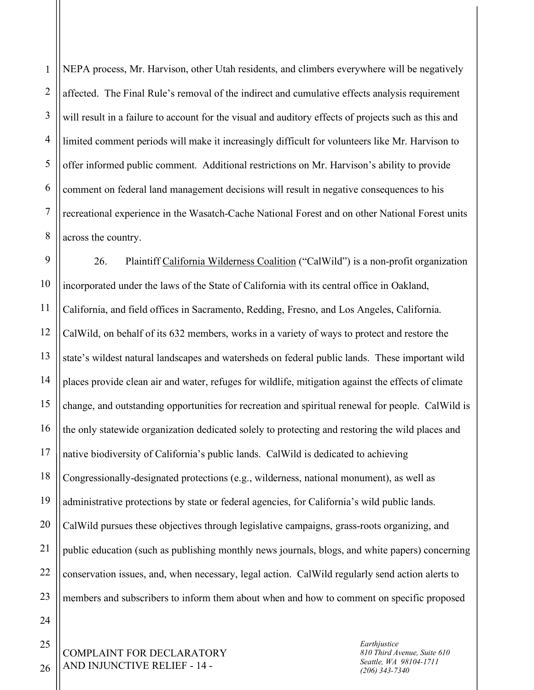1 2 3 4 5 6 7 8 NEPA process, Mr. Harvison, other Utah residents, and climbers everywhere will be negatively affected. The Final Rule's removal of the indirect and cumulative effects analysis requirement will result in a failure to account for the visual and auditory effects of projects such as this and limited comment periods will make it increasingly difficult for volunteers like Mr. Harvison to offer informed public comment. Additional restrictions on Mr. Harvison's ability to provide comment on federal land management decisions will result in negative consequences to his recreational experience in the Wasatch-Cache National Forest and on other National Forest units across the country.

9 10 11 12 13 14 15 16 17 18 19 20 21 22 23 26. Plaintiff California Wilderness Coalition ("CalWild") is a non-profit organization incorporated under the laws of the State of California with its central office in Oakland, California, and field offices in Sacramento, Redding, Fresno, and Los Angeles, California. CalWild, on behalf of its 632 members, works in a variety of ways to protect and restore the state's wildest natural landscapes and watersheds on federal public lands. These important wild places provide clean air and water, refuges for wildlife, mitigation against the effects of climate change, and outstanding opportunities for recreation and spiritual renewal for people. CalWild is the only statewide organization dedicated solely to protecting and restoring the wild places and native biodiversity of California's public lands. CalWild is dedicated to achieving Congressionally-designated protections (e.g., wilderness, national monument), as well as administrative protections by state or federal agencies, for California's wild public lands. CalWild pursues these objectives through legislative campaigns, grass-roots organizing, and public education (such as publishing monthly news journals, blogs, and white papers) concerning conservation issues, and, when necessary, legal action. CalWild regularly send action alerts to members and subscribers to inform them about when and how to comment on specific proposed

*Earthjustice 810 Third Avenue, Suite 610 Seattle, WA 98104-1711 (206) 343-7340*

26

24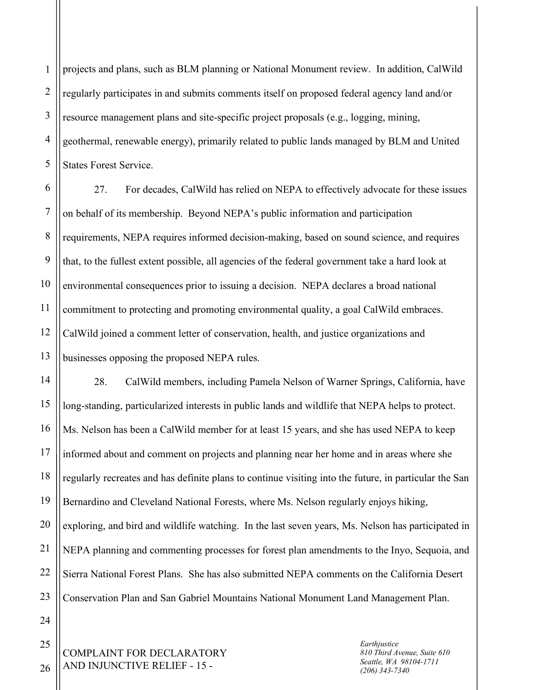1 2 3 4 5 projects and plans, such as BLM planning or National Monument review. In addition, CalWild regularly participates in and submits comments itself on proposed federal agency land and/or resource management plans and site-specific project proposals (e.g., logging, mining, geothermal, renewable energy), primarily related to public lands managed by BLM and United States Forest Service.

6 7 8 9 10 11 12 13 27. For decades, CalWild has relied on NEPA to effectively advocate for these issues on behalf of its membership. Beyond NEPA's public information and participation requirements, NEPA requires informed decision-making, based on sound science, and requires that, to the fullest extent possible, all agencies of the federal government take a hard look at environmental consequences prior to issuing a decision. NEPA declares a broad national commitment to protecting and promoting environmental quality, a goal CalWild embraces. CalWild joined a comment letter of conservation, health, and justice organizations and businesses opposing the proposed NEPA rules.

14 15 16 17 18 19 20 21 22 23 28. CalWild members, including Pamela Nelson of Warner Springs, California, have long-standing, particularized interests in public lands and wildlife that NEPA helps to protect. Ms. Nelson has been a CalWild member for at least 15 years, and she has used NEPA to keep informed about and comment on projects and planning near her home and in areas where she regularly recreates and has definite plans to continue visiting into the future, in particular the San Bernardino and Cleveland National Forests, where Ms. Nelson regularly enjoys hiking, exploring, and bird and wildlife watching. In the last seven years, Ms. Nelson has participated in NEPA planning and commenting processes for forest plan amendments to the Inyo, Sequoia, and Sierra National Forest Plans. She has also submitted NEPA comments on the California Desert Conservation Plan and San Gabriel Mountains National Monument Land Management Plan.

COMPLAINT FOR DECLARATORY AND INJUNCTIVE RELIEF - 15 -

*Earthjustice 810 Third Avenue, Suite 610 Seattle, WA 98104-1711 (206) 343-7340*

26

24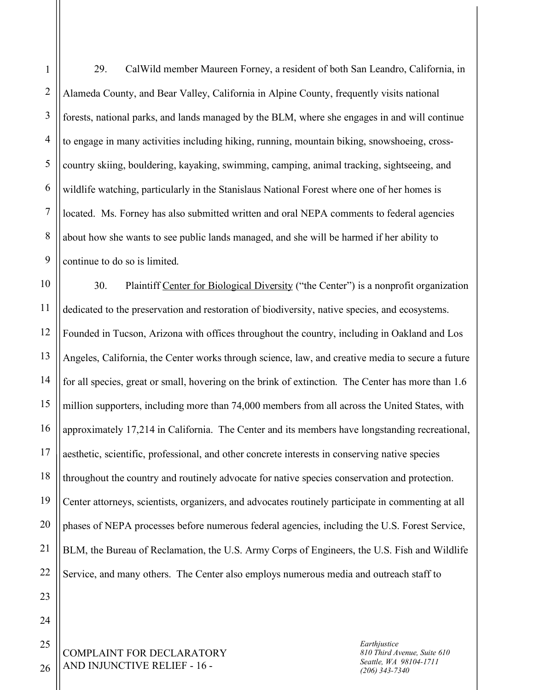2 3 4 5 6 7 8 9 29. CalWild member Maureen Forney, a resident of both San Leandro, California, in Alameda County, and Bear Valley, California in Alpine County, frequently visits national forests, national parks, and lands managed by the BLM, where she engages in and will continue to engage in many activities including hiking, running, mountain biking, snowshoeing, crosscountry skiing, bouldering, kayaking, swimming, camping, animal tracking, sightseeing, and wildlife watching, particularly in the Stanislaus National Forest where one of her homes is located. Ms. Forney has also submitted written and oral NEPA comments to federal agencies about how she wants to see public lands managed, and she will be harmed if her ability to continue to do so is limited.

10 11 12 13 14 15 16 17 18 19 20 21 22 30. Plaintiff Center for Biological Diversity ("the Center") is a nonprofit organization dedicated to the preservation and restoration of biodiversity, native species, and ecosystems. Founded in Tucson, Arizona with offices throughout the country, including in Oakland and Los Angeles, California, the Center works through science, law, and creative media to secure a future for all species, great or small, hovering on the brink of extinction. The Center has more than 1.6 million supporters, including more than 74,000 members from all across the United States, with approximately 17,214 in California. The Center and its members have longstanding recreational, aesthetic, scientific, professional, and other concrete interests in conserving native species throughout the country and routinely advocate for native species conservation and protection. Center attorneys, scientists, organizers, and advocates routinely participate in commenting at all phases of NEPA processes before numerous federal agencies, including the U.S. Forest Service, BLM, the Bureau of Reclamation, the U.S. Army Corps of Engineers, the U.S. Fish and Wildlife Service, and many others. The Center also employs numerous media and outreach staff to

COMPLAINT FOR DECLARATORY AND INJUNCTIVE RELIEF - 16 -

*Earthjustice 810 Third Avenue, Suite 610 Seattle, WA 98104-1711 (206) 343-7340*

26

23

24

25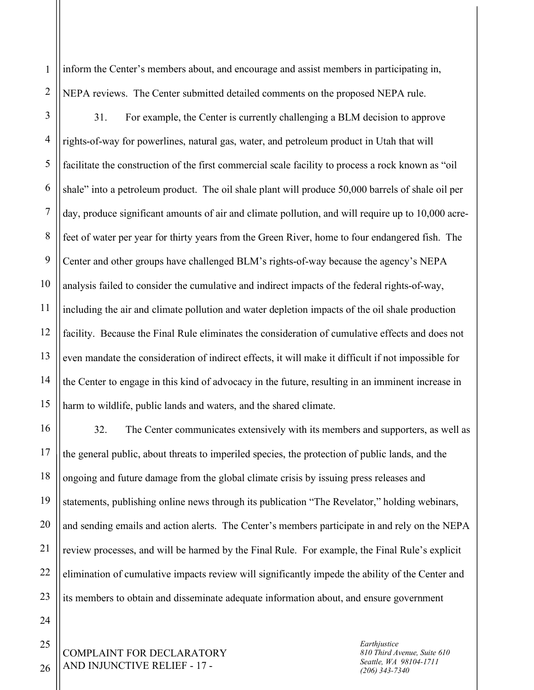1 2 inform the Center's members about, and encourage and assist members in participating in, NEPA reviews. The Center submitted detailed comments on the proposed NEPA rule.

3 4 5 6 7 8 9 10 11 12 13 14 15 31. For example, the Center is currently challenging a BLM decision to approve rights-of-way for powerlines, natural gas, water, and petroleum product in Utah that will facilitate the construction of the first commercial scale facility to process a rock known as "oil shale" into a petroleum product. The oil shale plant will produce 50,000 barrels of shale oil per day, produce significant amounts of air and climate pollution, and will require up to 10,000 acrefeet of water per year for thirty years from the Green River, home to four endangered fish. The Center and other groups have challenged BLM's rights-of-way because the agency's NEPA analysis failed to consider the cumulative and indirect impacts of the federal rights-of-way, including the air and climate pollution and water depletion impacts of the oil shale production facility. Because the Final Rule eliminates the consideration of cumulative effects and does not even mandate the consideration of indirect effects, it will make it difficult if not impossible for the Center to engage in this kind of advocacy in the future, resulting in an imminent increase in harm to wildlife, public lands and waters, and the shared climate.

16 17 18 19 20 21 22 23 32. The Center communicates extensively with its members and supporters, as well as the general public, about threats to imperiled species, the protection of public lands, and the ongoing and future damage from the global climate crisis by issuing press releases and statements, publishing online news through its publication "The Revelator," holding webinars, and sending emails and action alerts. The Center's members participate in and rely on the NEPA review processes, and will be harmed by the Final Rule. For example, the Final Rule's explicit elimination of cumulative impacts review will significantly impede the ability of the Center and its members to obtain and disseminate adequate information about, and ensure government

COMPLAINT FOR DECLARATORY AND INJUNCTIVE RELIEF - 17 -

*Earthjustice 810 Third Avenue, Suite 610 Seattle, WA 98104-1711 (206) 343-7340*

26

24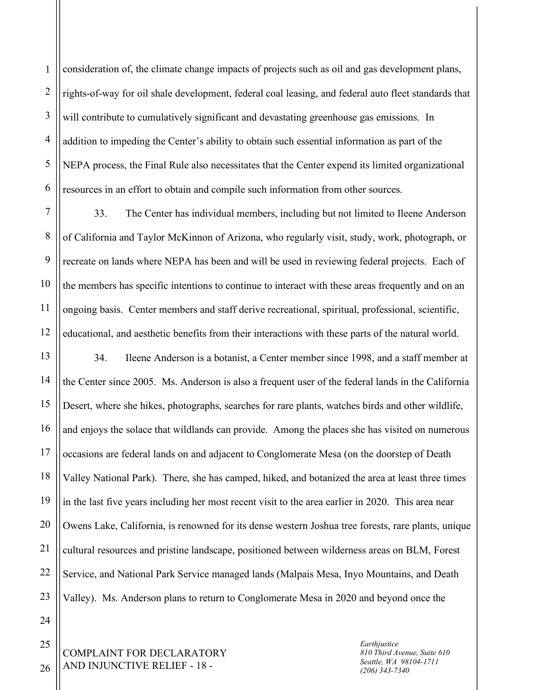1 2 3 4 5 6 consideration of, the climate change impacts of projects such as oil and gas development plans, rights-of-way for oil shale development, federal coal leasing, and federal auto fleet standards that will contribute to cumulatively significant and devastating greenhouse gas emissions. In addition to impeding the Center's ability to obtain such essential information as part of the NEPA process, the Final Rule also necessitates that the Center expend its limited organizational resources in an effort to obtain and compile such information from other sources.

7 8 9 10 11 12 33. The Center has individual members, including but not limited to Ileene Anderson of California and Taylor McKinnon of Arizona, who regularly visit, study, work, photograph, or recreate on lands where NEPA has been and will be used in reviewing federal projects. Each of the members has specific intentions to continue to interact with these areas frequently and on an ongoing basis. Center members and staff derive recreational, spiritual, professional, scientific, educational, and aesthetic benefits from their interactions with these parts of the natural world.

13 14 15 16 17 18 19 20 21 22 23 34. Ileene Anderson is a botanist, a Center member since 1998, and a staff member at the Center since 2005. Ms. Anderson is also a frequent user of the federal lands in the California Desert, where she hikes, photographs, searches for rare plants, watches birds and other wildlife, and enjoys the solace that wildlands can provide. Among the places she has visited on numerous occasions are federal lands on and adjacent to Conglomerate Mesa (on the doorstep of Death Valley National Park). There, she has camped, hiked, and botanized the area at least three times in the last five years including her most recent visit to the area earlier in 2020. This area near Owens Lake, California, is renowned for its dense western Joshua tree forests, rare plants, unique cultural resources and pristine landscape, positioned between wilderness areas on BLM, Forest Service, and National Park Service managed lands (Malpais Mesa, Inyo Mountains, and Death Valley). Ms. Anderson plans to return to Conglomerate Mesa in 2020 and beyond once the

COMPLAINT FOR DECLARATORY AND INJUNCTIVE RELIEF - 18 -

*Earthjustice 810 Third Avenue, Suite 610 Seattle, WA 98104-1711 (206) 343-7340*

26

24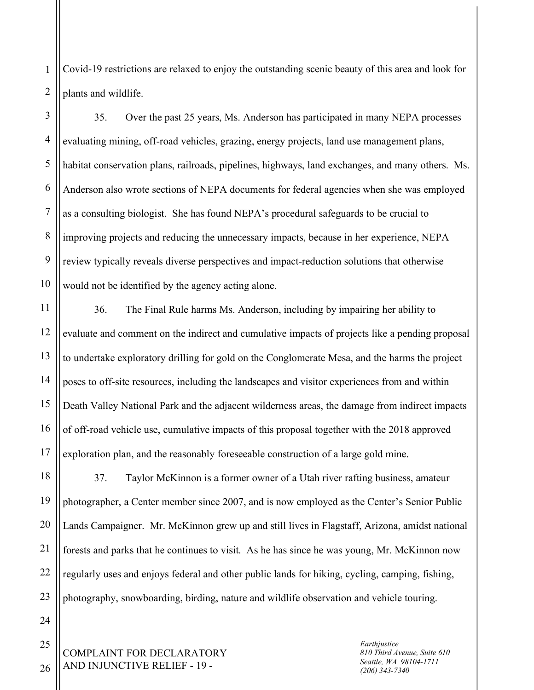1 2 Covid-19 restrictions are relaxed to enjoy the outstanding scenic beauty of this area and look for plants and wildlife.

3 4 5 6 7 8 9 10 35. Over the past 25 years, Ms. Anderson has participated in many NEPA processes evaluating mining, off-road vehicles, grazing, energy projects, land use management plans, habitat conservation plans, railroads, pipelines, highways, land exchanges, and many others. Ms. Anderson also wrote sections of NEPA documents for federal agencies when she was employed as a consulting biologist. She has found NEPA's procedural safeguards to be crucial to improving projects and reducing the unnecessary impacts, because in her experience, NEPA review typically reveals diverse perspectives and impact-reduction solutions that otherwise would not be identified by the agency acting alone.

11 12 13 14 15 16 17 36. The Final Rule harms Ms. Anderson, including by impairing her ability to evaluate and comment on the indirect and cumulative impacts of projects like a pending proposal to undertake exploratory drilling for gold on the Conglomerate Mesa, and the harms the project poses to off-site resources, including the landscapes and visitor experiences from and within Death Valley National Park and the adjacent wilderness areas, the damage from indirect impacts of off-road vehicle use, cumulative impacts of this proposal together with the 2018 approved exploration plan, and the reasonably foreseeable construction of a large gold mine.

18 19 20 21 22 23 37. Taylor McKinnon is a former owner of a Utah river rafting business, amateur photographer, a Center member since 2007, and is now employed as the Center's Senior Public Lands Campaigner. Mr. McKinnon grew up and still lives in Flagstaff, Arizona, amidst national forests and parks that he continues to visit. As he has since he was young, Mr. McKinnon now regularly uses and enjoys federal and other public lands for hiking, cycling, camping, fishing, photography, snowboarding, birding, nature and wildlife observation and vehicle touring.

COMPLAINT FOR DECLARATORY AND INJUNCTIVE RELIEF - 19 -

*Earthjustice 810 Third Avenue, Suite 610 Seattle, WA 98104-1711 (206) 343-7340*

26

24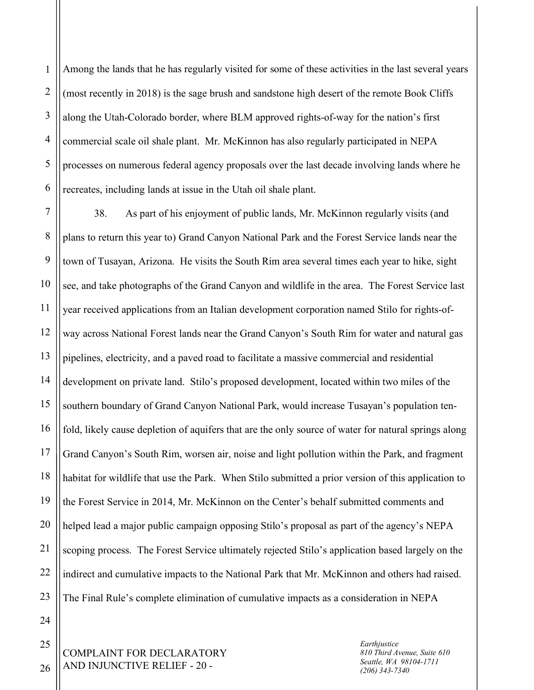1 2 3 4 5 6 Among the lands that he has regularly visited for some of these activities in the last several years (most recently in 2018) is the sage brush and sandstone high desert of the remote Book Cliffs along the Utah-Colorado border, where BLM approved rights-of-way for the nation's first commercial scale oil shale plant. Mr. McKinnon has also regularly participated in NEPA processes on numerous federal agency proposals over the last decade involving lands where he recreates, including lands at issue in the Utah oil shale plant.

7 8 9 10 11 12 13 14 15 16 17 18 19 20 21 22 23 38. As part of his enjoyment of public lands, Mr. McKinnon regularly visits (and plans to return this year to) Grand Canyon National Park and the Forest Service lands near the town of Tusayan, Arizona. He visits the South Rim area several times each year to hike, sight see, and take photographs of the Grand Canyon and wildlife in the area. The Forest Service last year received applications from an Italian development corporation named Stilo for rights-ofway across National Forest lands near the Grand Canyon's South Rim for water and natural gas pipelines, electricity, and a paved road to facilitate a massive commercial and residential development on private land. Stilo's proposed development, located within two miles of the southern boundary of Grand Canyon National Park, would increase Tusayan's population tenfold, likely cause depletion of aquifers that are the only source of water for natural springs along Grand Canyon's South Rim, worsen air, noise and light pollution within the Park, and fragment habitat for wildlife that use the Park. When Stilo submitted a prior version of this application to the Forest Service in 2014, Mr. McKinnon on the Center's behalf submitted comments and helped lead a major public campaign opposing Stilo's proposal as part of the agency's NEPA scoping process. The Forest Service ultimately rejected Stilo's application based largely on the indirect and cumulative impacts to the National Park that Mr. McKinnon and others had raised. The Final Rule's complete elimination of cumulative impacts as a consideration in NEPA

COMPLAINT FOR DECLARATORY AND INJUNCTIVE RELIEF - 20 -

*Earthjustice 810 Third Avenue, Suite 610 Seattle, WA 98104-1711 (206) 343-7340*

26

24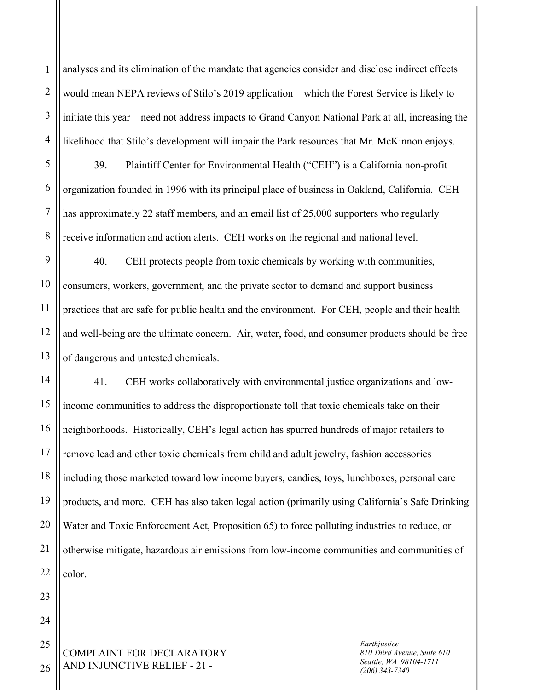1 2 3 4 analyses and its elimination of the mandate that agencies consider and disclose indirect effects would mean NEPA reviews of Stilo's 2019 application – which the Forest Service is likely to initiate this year – need not address impacts to Grand Canyon National Park at all, increasing the likelihood that Stilo's development will impair the Park resources that Mr. McKinnon enjoys.

39. Plaintiff Center for Environmental Health ("CEH") is a California non-profit organization founded in 1996 with its principal place of business in Oakland, California. CEH has approximately 22 staff members, and an email list of 25,000 supporters who regularly receive information and action alerts. CEH works on the regional and national level.

9 10 11 12 13 40. CEH protects people from toxic chemicals by working with communities, consumers, workers, government, and the private sector to demand and support business practices that are safe for public health and the environment. For CEH, people and their health and well-being are the ultimate concern. Air, water, food, and consumer products should be free of dangerous and untested chemicals.

14 15 16 17 18 19 20 21 22 41. CEH works collaboratively with environmental justice organizations and lowincome communities to address the disproportionate toll that toxic chemicals take on their neighborhoods. Historically, CEH's legal action has spurred hundreds of major retailers to remove lead and other toxic chemicals from child and adult jewelry, fashion accessories including those marketed toward low income buyers, candies, toys, lunchboxes, personal care products, and more. CEH has also taken legal action (primarily using California's Safe Drinking Water and Toxic Enforcement Act, Proposition 65) to force polluting industries to reduce, or otherwise mitigate, hazardous air emissions from low-income communities and communities of color.

COMPLAINT FOR DECLARATORY AND INJUNCTIVE RELIEF - 21 - 25

*Earthjustice 810 Third Avenue, Suite 610 Seattle, WA 98104-1711 (206) 343-7340*

26

23

24

5

6

7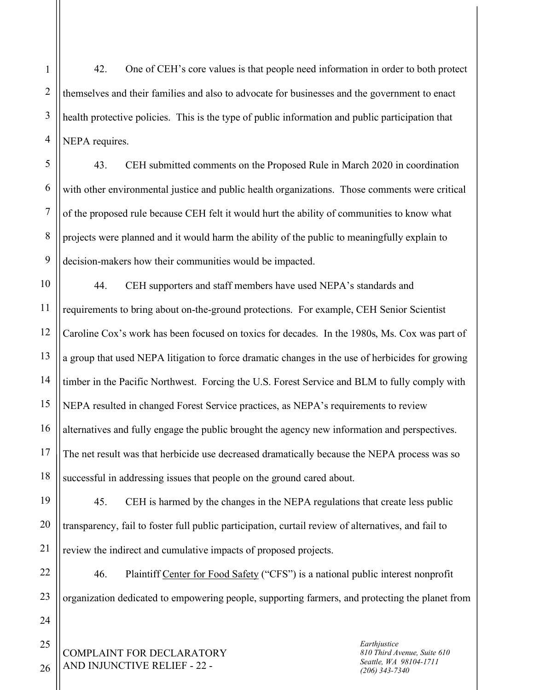1 2 3 4 42. One of CEH's core values is that people need information in order to both protect themselves and their families and also to advocate for businesses and the government to enact health protective policies. This is the type of public information and public participation that NEPA requires.

5 6 7 8 9 43. CEH submitted comments on the Proposed Rule in March 2020 in coordination with other environmental justice and public health organizations. Those comments were critical of the proposed rule because CEH felt it would hurt the ability of communities to know what projects were planned and it would harm the ability of the public to meaningfully explain to decision-makers how their communities would be impacted.

10 11 12 13 14 15 16 17 18 44. CEH supporters and staff members have used NEPA's standards and requirements to bring about on-the-ground protections. For example, CEH Senior Scientist Caroline Cox's work has been focused on toxics for decades. In the 1980s, Ms. Cox was part of a group that used NEPA litigation to force dramatic changes in the use of herbicides for growing timber in the Pacific Northwest. Forcing the U.S. Forest Service and BLM to fully comply with NEPA resulted in changed Forest Service practices, as NEPA's requirements to review alternatives and fully engage the public brought the agency new information and perspectives. The net result was that herbicide use decreased dramatically because the NEPA process was so successful in addressing issues that people on the ground cared about.

19 20 45. CEH is harmed by the changes in the NEPA regulations that create less public transparency, fail to foster full public participation, curtail review of alternatives, and fail to review the indirect and cumulative impacts of proposed projects.

22 23 46. Plaintiff Center for Food Safety ("CFS") is a national public interest nonprofit organization dedicated to empowering people, supporting farmers, and protecting the planet from

COMPLAINT FOR DECLARATORY AND INJUNCTIVE RELIEF - 22 -

*Earthjustice 810 Third Avenue, Suite 610 Seattle, WA 98104-1711 (206) 343-7340*

25

26

24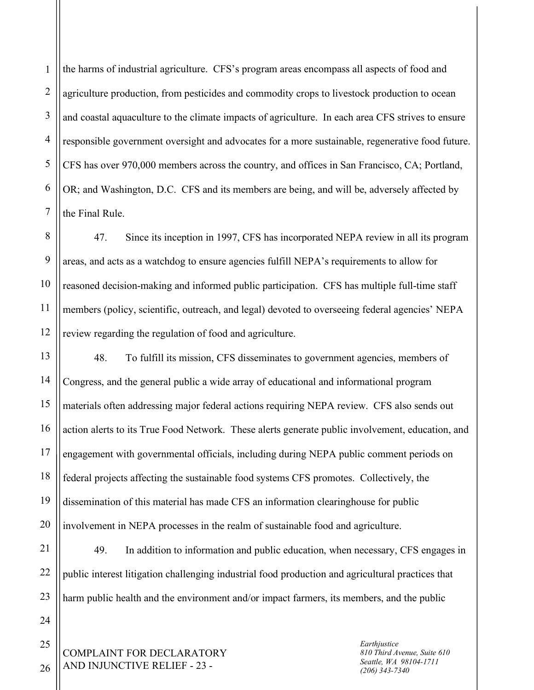1 2 3 4 5 6 7 the harms of industrial agriculture. CFS's program areas encompass all aspects of food and agriculture production, from pesticides and commodity crops to livestock production to ocean and coastal aquaculture to the climate impacts of agriculture. In each area CFS strives to ensure responsible government oversight and advocates for a more sustainable, regenerative food future. CFS has over 970,000 members across the country, and offices in San Francisco, CA; Portland, OR; and Washington, D.C. CFS and its members are being, and will be, adversely affected by the Final Rule.

8 9 10 11 12 47. Since its inception in 1997, CFS has incorporated NEPA review in all its program areas, and acts as a watchdog to ensure agencies fulfill NEPA's requirements to allow for reasoned decision-making and informed public participation. CFS has multiple full-time staff members (policy, scientific, outreach, and legal) devoted to overseeing federal agencies' NEPA review regarding the regulation of food and agriculture.

13 14 15 16 17 18 19 20 48. To fulfill its mission, CFS disseminates to government agencies, members of Congress, and the general public a wide array of educational and informational program materials often addressing major federal actions requiring NEPA review. CFS also sends out action alerts to its True Food Network. These alerts generate public involvement, education, and engagement with governmental officials, including during NEPA public comment periods on federal projects affecting the sustainable food systems CFS promotes. Collectively, the dissemination of this material has made CFS an information clearinghouse for public involvement in NEPA processes in the realm of sustainable food and agriculture.

21 22 23 49. In addition to information and public education, when necessary, CFS engages in public interest litigation challenging industrial food production and agricultural practices that harm public health and the environment and/or impact farmers, its members, and the public

COMPLAINT FOR DECLARATORY AND INJUNCTIVE RELIEF - 23 -

*Earthjustice 810 Third Avenue, Suite 610 Seattle, WA 98104-1711 (206) 343-7340*

26

25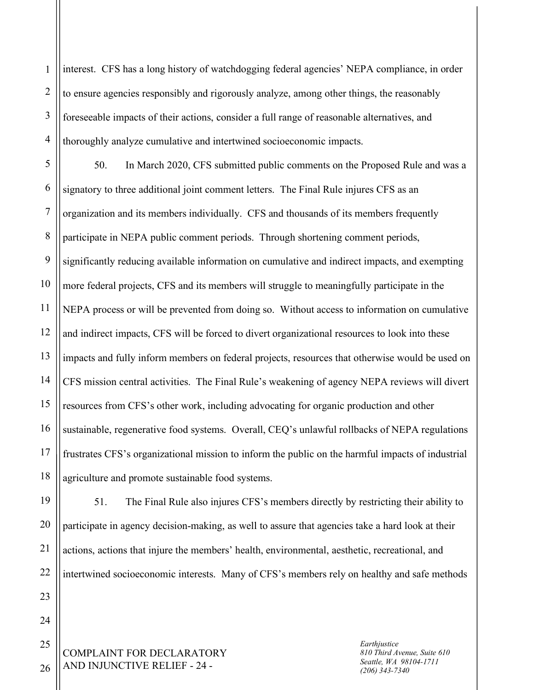1 2 3 4 interest. CFS has a long history of watchdogging federal agencies' NEPA compliance, in order to ensure agencies responsibly and rigorously analyze, among other things, the reasonably foreseeable impacts of their actions, consider a full range of reasonable alternatives, and thoroughly analyze cumulative and intertwined socioeconomic impacts.

5 6 7 8 9 10 11 12 13 14 15 16 17 18 50. In March 2020, CFS submitted public comments on the Proposed Rule and was a signatory to three additional joint comment letters. The Final Rule injures CFS as an organization and its members individually. CFS and thousands of its members frequently participate in NEPA public comment periods. Through shortening comment periods, significantly reducing available information on cumulative and indirect impacts, and exempting more federal projects, CFS and its members will struggle to meaningfully participate in the NEPA process or will be prevented from doing so. Without access to information on cumulative and indirect impacts, CFS will be forced to divert organizational resources to look into these impacts and fully inform members on federal projects, resources that otherwise would be used on CFS mission central activities. The Final Rule's weakening of agency NEPA reviews will divert resources from CFS's other work, including advocating for organic production and other sustainable, regenerative food systems. Overall, CEQ's unlawful rollbacks of NEPA regulations frustrates CFS's organizational mission to inform the public on the harmful impacts of industrial agriculture and promote sustainable food systems.

51. The Final Rule also injures CFS's members directly by restricting their ability to participate in agency decision-making, as well to assure that agencies take a hard look at their actions, actions that injure the members' health, environmental, aesthetic, recreational, and intertwined socioeconomic interests. Many of CFS's members rely on healthy and safe methods

COMPLAINT FOR DECLARATORY AND INJUNCTIVE RELIEF - 24 -

*Earthjustice 810 Third Avenue, Suite 610 Seattle, WA 98104-1711 (206) 343-7340*

26

19

20

21

22

23

24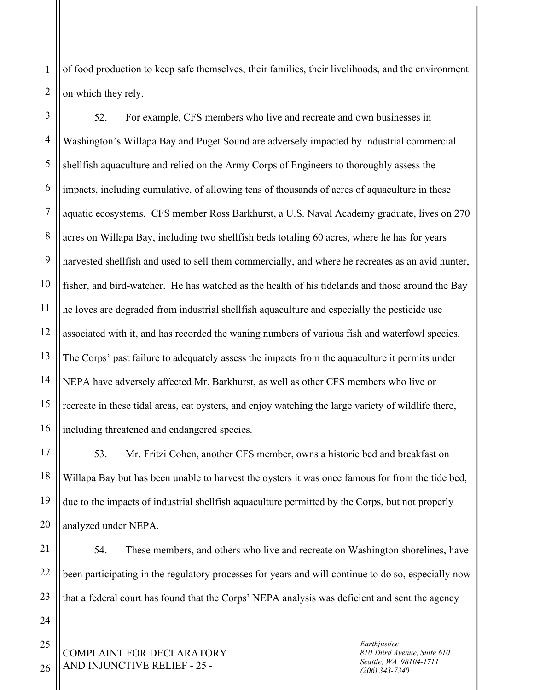1 2 of food production to keep safe themselves, their families, their livelihoods, and the environment on which they rely.

3 4 5 6 7 8 9 10 11 12 13 14 15 16 52. For example, CFS members who live and recreate and own businesses in Washington's Willapa Bay and Puget Sound are adversely impacted by industrial commercial shellfish aquaculture and relied on the Army Corps of Engineers to thoroughly assess the impacts, including cumulative, of allowing tens of thousands of acres of aquaculture in these aquatic ecosystems. CFS member Ross Barkhurst, a U.S. Naval Academy graduate, lives on 270 acres on Willapa Bay, including two shellfish beds totaling 60 acres, where he has for years harvested shellfish and used to sell them commercially, and where he recreates as an avid hunter, fisher, and bird-watcher. He has watched as the health of his tidelands and those around the Bay he loves are degraded from industrial shellfish aquaculture and especially the pesticide use associated with it, and has recorded the waning numbers of various fish and waterfowl species. The Corps' past failure to adequately assess the impacts from the aquaculture it permits under NEPA have adversely affected Mr. Barkhurst, as well as other CFS members who live or recreate in these tidal areas, eat oysters, and enjoy watching the large variety of wildlife there, including threatened and endangered species.

53. Mr. Fritzi Cohen, another CFS member, owns a historic bed and breakfast on Willapa Bay but has been unable to harvest the oysters it was once famous for from the tide bed, due to the impacts of industrial shellfish aquaculture permitted by the Corps, but not properly analyzed under NEPA.

54. These members, and others who live and recreate on Washington shorelines, have been participating in the regulatory processes for years and will continue to do so, especially now that a federal court has found that the Corps' NEPA analysis was deficient and sent the agency

COMPLAINT FOR DECLARATORY AND INJUNCTIVE RELIEF - 25 -

*Earthjustice 810 Third Avenue, Suite 610 Seattle, WA 98104-1711 (206) 343-7340*

26

25

17

18

19

20

21

22

23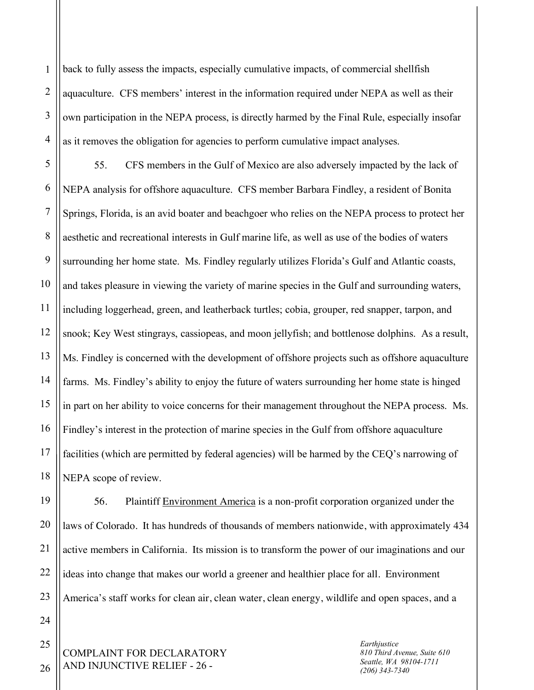1 2 3 4 back to fully assess the impacts, especially cumulative impacts, of commercial shellfish aquaculture. CFS members' interest in the information required under NEPA as well as their own participation in the NEPA process, is directly harmed by the Final Rule, especially insofar as it removes the obligation for agencies to perform cumulative impact analyses.

5 6 7 8 9 10 11 12 13 14 15 16 17 18 55. CFS members in the Gulf of Mexico are also adversely impacted by the lack of NEPA analysis for offshore aquaculture. CFS member Barbara Findley, a resident of Bonita Springs, Florida, is an avid boater and beachgoer who relies on the NEPA process to protect her aesthetic and recreational interests in Gulf marine life, as well as use of the bodies of waters surrounding her home state. Ms. Findley regularly utilizes Florida's Gulf and Atlantic coasts, and takes pleasure in viewing the variety of marine species in the Gulf and surrounding waters, including loggerhead, green, and leatherback turtles; cobia, grouper, red snapper, tarpon, and snook; Key West stingrays, cassiopeas, and moon jellyfish; and bottlenose dolphins. As a result, Ms. Findley is concerned with the development of offshore projects such as offshore aquaculture farms. Ms. Findley's ability to enjoy the future of waters surrounding her home state is hinged in part on her ability to voice concerns for their management throughout the NEPA process. Ms. Findley's interest in the protection of marine species in the Gulf from offshore aquaculture facilities (which are permitted by federal agencies) will be harmed by the CEQ's narrowing of NEPA scope of review.

19 20 21 22 23 56. Plaintiff Environment America is a non-profit corporation organized under the laws of Colorado. It has hundreds of thousands of members nationwide, with approximately 434 active members in California. Its mission is to transform the power of our imaginations and our ideas into change that makes our world a greener and healthier place for all. Environment America's staff works for clean air, clean water, clean energy, wildlife and open spaces, and a

COMPLAINT FOR DECLARATORY AND INJUNCTIVE RELIEF - 26 -

*Earthjustice 810 Third Avenue, Suite 610 Seattle, WA 98104-1711 (206) 343-7340*

26

25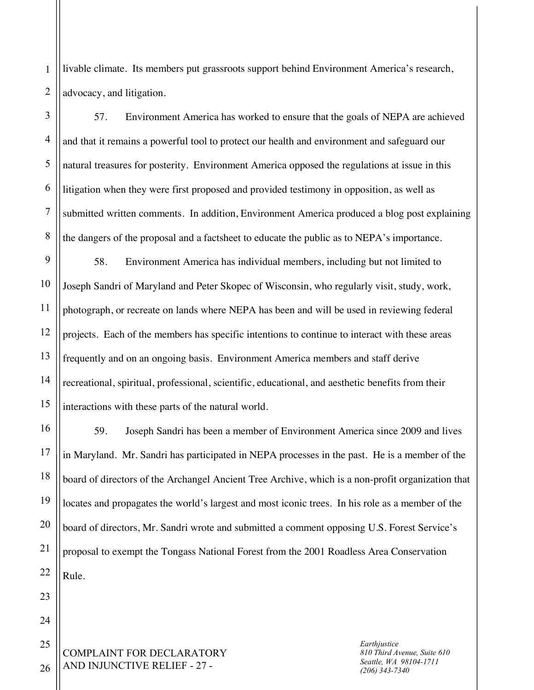1 2 livable climate. Its members put grassroots support behind Environment America's research, advocacy, and litigation.

3 4 5 6 8 57. Environment America has worked to ensure that the goals of NEPA are achieved and that it remains a powerful tool to protect our health and environment and safeguard our natural treasures for posterity. Environment America opposed the regulations at issue in this litigation when they were first proposed and provided testimony in opposition, as well as submitted written comments. In addition, Environment America produced a blog post explaining the dangers of the proposal and a factsheet to educate the public as to NEPA's importance.

58. Environment America has individual members, including but not limited to Joseph Sandri of Maryland and Peter Skopec of Wisconsin, who regularly visit, study, work, photograph, or recreate on lands where NEPA has been and will be used in reviewing federal projects. Each of the members has specific intentions to continue to interact with these areas frequently and on an ongoing basis. Environment America members and staff derive recreational, spiritual, professional, scientific, educational, and aesthetic benefits from their interactions with these parts of the natural world.

59. Joseph Sandri has been a member of Environment America since 2009 and lives in Maryland. Mr. Sandri has participated in NEPA processes in the past. He is a member of the board of directors of the Archangel Ancient Tree Archive, which is a non-profit organization that locates and propagates the world's largest and most iconic trees. In his role as a member of the board of directors, Mr. Sandri wrote and submitted a comment opposing U.S. Forest Service's proposal to exempt the Tongass National Forest from the 2001 Roadless Area Conservation Rule.

COMPLAINT FOR DECLARATORY AND INJUNCTIVE RELIEF - 27 - 25

*Earthjustice 810 Third Avenue, Suite 610 Seattle, WA 98104-1711 (206) 343-7340*

26

7

9

10

11

12

13

14

15

16

17

18

19

20

21

22

23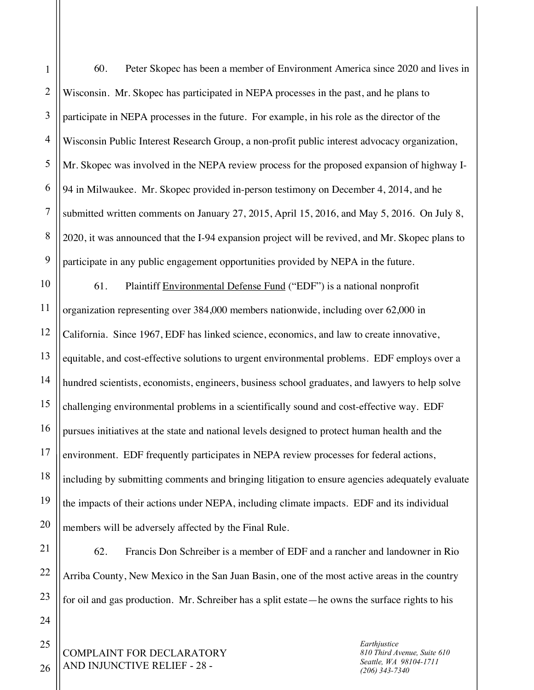1

2

60. Peter Skopec has been a member of Environment America since 2020 and lives in Wisconsin. Mr. Skopec has participated in NEPA processes in the past, and he plans to participate in NEPA processes in the future. For example, in his role as the director of the Wisconsin Public Interest Research Group, a non-profit public interest advocacy organization, Mr. Skopec was involved in the NEPA review process for the proposed expansion of highway I-94 in Milwaukee. Mr. Skopec provided in-person testimony on December 4, 2014, and he submitted written comments on January 27, 2015, April 15, 2016, and May 5, 2016. On July 8, 2020, it was announced that the I-94 expansion project will be revived, and Mr. Skopec plans to participate in any public engagement opportunities provided by NEPA in the future.

61. Plaintiff Environmental Defense Fund ("EDF") is a national nonprofit organization representing over 384,000 members nationwide, including over 62,000 in California. Since 1967, EDF has linked science, economics, and law to create innovative, equitable, and cost-effective solutions to urgent environmental problems. EDF employs over a hundred scientists, economists, engineers, business school graduates, and lawyers to help solve challenging environmental problems in a scientifically sound and cost-effective way. EDF pursues initiatives at the state and national levels designed to protect human health and the environment. EDF frequently participates in NEPA review processes for federal actions, including by submitting comments and bringing litigation to ensure agencies adequately evaluate the impacts of their actions under NEPA, including climate impacts. EDF and its individual members will be adversely affected by the Final Rule.

62. Francis Don Schreiber is a member of EDF and a rancher and landowner in Rio Arriba County, New Mexico in the San Juan Basin, one of the most active areas in the country for oil and gas production. Mr. Schreiber has a split estate—he owns the surface rights to his

COMPLAINT FOR DECLARATORY AND INJUNCTIVE RELIEF - 28 -

*Earthjustice 810 Third Avenue, Suite 610 Seattle, WA 98104-1711 (206) 343-7340*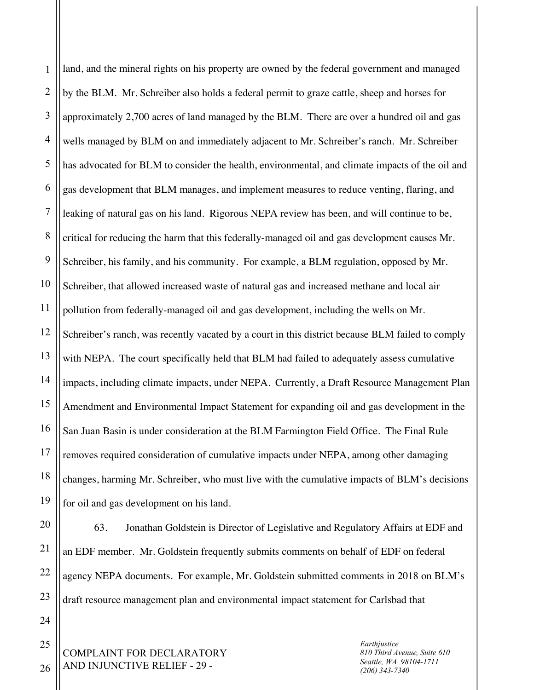1 2 3 4 5 6 7 8 9 10 11 12 13 14 15 16 17 18 19 land, and the mineral rights on his property are owned by the federal government and managed by the BLM. Mr. Schreiber also holds a federal permit to graze cattle, sheep and horses for approximately 2,700 acres of land managed by the BLM. There are over a hundred oil and gas wells managed by BLM on and immediately adjacent to Mr. Schreiber's ranch. Mr. Schreiber has advocated for BLM to consider the health, environmental, and climate impacts of the oil and gas development that BLM manages, and implement measures to reduce venting, flaring, and leaking of natural gas on his land. Rigorous NEPA review has been, and will continue to be, critical for reducing the harm that this federally-managed oil and gas development causes Mr. Schreiber, his family, and his community. For example, a BLM regulation, opposed by Mr. Schreiber, that allowed increased waste of natural gas and increased methane and local air pollution from federally-managed oil and gas development, including the wells on Mr. Schreiber's ranch, was recently vacated by a court in this district because BLM failed to comply with NEPA. The court specifically held that BLM had failed to adequately assess cumulative impacts, including climate impacts, under NEPA. Currently, a Draft Resource Management Plan Amendment and Environmental Impact Statement for expanding oil and gas development in the San Juan Basin is under consideration at the BLM Farmington Field Office. The Final Rule removes required consideration of cumulative impacts under NEPA, among other damaging changes, harming Mr. Schreiber, who must live with the cumulative impacts of BLM's decisions for oil and gas development on his land.

63. Jonathan Goldstein is Director of Legislative and Regulatory Affairs at EDF and an EDF member. Mr. Goldstein frequently submits comments on behalf of EDF on federal agency NEPA documents. For example, Mr. Goldstein submitted comments in 2018 on BLM's draft resource management plan and environmental impact statement for Carlsbad that

COMPLAINT FOR DECLARATORY AND INJUNCTIVE RELIEF - 29 -

*Earthjustice 810 Third Avenue, Suite 610 Seattle, WA 98104-1711 (206) 343-7340*

26

20

21

22

23

24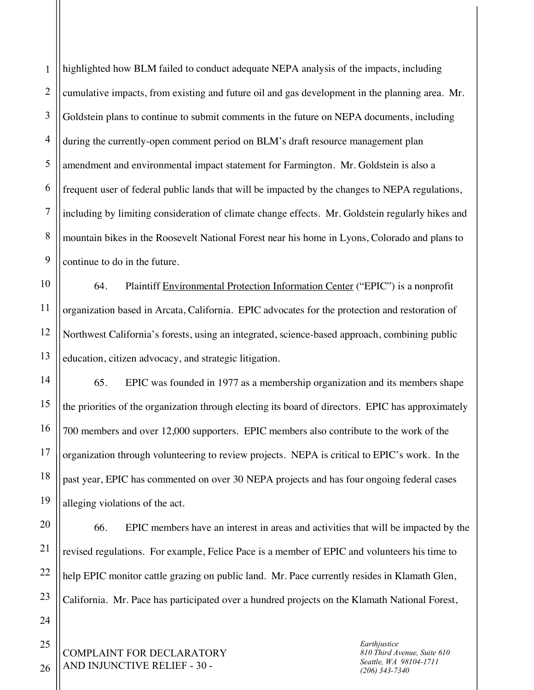1 2 3 4 5 6 7 8 9 highlighted how BLM failed to conduct adequate NEPA analysis of the impacts, including cumulative impacts, from existing and future oil and gas development in the planning area. Mr. Goldstein plans to continue to submit comments in the future on NEPA documents, including during the currently-open comment period on BLM's draft resource management plan amendment and environmental impact statement for Farmington. Mr. Goldstein is also a frequent user of federal public lands that will be impacted by the changes to NEPA regulations, including by limiting consideration of climate change effects. Mr. Goldstein regularly hikes and mountain bikes in the Roosevelt National Forest near his home in Lyons, Colorado and plans to continue to do in the future.

10 11 12 13 64. Plaintiff Environmental Protection Information Center ("EPIC") is a nonprofit organization based in Arcata, California. EPIC advocates for the protection and restoration of Northwest California's forests, using an integrated, science-based approach, combining public education, citizen advocacy, and strategic litigation.

65. EPIC was founded in 1977 as a membership organization and its members shape the priorities of the organization through electing its board of directors. EPIC has approximately 700 members and over 12,000 supporters. EPIC members also contribute to the work of the organization through volunteering to review projects. NEPA is critical to EPIC's work. In the past year, EPIC has commented on over 30 NEPA projects and has four ongoing federal cases alleging violations of the act.

20 21 22 23 66. EPIC members have an interest in areas and activities that will be impacted by the revised regulations. For example, Felice Pace is a member of EPIC and volunteers his time to help EPIC monitor cattle grazing on public land. Mr. Pace currently resides in Klamath Glen, California. Mr. Pace has participated over a hundred projects on the Klamath National Forest,

COMPLAINT FOR DECLARATORY AND INJUNCTIVE RELIEF - 30 -

*Earthjustice 810 Third Avenue, Suite 610 Seattle, WA 98104-1711 (206) 343-7340*

26

25

24

14

15

16

17

18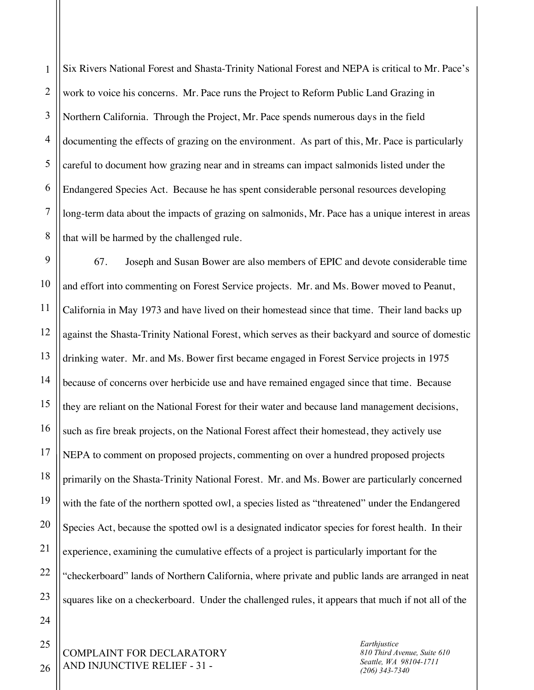1 2 3 4 5 6 7 8 Six Rivers National Forest and Shasta-Trinity National Forest and NEPA is critical to Mr. Pace's work to voice his concerns. Mr. Pace runs the Project to Reform Public Land Grazing in Northern California. Through the Project, Mr. Pace spends numerous days in the field documenting the effects of grazing on the environment. As part of this, Mr. Pace is particularly careful to document how grazing near and in streams can impact salmonids listed under the Endangered Species Act. Because he has spent considerable personal resources developing long-term data about the impacts of grazing on salmonids, Mr. Pace has a unique interest in areas that will be harmed by the challenged rule.

9 10 11 12 13 14 15 16 17 18 19 20 21 22 23 67. Joseph and Susan Bower are also members of EPIC and devote considerable time and effort into commenting on Forest Service projects. Mr. and Ms. Bower moved to Peanut, California in May 1973 and have lived on their homestead since that time. Their land backs up against the Shasta-Trinity National Forest, which serves as their backyard and source of domestic drinking water. Mr. and Ms. Bower first became engaged in Forest Service projects in 1975 because of concerns over herbicide use and have remained engaged since that time. Because they are reliant on the National Forest for their water and because land management decisions, such as fire break projects, on the National Forest affect their homestead, they actively use NEPA to comment on proposed projects, commenting on over a hundred proposed projects primarily on the Shasta-Trinity National Forest. Mr. and Ms. Bower are particularly concerned with the fate of the northern spotted owl, a species listed as "threatened" under the Endangered Species Act, because the spotted owl is a designated indicator species for forest health. In their experience, examining the cumulative effects of a project is particularly important for the "checkerboard" lands of Northern California, where private and public lands are arranged in neat squares like on a checkerboard. Under the challenged rules, it appears that much if not all of the

24

25

26

*Earthjustice 810 Third Avenue, Suite 610 Seattle, WA 98104-1711 (206) 343-7340*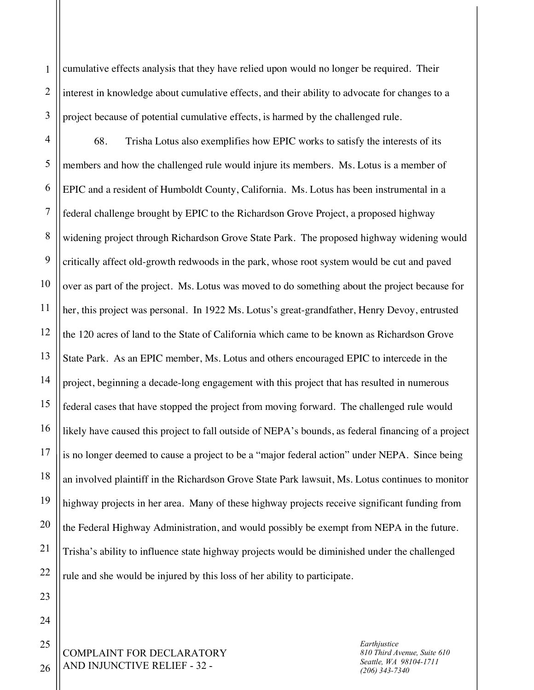cumulative effects analysis that they have relied upon would no longer be required. Their interest in knowledge about cumulative effects, and their ability to advocate for changes to a project because of potential cumulative effects, is harmed by the challenged rule.

4 5 6 7 8 9 10 11 12 13 14 15 16 17 18 19 20 21 22 68. Trisha Lotus also exemplifies how EPIC works to satisfy the interests of its members and how the challenged rule would injure its members. Ms. Lotus is a member of EPIC and a resident of Humboldt County, California. Ms. Lotus has been instrumental in a federal challenge brought by EPIC to the Richardson Grove Project, a proposed highway widening project through Richardson Grove State Park. The proposed highway widening would critically affect old-growth redwoods in the park, whose root system would be cut and paved over as part of the project. Ms. Lotus was moved to do something about the project because for her, this project was personal. In 1922 Ms. Lotus's great-grandfather, Henry Devoy, entrusted the 120 acres of land to the State of California which came to be known as Richardson Grove State Park. As an EPIC member, Ms. Lotus and others encouraged EPIC to intercede in the project, beginning a decade-long engagement with this project that has resulted in numerous federal cases that have stopped the project from moving forward. The challenged rule would likely have caused this project to fall outside of NEPA's bounds, as federal financing of a project is no longer deemed to cause a project to be a "major federal action" under NEPA. Since being an involved plaintiff in the Richardson Grove State Park lawsuit, Ms. Lotus continues to monitor highway projects in her area. Many of these highway projects receive significant funding from the Federal Highway Administration, and would possibly be exempt from NEPA in the future. Trisha's ability to influence state highway projects would be diminished under the challenged rule and she would be injured by this loss of her ability to participate.

COMPLAINT FOR DECLARATORY AND INJUNCTIVE RELIEF - 32 -

*Earthjustice 810 Third Avenue, Suite 610 Seattle, WA 98104-1711 (206) 343-7340*

26

23

24

25

1

2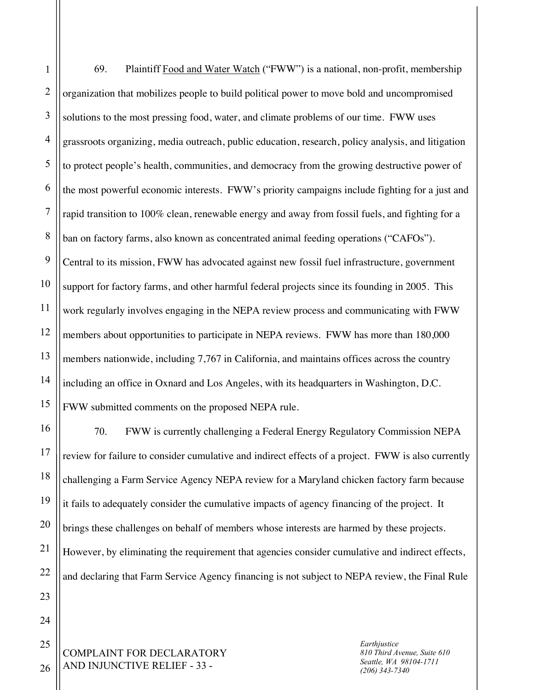1 2 3 4 5 6 7 8 9 10 11 12 13 14 15 69. Plaintiff Food and Water Watch ("FWW") is a national, non-profit, membership organization that mobilizes people to build political power to move bold and uncompromised solutions to the most pressing food, water, and climate problems of our time. FWW uses grassroots organizing, media outreach, public education, research, policy analysis, and litigation to protect people's health, communities, and democracy from the growing destructive power of the most powerful economic interests. FWW's priority campaigns include fighting for a just and rapid transition to 100% clean, renewable energy and away from fossil fuels, and fighting for a ban on factory farms, also known as concentrated animal feeding operations ("CAFOs"). Central to its mission, FWW has advocated against new fossil fuel infrastructure, government support for factory farms, and other harmful federal projects since its founding in 2005. This work regularly involves engaging in the NEPA review process and communicating with FWW members about opportunities to participate in NEPA reviews. FWW has more than 180,000 members nationwide, including 7,767 in California, and maintains offices across the country including an office in Oxnard and Los Angeles, with its headquarters in Washington, D.C. FWW submitted comments on the proposed NEPA rule.

70. FWW is currently challenging a Federal Energy Regulatory Commission NEPA review for failure to consider cumulative and indirect effects of a project. FWW is also currently challenging a Farm Service Agency NEPA review for a Maryland chicken factory farm because it fails to adequately consider the cumulative impacts of agency financing of the project. It brings these challenges on behalf of members whose interests are harmed by these projects. However, by eliminating the requirement that agencies consider cumulative and indirect effects, and declaring that Farm Service Agency financing is not subject to NEPA review, the Final Rule

COMPLAINT FOR DECLARATORY AND INJUNCTIVE RELIEF - 33 -

16

17

18

19

20

21

22

23

24

25

26

*Earthjustice 810 Third Avenue, Suite 610 Seattle, WA 98104-1711 (206) 343-7340*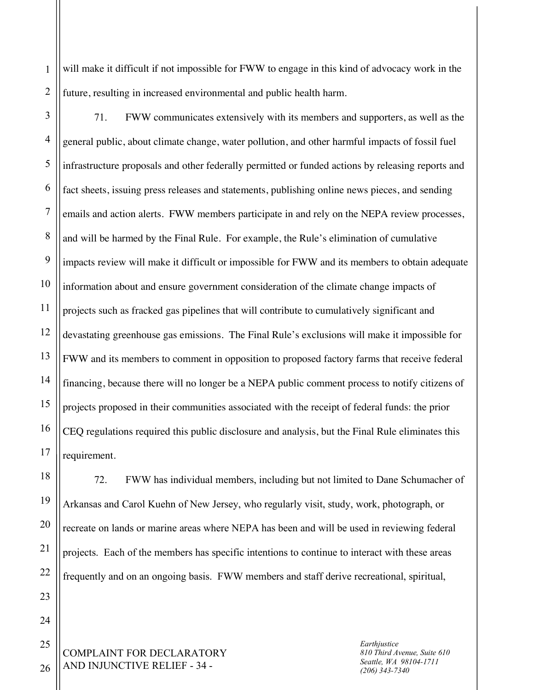1 2 will make it difficult if not impossible for FWW to engage in this kind of advocacy work in the future, resulting in increased environmental and public health harm.

3

4

5

6

7

8

9

11

12

13

15

17

18

19

20

21

22

23

24

25

10 14 16 71. FWW communicates extensively with its members and supporters, as well as the general public, about climate change, water pollution, and other harmful impacts of fossil fuel infrastructure proposals and other federally permitted or funded actions by releasing reports and fact sheets, issuing press releases and statements, publishing online news pieces, and sending emails and action alerts. FWW members participate in and rely on the NEPA review processes, and will be harmed by the Final Rule. For example, the Rule's elimination of cumulative impacts review will make it difficult or impossible for FWW and its members to obtain adequate information about and ensure government consideration of the climate change impacts of projects such as fracked gas pipelines that will contribute to cumulatively significant and devastating greenhouse gas emissions. The Final Rule's exclusions will make it impossible for FWW and its members to comment in opposition to proposed factory farms that receive federal financing, because there will no longer be a NEPA public comment process to notify citizens of projects proposed in their communities associated with the receipt of federal funds: the prior CEQ regulations required this public disclosure and analysis, but the Final Rule eliminates this requirement.

72. FWW has individual members, including but not limited to Dane Schumacher of Arkansas and Carol Kuehn of New Jersey, who regularly visit, study, work, photograph, or recreate on lands or marine areas where NEPA has been and will be used in reviewing federal projects. Each of the members has specific intentions to continue to interact with these areas frequently and on an ongoing basis. FWW members and staff derive recreational, spiritual,

COMPLAINT FOR DECLARATORY AND INJUNCTIVE RELIEF - 34 -

*Earthjustice 810 Third Avenue, Suite 610 Seattle, WA 98104-1711 (206) 343-7340*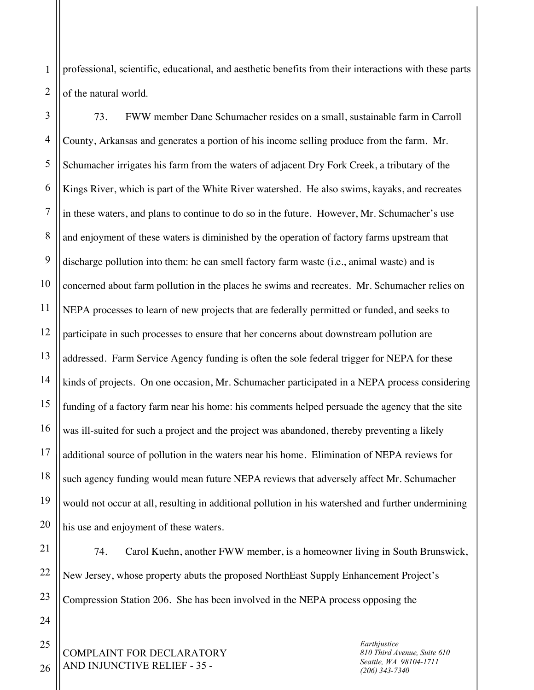1 2 professional, scientific, educational, and aesthetic benefits from their interactions with these parts of the natural world.

3 4 5 6 7 8 9 10 11 12 13 14 15 16 17 18 19 20 73. FWW member Dane Schumacher resides on a small, sustainable farm in Carroll County, Arkansas and generates a portion of his income selling produce from the farm. Mr. Schumacher irrigates his farm from the waters of adjacent Dry Fork Creek, a tributary of the Kings River, which is part of the White River watershed. He also swims, kayaks, and recreates in these waters, and plans to continue to do so in the future. However, Mr. Schumacher's use and enjoyment of these waters is diminished by the operation of factory farms upstream that discharge pollution into them: he can smell factory farm waste (i.e., animal waste) and is concerned about farm pollution in the places he swims and recreates. Mr. Schumacher relies on NEPA processes to learn of new projects that are federally permitted or funded, and seeks to participate in such processes to ensure that her concerns about downstream pollution are addressed. Farm Service Agency funding is often the sole federal trigger for NEPA for these kinds of projects. On one occasion, Mr. Schumacher participated in a NEPA process considering funding of a factory farm near his home: his comments helped persuade the agency that the site was ill-suited for such a project and the project was abandoned, thereby preventing a likely additional source of pollution in the waters near his home. Elimination of NEPA reviews for such agency funding would mean future NEPA reviews that adversely affect Mr. Schumacher would not occur at all, resulting in additional pollution in his watershed and further undermining his use and enjoyment of these waters.

22 23 74. Carol Kuehn, another FWW member, is a homeowner living in South Brunswick, New Jersey, whose property abuts the proposed NorthEast Supply Enhancement Project's Compression Station 206. She has been involved in the NEPA process opposing the

COMPLAINT FOR DECLARATORY AND INJUNCTIVE RELIEF - 35 -

*Earthjustice 810 Third Avenue, Suite 610 Seattle, WA 98104-1711 (206) 343-7340*

26

24

25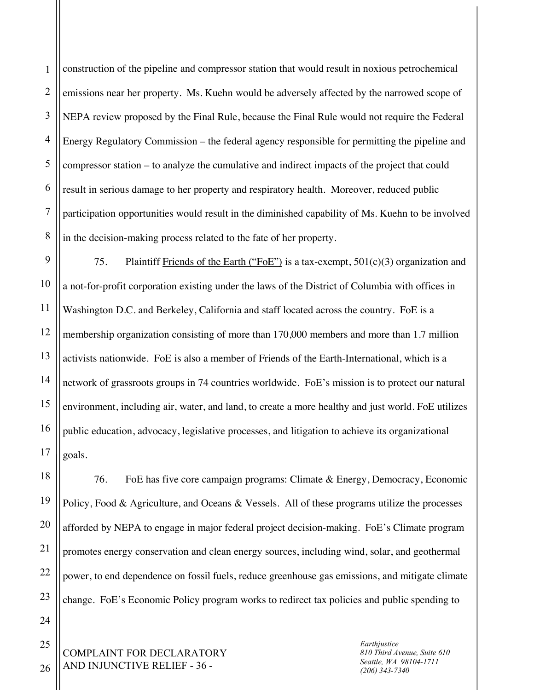1 2 3 4 5 6 7 8 construction of the pipeline and compressor station that would result in noxious petrochemical emissions near her property. Ms. Kuehn would be adversely affected by the narrowed scope of NEPA review proposed by the Final Rule, because the Final Rule would not require the Federal Energy Regulatory Commission – the federal agency responsible for permitting the pipeline and compressor station – to analyze the cumulative and indirect impacts of the project that could result in serious damage to her property and respiratory health. Moreover, reduced public participation opportunities would result in the diminished capability of Ms. Kuehn to be involved in the decision-making process related to the fate of her property.

9 10 11 12 13 14 15 16 17 75. Plaintiff Friends of the Earth ("FoE") is a tax-exempt,  $501(c)(3)$  organization and a not-for-profit corporation existing under the laws of the District of Columbia with offices in Washington D.C. and Berkeley, California and staff located across the country. FoE is a membership organization consisting of more than 170,000 members and more than 1.7 million activists nationwide. FoE is also a member of Friends of the Earth-International, which is a network of grassroots groups in 74 countries worldwide. FoE's mission is to protect our natural environment, including air, water, and land, to create a more healthy and just world. FoE utilizes public education, advocacy, legislative processes, and litigation to achieve its organizational goals.

76. FoE has five core campaign programs: Climate & Energy, Democracy, Economic Policy, Food & Agriculture, and Oceans & Vessels. All of these programs utilize the processes afforded by NEPA to engage in major federal project decision-making. FoE's Climate program promotes energy conservation and clean energy sources, including wind, solar, and geothermal power, to end dependence on fossil fuels, reduce greenhouse gas emissions, and mitigate climate change. FoE's Economic Policy program works to redirect tax policies and public spending to

COMPLAINT FOR DECLARATORY AND INJUNCTIVE RELIEF - 36 -

*Earthjustice 810 Third Avenue, Suite 610 Seattle, WA 98104-1711 (206) 343-7340*

26

25

18

19

20

21

22

23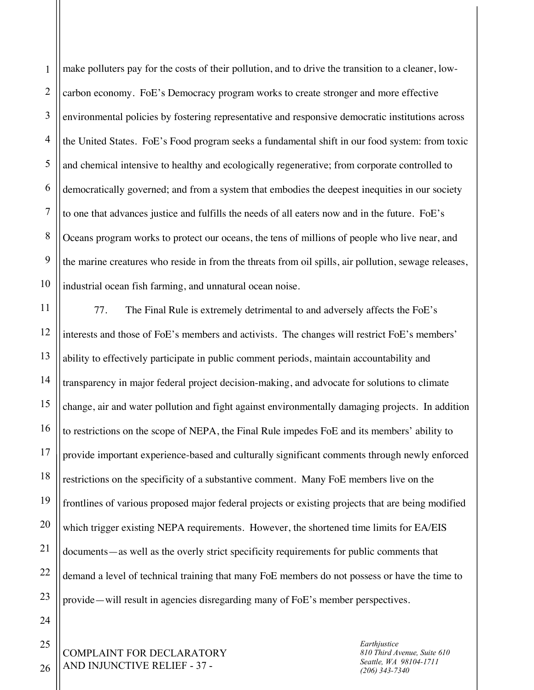1 2 3 4 5 6 7 8 9 10 make polluters pay for the costs of their pollution, and to drive the transition to a cleaner, lowcarbon economy. FoE's Democracy program works to create stronger and more effective environmental policies by fostering representative and responsive democratic institutions across the United States. FoE's Food program seeks a fundamental shift in our food system: from toxic and chemical intensive to healthy and ecologically regenerative; from corporate controlled to democratically governed; and from a system that embodies the deepest inequities in our society to one that advances justice and fulfills the needs of all eaters now and in the future. FoE's Oceans program works to protect our oceans, the tens of millions of people who live near, and the marine creatures who reside in from the threats from oil spills, air pollution, sewage releases, industrial ocean fish farming, and unnatural ocean noise.

11 12 13 14 15 16 17 18 19 20 21 22 23 77. The Final Rule is extremely detrimental to and adversely affects the FoE's interests and those of FoE's members and activists. The changes will restrict FoE's members' ability to effectively participate in public comment periods, maintain accountability and transparency in major federal project decision-making, and advocate for solutions to climate change, air and water pollution and fight against environmentally damaging projects. In addition to restrictions on the scope of NEPA, the Final Rule impedes FoE and its members' ability to provide important experience-based and culturally significant comments through newly enforced restrictions on the specificity of a substantive comment. Many FoE members live on the frontlines of various proposed major federal projects or existing projects that are being modified which trigger existing NEPA requirements. However, the shortened time limits for EA/EIS documents—as well as the overly strict specificity requirements for public comments that demand a level of technical training that many FoE members do not possess or have the time to provide—will result in agencies disregarding many of FoE's member perspectives.

COMPLAINT FOR DECLARATORY AND INJUNCTIVE RELIEF - 37 -

*Earthjustice 810 Third Avenue, Suite 610 Seattle, WA 98104-1711 (206) 343-7340*

26

24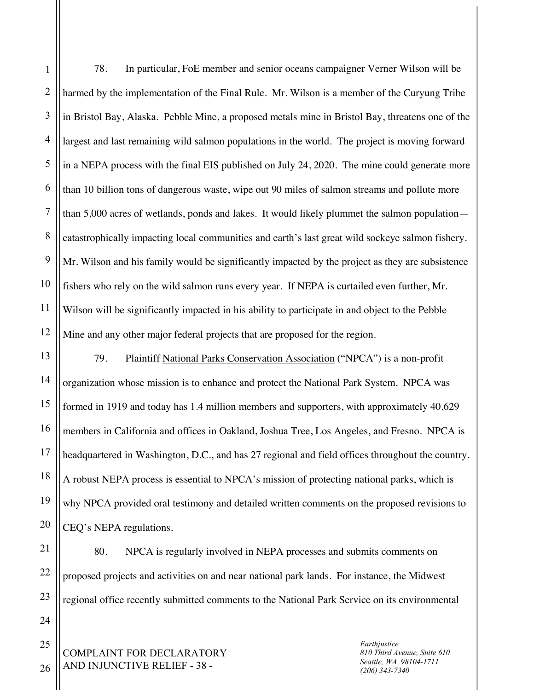1

2

harmed by the implementation of the Final Rule. Mr. Wilson is a member of the Curyung Tribe in Bristol Bay, Alaska. Pebble Mine, a proposed metals mine in Bristol Bay, threatens one of the largest and last remaining wild salmon populations in the world. The project is moving forward in a NEPA process with the final EIS published on July 24, 2020. The mine could generate more than 10 billion tons of dangerous waste, wipe out 90 miles of salmon streams and pollute more than 5,000 acres of wetlands, ponds and lakes. It would likely plummet the salmon population catastrophically impacting local communities and earth's last great wild sockeye salmon fishery. Mr. Wilson and his family would be significantly impacted by the project as they are subsistence fishers who rely on the wild salmon runs every year. If NEPA is curtailed even further, Mr. Wilson will be significantly impacted in his ability to participate in and object to the Pebble Mine and any other major federal projects that are proposed for the region. 79. Plaintiff National Parks Conservation Association ("NPCA") is a non-profit organization whose mission is to enhance and protect the National Park System. NPCA was

78. In particular, FoE member and senior oceans campaigner Verner Wilson will be

formed in 1919 and today has 1.4 million members and supporters, with approximately 40,629 members in California and offices in Oakland, Joshua Tree, Los Angeles, and Fresno. NPCA is headquartered in Washington, D.C., and has 27 regional and field offices throughout the country. A robust NEPA process is essential to NPCA's mission of protecting national parks, which is why NPCA provided oral testimony and detailed written comments on the proposed revisions to CEQ's NEPA regulations.

80. NPCA is regularly involved in NEPA processes and submits comments on proposed projects and activities on and near national park lands. For instance, the Midwest regional office recently submitted comments to the National Park Service on its environmental

COMPLAINT FOR DECLARATORY AND INJUNCTIVE RELIEF - 38 -

*Earthjustice 810 Third Avenue, Suite 610 Seattle, WA 98104-1711 (206) 343-7340*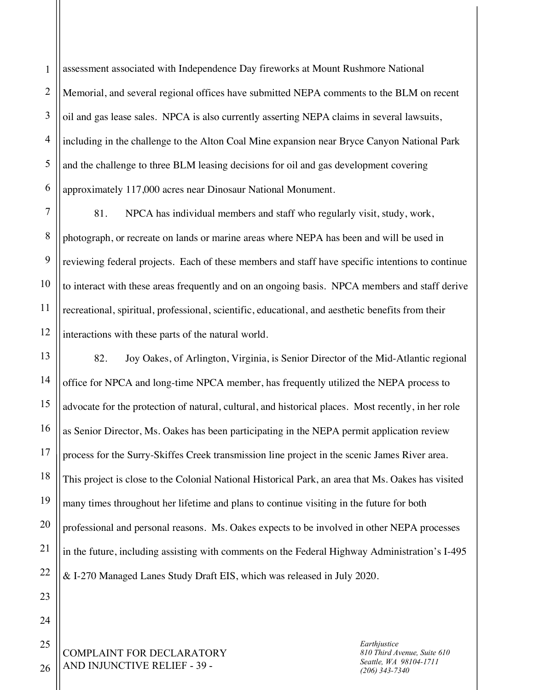1 2 3 4 5 6 assessment associated with Independence Day fireworks at Mount Rushmore National Memorial, and several regional offices have submitted NEPA comments to the BLM on recent oil and gas lease sales. NPCA is also currently asserting NEPA claims in several lawsuits, including in the challenge to the Alton Coal Mine expansion near Bryce Canyon National Park and the challenge to three BLM leasing decisions for oil and gas development covering approximately 117,000 acres near Dinosaur National Monument.

7 8 9 10 11 12 81. NPCA has individual members and staff who regularly visit, study, work, photograph, or recreate on lands or marine areas where NEPA has been and will be used in reviewing federal projects. Each of these members and staff have specific intentions to continue to interact with these areas frequently and on an ongoing basis. NPCA members and staff derive recreational, spiritual, professional, scientific, educational, and aesthetic benefits from their interactions with these parts of the natural world.

82. Joy Oakes, of Arlington, Virginia, is Senior Director of the Mid-Atlantic regional office for NPCA and long-time NPCA member, has frequently utilized the NEPA process to advocate for the protection of natural, cultural, and historical places. Most recently, in her role as Senior Director, Ms. Oakes has been participating in the NEPA permit application review process for the Surry-Skiffes Creek transmission line project in the scenic James River area. This project is close to the Colonial National Historical Park, an area that Ms. Oakes has visited many times throughout her lifetime and plans to continue visiting in the future for both professional and personal reasons. Ms. Oakes expects to be involved in other NEPA processes in the future, including assisting with comments on the Federal Highway Administration's I-495 & I-270 Managed Lanes Study Draft EIS, which was released in July 2020.

COMPLAINT FOR DECLARATORY AND INJUNCTIVE RELIEF - 39 -

*Earthjustice 810 Third Avenue, Suite 610 Seattle, WA 98104-1711 (206) 343-7340*

26

25

13

14

15

16

17

18

19

20

21

22

23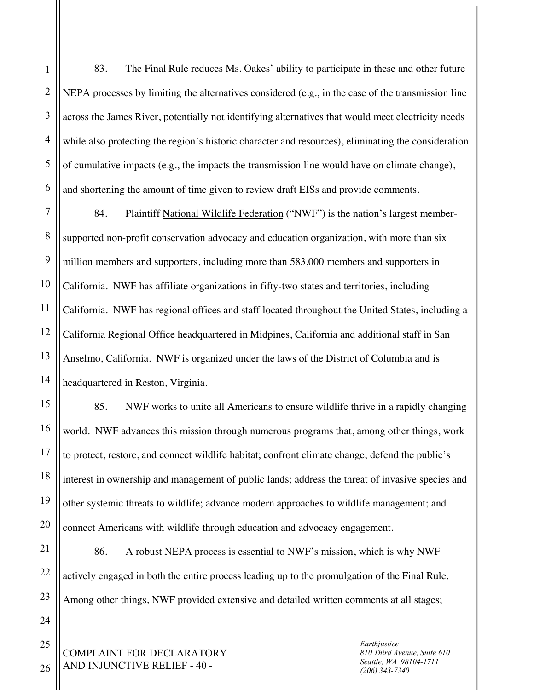15

16

17

18

19

20

1

2

3

4

83. The Final Rule reduces Ms. Oakes' ability to participate in these and other future NEPA processes by limiting the alternatives considered (e.g., in the case of the transmission line across the James River, potentially not identifying alternatives that would meet electricity needs while also protecting the region's historic character and resources), eliminating the consideration of cumulative impacts (e.g., the impacts the transmission line would have on climate change), and shortening the amount of time given to review draft EISs and provide comments.

11 12 13 14 84. Plaintiff National Wildlife Federation ("NWF") is the nation's largest membersupported non-profit conservation advocacy and education organization, with more than six million members and supporters, including more than 583,000 members and supporters in California. NWF has affiliate organizations in fifty-two states and territories, including California. NWF has regional offices and staff located throughout the United States, including a California Regional Office headquartered in Midpines, California and additional staff in San Anselmo, California. NWF is organized under the laws of the District of Columbia and is headquartered in Reston, Virginia.

85. NWF works to unite all Americans to ensure wildlife thrive in a rapidly changing world. NWF advances this mission through numerous programs that, among other things, work to protect, restore, and connect wildlife habitat; confront climate change; defend the public's interest in ownership and management of public lands; address the threat of invasive species and other systemic threats to wildlife; advance modern approaches to wildlife management; and connect Americans with wildlife through education and advocacy engagement.

21 22 23 86. A robust NEPA process is essential to NWF's mission, which is why NWF actively engaged in both the entire process leading up to the promulgation of the Final Rule. Among other things, NWF provided extensive and detailed written comments at all stages;

COMPLAINT FOR DECLARATORY AND INJUNCTIVE RELIEF - 40 -

*Earthjustice 810 Third Avenue, Suite 610 Seattle, WA 98104-1711 (206) 343-7340*

26

24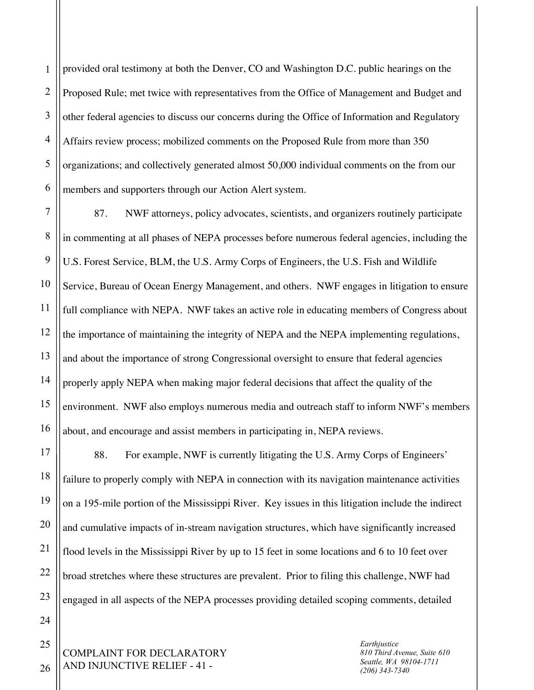1 2 3 4 5 6 provided oral testimony at both the Denver, CO and Washington D.C. public hearings on the Proposed Rule; met twice with representatives from the Office of Management and Budget and other federal agencies to discuss our concerns during the Office of Information and Regulatory Affairs review process; mobilized comments on the Proposed Rule from more than 350 organizations; and collectively generated almost 50,000 individual comments on the from our members and supporters through our Action Alert system.

7 8 9 10 11 12 13 14 15 16 87. NWF attorneys, policy advocates, scientists, and organizers routinely participate in commenting at all phases of NEPA processes before numerous federal agencies, including the U.S. Forest Service, BLM, the U.S. Army Corps of Engineers, the U.S. Fish and Wildlife Service, Bureau of Ocean Energy Management, and others. NWF engages in litigation to ensure full compliance with NEPA. NWF takes an active role in educating members of Congress about the importance of maintaining the integrity of NEPA and the NEPA implementing regulations, and about the importance of strong Congressional oversight to ensure that federal agencies properly apply NEPA when making major federal decisions that affect the quality of the environment. NWF also employs numerous media and outreach staff to inform NWF's members about, and encourage and assist members in participating in, NEPA reviews.

88. For example, NWF is currently litigating the U.S. Army Corps of Engineers' failure to properly comply with NEPA in connection with its navigation maintenance activities on a 195-mile portion of the Mississippi River. Key issues in this litigation include the indirect and cumulative impacts of in-stream navigation structures, which have significantly increased flood levels in the Mississippi River by up to 15 feet in some locations and 6 to 10 feet over broad stretches where these structures are prevalent. Prior to filing this challenge, NWF had engaged in all aspects of the NEPA processes providing detailed scoping comments, detailed

COMPLAINT FOR DECLARATORY AND INJUNCTIVE RELIEF - 41 -

*Earthjustice 810 Third Avenue, Suite 610 Seattle, WA 98104-1711 (206) 343-7340*

26

25

17

18

19

20

21

22

23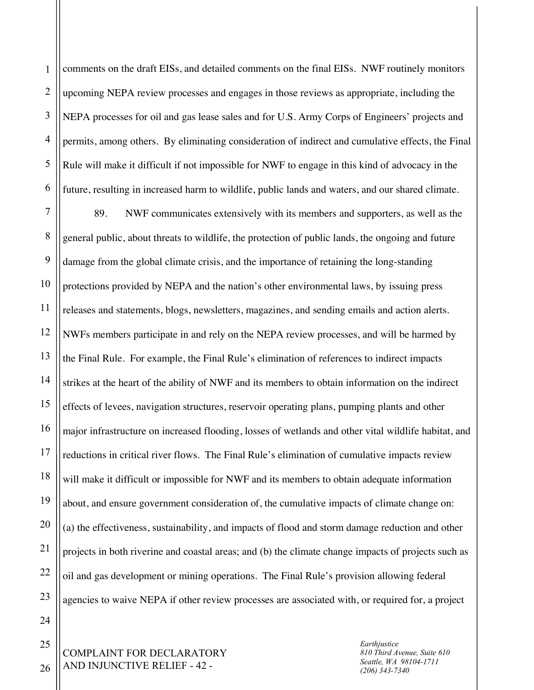1 2 3 4 5 6 comments on the draft EISs, and detailed comments on the final EISs. NWF routinely monitors upcoming NEPA review processes and engages in those reviews as appropriate, including the NEPA processes for oil and gas lease sales and for U.S. Army Corps of Engineers' projects and permits, among others. By eliminating consideration of indirect and cumulative effects, the Final Rule will make it difficult if not impossible for NWF to engage in this kind of advocacy in the future, resulting in increased harm to wildlife, public lands and waters, and our shared climate.

7 8 9 10 11 12 13 89. NWF communicates extensively with its members and supporters, as well as the general public, about threats to wildlife, the protection of public lands, the ongoing and future damage from the global climate crisis, and the importance of retaining the long-standing protections provided by NEPA and the nation's other environmental laws, by issuing press releases and statements, blogs, newsletters, magazines, and sending emails and action alerts. NWFs members participate in and rely on the NEPA review processes, and will be harmed by the Final Rule. For example, the Final Rule's elimination of references to indirect impacts strikes at the heart of the ability of NWF and its members to obtain information on the indirect effects of levees, navigation structures, reservoir operating plans, pumping plants and other major infrastructure on increased flooding, losses of wetlands and other vital wildlife habitat, and reductions in critical river flows. The Final Rule's elimination of cumulative impacts review will make it difficult or impossible for NWF and its members to obtain adequate information about, and ensure government consideration of, the cumulative impacts of climate change on: (a) the effectiveness, sustainability, and impacts of flood and storm damage reduction and other projects in both riverine and coastal areas; and (b) the climate change impacts of projects such as oil and gas development or mining operations. The Final Rule's provision allowing federal agencies to waive NEPA if other review processes are associated with, or required for, a project

> COMPLAINT FOR DECLARATORY AND INJUNCTIVE RELIEF - 42 -

*Earthjustice 810 Third Avenue, Suite 610 Seattle, WA 98104-1711 (206) 343-7340*

26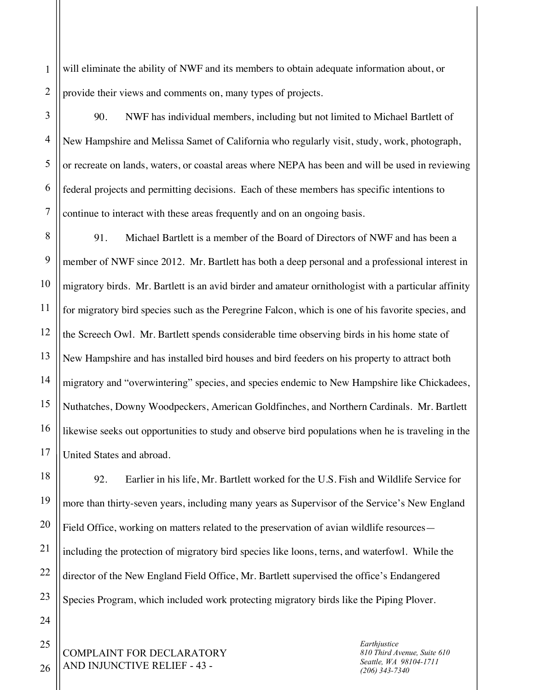1 2 will eliminate the ability of NWF and its members to obtain adequate information about, or provide their views and comments on, many types of projects.

3

4

5

6

7

90. NWF has individual members, including but not limited to Michael Bartlett of New Hampshire and Melissa Samet of California who regularly visit, study, work, photograph, or recreate on lands, waters, or coastal areas where NEPA has been and will be used in reviewing federal projects and permitting decisions. Each of these members has specific intentions to continue to interact with these areas frequently and on an ongoing basis.

8 9 10 11 12 13 14 15 16 17 91. Michael Bartlett is a member of the Board of Directors of NWF and has been a member of NWF since 2012. Mr. Bartlett has both a deep personal and a professional interest in migratory birds. Mr. Bartlett is an avid birder and amateur ornithologist with a particular affinity for migratory bird species such as the Peregrine Falcon, which is one of his favorite species, and the Screech Owl. Mr. Bartlett spends considerable time observing birds in his home state of New Hampshire and has installed bird houses and bird feeders on his property to attract both migratory and "overwintering" species, and species endemic to New Hampshire like Chickadees, Nuthatches, Downy Woodpeckers, American Goldfinches, and Northern Cardinals. Mr. Bartlett likewise seeks out opportunities to study and observe bird populations when he is traveling in the United States and abroad.

18 19 20 21 22 23 92. Earlier in his life, Mr. Bartlett worked for the U.S. Fish and Wildlife Service for more than thirty-seven years, including many years as Supervisor of the Service's New England Field Office, working on matters related to the preservation of avian wildlife resources including the protection of migratory bird species like loons, terns, and waterfowl. While the director of the New England Field Office, Mr. Bartlett supervised the office's Endangered Species Program, which included work protecting migratory birds like the Piping Plover.

COMPLAINT FOR DECLARATORY AND INJUNCTIVE RELIEF - 43 -

*Earthjustice 810 Third Avenue, Suite 610 Seattle, WA 98104-1711 (206) 343-7340*

26

25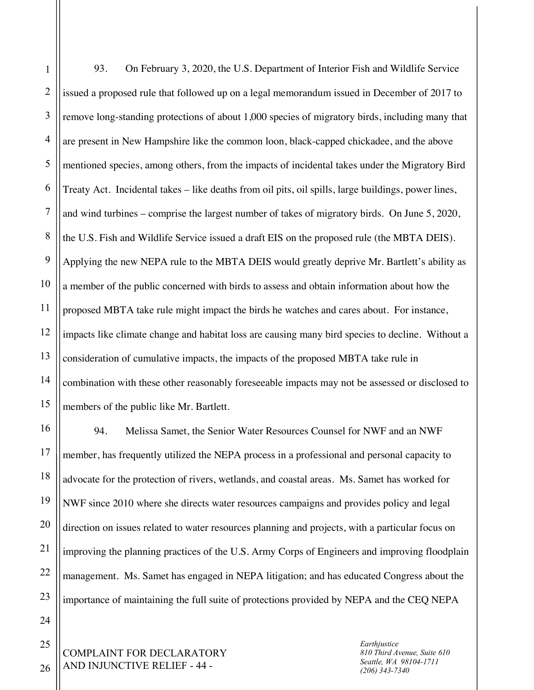1 2 3 4 5 6 7 8 9 10 11 12 13 14 15 93. On February 3, 2020, the U.S. Department of Interior Fish and Wildlife Service issued a proposed rule that followed up on a legal memorandum issued in December of 2017 to remove long-standing protections of about 1,000 species of migratory birds, including many that are present in New Hampshire like the common loon, black-capped chickadee, and the above mentioned species, among others, from the impacts of incidental takes under the Migratory Bird Treaty Act. Incidental takes – like deaths from oil pits, oil spills, large buildings, power lines, and wind turbines – comprise the largest number of takes of migratory birds. On June 5, 2020, the U.S. Fish and Wildlife Service issued a draft EIS on the proposed rule (the MBTA DEIS). Applying the new NEPA rule to the MBTA DEIS would greatly deprive Mr. Bartlett's ability as a member of the public concerned with birds to assess and obtain information about how the proposed MBTA take rule might impact the birds he watches and cares about. For instance, impacts like climate change and habitat loss are causing many bird species to decline. Without a consideration of cumulative impacts, the impacts of the proposed MBTA take rule in combination with these other reasonably foreseeable impacts may not be assessed or disclosed to members of the public like Mr. Bartlett.

94. Melissa Samet, the Senior Water Resources Counsel for NWF and an NWF member, has frequently utilized the NEPA process in a professional and personal capacity to advocate for the protection of rivers, wetlands, and coastal areas. Ms. Samet has worked for NWF since 2010 where she directs water resources campaigns and provides policy and legal direction on issues related to water resources planning and projects, with a particular focus on improving the planning practices of the U.S. Army Corps of Engineers and improving floodplain management. Ms. Samet has engaged in NEPA litigation; and has educated Congress about the importance of maintaining the full suite of protections provided by NEPA and the CEQ NEPA

COMPLAINT FOR DECLARATORY AND INJUNCTIVE RELIEF - 44 -

*Earthjustice 810 Third Avenue, Suite 610 Seattle, WA 98104-1711 (206) 343-7340*

26

16

17

18

19

20

21

22

23

24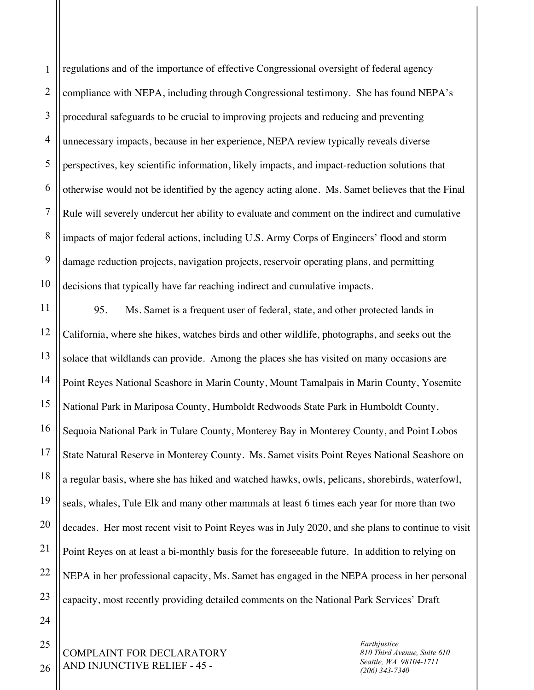1 2 3 4 5 6 7 8 9 10 regulations and of the importance of effective Congressional oversight of federal agency compliance with NEPA, including through Congressional testimony. She has found NEPA's procedural safeguards to be crucial to improving projects and reducing and preventing unnecessary impacts, because in her experience, NEPA review typically reveals diverse perspectives, key scientific information, likely impacts, and impact-reduction solutions that otherwise would not be identified by the agency acting alone. Ms. Samet believes that the Final Rule will severely undercut her ability to evaluate and comment on the indirect and cumulative impacts of major federal actions, including U.S. Army Corps of Engineers' flood and storm damage reduction projects, navigation projects, reservoir operating plans, and permitting decisions that typically have far reaching indirect and cumulative impacts.

11 12 13 14 15 16 17 18 19 20 21 22 23 95. Ms. Samet is a frequent user of federal, state, and other protected lands in California, where she hikes, watches birds and other wildlife, photographs, and seeks out the solace that wildlands can provide. Among the places she has visited on many occasions are Point Reyes National Seashore in Marin County, Mount Tamalpais in Marin County, Yosemite National Park in Mariposa County, Humboldt Redwoods State Park in Humboldt County, Sequoia National Park in Tulare County, Monterey Bay in Monterey County, and Point Lobos State Natural Reserve in Monterey County. Ms. Samet visits Point Reyes National Seashore on a regular basis, where she has hiked and watched hawks, owls, pelicans, shorebirds, waterfowl, seals, whales, Tule Elk and many other mammals at least 6 times each year for more than two decades. Her most recent visit to Point Reyes was in July 2020, and she plans to continue to visit Point Reyes on at least a bi-monthly basis for the foreseeable future. In addition to relying on NEPA in her professional capacity, Ms. Samet has engaged in the NEPA process in her personal capacity, most recently providing detailed comments on the National Park Services' Draft

COMPLAINT FOR DECLARATORY AND INJUNCTIVE RELIEF - 45 -

*Earthjustice 810 Third Avenue, Suite 610 Seattle, WA 98104-1711 (206) 343-7340*

26

24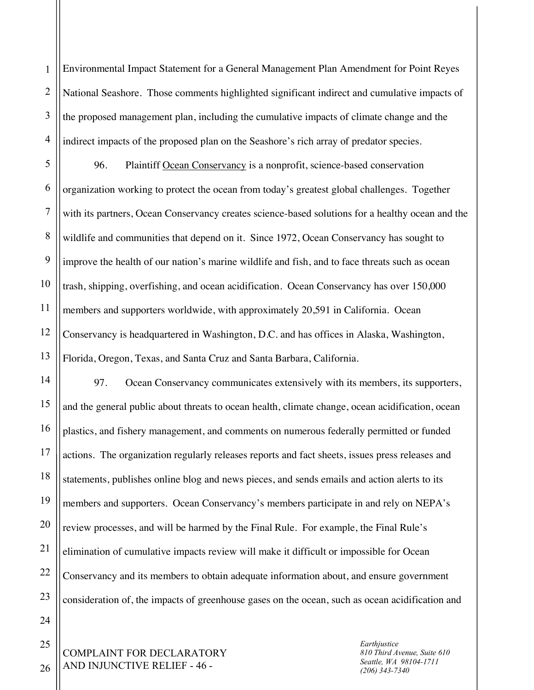1 2 3 4 Environmental Impact Statement for a General Management Plan Amendment for Point Reyes National Seashore. Those comments highlighted significant indirect and cumulative impacts of the proposed management plan, including the cumulative impacts of climate change and the indirect impacts of the proposed plan on the Seashore's rich array of predator species.

5 6 7 8 9 10 11 12 13 96. Plaintiff Ocean Conservancy is a nonprofit, science-based conservation organization working to protect the ocean from today's greatest global challenges. Together with its partners, Ocean Conservancy creates science-based solutions for a healthy ocean and the wildlife and communities that depend on it. Since 1972, Ocean Conservancy has sought to improve the health of our nation's marine wildlife and fish, and to face threats such as ocean trash, shipping, overfishing, and ocean acidification. Ocean Conservancy has over 150,000 members and supporters worldwide, with approximately 20,591 in California. Ocean Conservancy is headquartered in Washington, D.C. and has offices in Alaska, Washington, Florida, Oregon, Texas, and Santa Cruz and Santa Barbara, California.

97. Ocean Conservancy communicates extensively with its members, its supporters, and the general public about threats to ocean health, climate change, ocean acidification, ocean plastics, and fishery management, and comments on numerous federally permitted or funded actions. The organization regularly releases reports and fact sheets, issues press releases and statements, publishes online blog and news pieces, and sends emails and action alerts to its members and supporters. Ocean Conservancy's members participate in and rely on NEPA's review processes, and will be harmed by the Final Rule. For example, the Final Rule's elimination of cumulative impacts review will make it difficult or impossible for Ocean Conservancy and its members to obtain adequate information about, and ensure government consideration of, the impacts of greenhouse gases on the ocean, such as ocean acidification and

COMPLAINT FOR DECLARATORY AND INJUNCTIVE RELIEF - 46 -

*Earthjustice 810 Third Avenue, Suite 610 Seattle, WA 98104-1711 (206) 343-7340*

25 26

14

15

16

17

18

19

20

21

22

23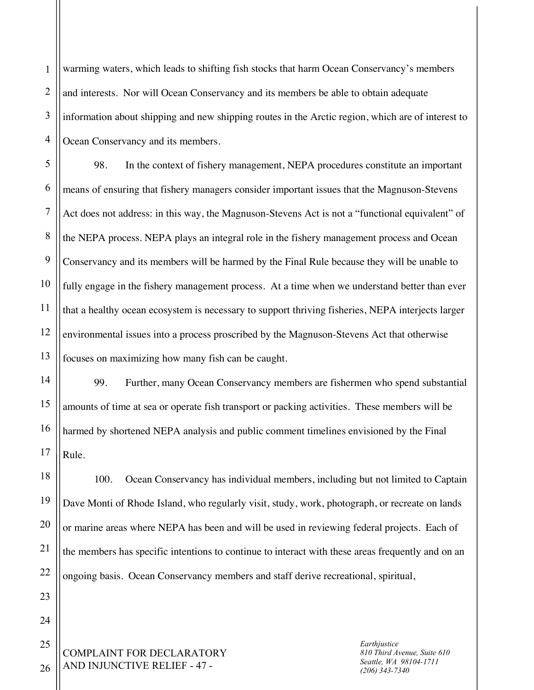1 2 3 4 warming waters, which leads to shifting fish stocks that harm Ocean Conservancy's members and interests. Nor will Ocean Conservancy and its members be able to obtain adequate information about shipping and new shipping routes in the Arctic region, which are of interest to Ocean Conservancy and its members.

5 6 7 8 9 10 11 12 13 98. In the context of fishery management, NEPA procedures constitute an important means of ensuring that fishery managers consider important issues that the Magnuson-Stevens Act does not address: in this way, the Magnuson-Stevens Act is not a "functional equivalent" of the NEPA process. NEPA plays an integral role in the fishery management process and Ocean Conservancy and its members will be harmed by the Final Rule because they will be unable to fully engage in the fishery management process. At a time when we understand better than ever that a healthy ocean ecosystem is necessary to support thriving fisheries, NEPA interjects larger environmental issues into a process proscribed by the Magnuson-Stevens Act that otherwise focuses on maximizing how many fish can be caught.

99. Further, many Ocean Conservancy members are fishermen who spend substantial amounts of time at sea or operate fish transport or packing activities. These members will be harmed by shortened NEPA analysis and public comment timelines envisioned by the Final Rule.

18 19 20 22 100. Ocean Conservancy has individual members, including but not limited to Captain Dave Monti of Rhode Island, who regularly visit, study, work, photograph, or recreate on lands or marine areas where NEPA has been and will be used in reviewing federal projects. Each of the members has specific intentions to continue to interact with these areas frequently and on an ongoing basis. Ocean Conservancy members and staff derive recreational, spiritual,

COMPLAINT FOR DECLARATORY AND INJUNCTIVE RELIEF - 47 -

*Earthjustice 810 Third Avenue, Suite 610 Seattle, WA 98104-1711 (206) 343-7340*

26

14

15

16

17

21

23

24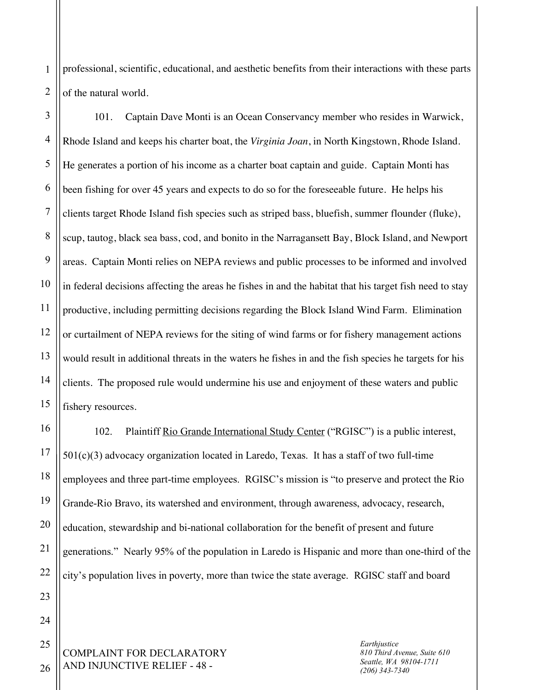1 2 professional, scientific, educational, and aesthetic benefits from their interactions with these parts of the natural world.

3 4 5 6 7 8 9 10 11 12 13 14 15 101. Captain Dave Monti is an Ocean Conservancy member who resides in Warwick, Rhode Island and keeps his charter boat, the *Virginia Joan*, in North Kingstown, Rhode Island. He generates a portion of his income as a charter boat captain and guide. Captain Monti has been fishing for over 45 years and expects to do so for the foreseeable future. He helps his clients target Rhode Island fish species such as striped bass, bluefish, summer flounder (fluke), scup, tautog, black sea bass, cod, and bonito in the Narragansett Bay, Block Island, and Newport areas. Captain Monti relies on NEPA reviews and public processes to be informed and involved in federal decisions affecting the areas he fishes in and the habitat that his target fish need to stay productive, including permitting decisions regarding the Block Island Wind Farm. Elimination or curtailment of NEPA reviews for the siting of wind farms or for fishery management actions would result in additional threats in the waters he fishes in and the fish species he targets for his clients. The proposed rule would undermine his use and enjoyment of these waters and public fishery resources.

16 18 19 20 22 102. Plaintiff Rio Grande International Study Center ("RGISC") is a public interest,  $501(c)(3)$  advocacy organization located in Laredo, Texas. It has a staff of two full-time employees and three part-time employees. RGISC's mission is "to preserve and protect the Rio Grande-Rio Bravo, its watershed and environment, through awareness, advocacy, research, education, stewardship and bi-national collaboration for the benefit of present and future generations." Nearly 95% of the population in Laredo is Hispanic and more than one-third of the city's population lives in poverty, more than twice the state average. RGISC staff and board

COMPLAINT FOR DECLARATORY AND INJUNCTIVE RELIEF - 48 -

17

21

23

24

25

26

*Earthjustice 810 Third Avenue, Suite 610 Seattle, WA 98104-1711 (206) 343-7340*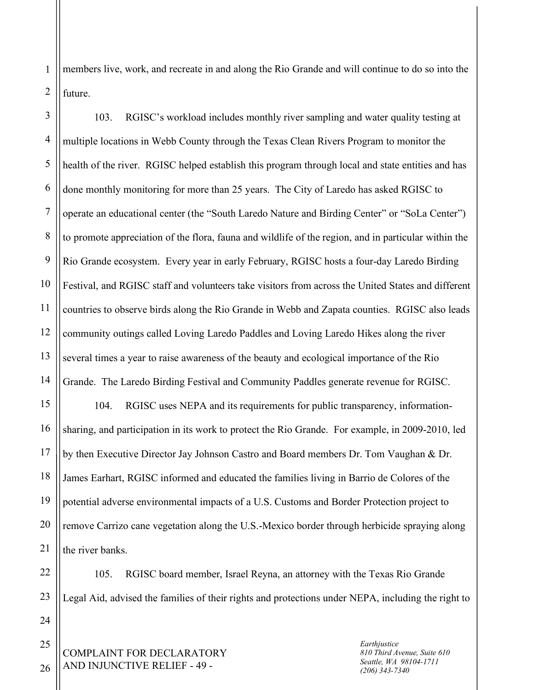1 2 members live, work, and recreate in and along the Rio Grande and will continue to do so into the future.

3 4 5 6 7 8 9 10 11 12 13 14 15 103. RGISC's workload includes monthly river sampling and water quality testing at multiple locations in Webb County through the Texas Clean Rivers Program to monitor the health of the river. RGISC helped establish this program through local and state entities and has done monthly monitoring for more than 25 years. The City of Laredo has asked RGISC to operate an educational center (the "South Laredo Nature and Birding Center" or "SoLa Center") to promote appreciation of the flora, fauna and wildlife of the region, and in particular within the Rio Grande ecosystem. Every year in early February, RGISC hosts a four-day Laredo Birding Festival, and RGISC staff and volunteers take visitors from across the United States and different countries to observe birds along the Rio Grande in Webb and Zapata counties. RGISC also leads community outings called Loving Laredo Paddles and Loving Laredo Hikes along the river several times a year to raise awareness of the beauty and ecological importance of the Rio Grande. The Laredo Birding Festival and Community Paddles generate revenue for RGISC. 104. RGISC uses NEPA and its requirements for public transparency, information-

16 20 sharing, and participation in its work to protect the Rio Grande. For example, in 2009-2010, led by then Executive Director Jay Johnson Castro and Board members Dr. Tom Vaughan & Dr. James Earhart, RGISC informed and educated the families living in Barrio de Colores of the potential adverse environmental impacts of a U.S. Customs and Border Protection project to remove Carrizo cane vegetation along the U.S.-Mexico border through herbicide spraying along the river banks.

22 23 105. RGISC board member, Israel Reyna, an attorney with the Texas Rio Grande Legal Aid, advised the families of their rights and protections under NEPA, including the right to

COMPLAINT FOR DECLARATORY AND INJUNCTIVE RELIEF - 49 -

*Earthjustice 810 Third Avenue, Suite 610 Seattle, WA 98104-1711 (206) 343-7340*

26

24

25

17

18

19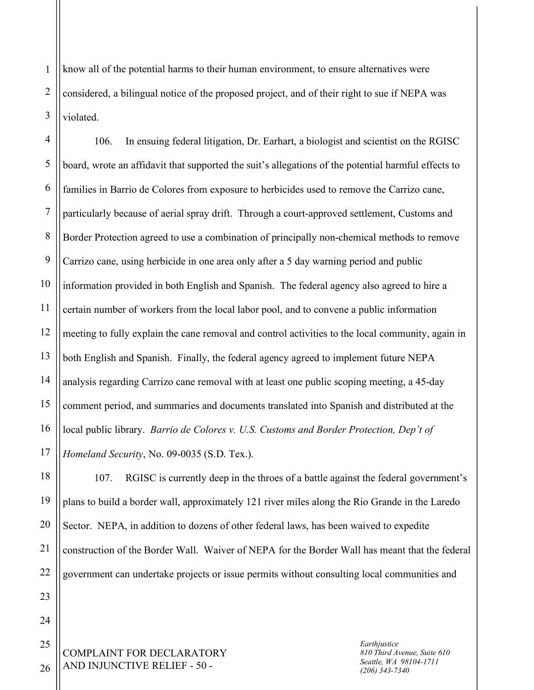1 2 3 know all of the potential harms to their human environment, to ensure alternatives were considered, a bilingual notice of the proposed project, and of their right to sue if NEPA was violated.

4 5 6 7 8 9 10 11 12 13 14 15 16 17 106. In ensuing federal litigation, Dr. Earhart, a biologist and scientist on the RGISC board, wrote an affidavit that supported the suit's allegations of the potential harmful effects to families in Barrio de Colores from exposure to herbicides used to remove the Carrizo cane, particularly because of aerial spray drift. Through a court-approved settlement, Customs and Border Protection agreed to use a combination of principally non-chemical methods to remove Carrizo cane, using herbicide in one area only after a 5 day warning period and public information provided in both English and Spanish. The federal agency also agreed to hire a certain number of workers from the local labor pool, and to convene a public information meeting to fully explain the cane removal and control activities to the local community, again in both English and Spanish. Finally, the federal agency agreed to implement future NEPA analysis regarding Carrizo cane removal with at least one public scoping meeting, a 45-day comment period, and summaries and documents translated into Spanish and distributed at the local public library. *Barrio de Colores v. U.S. Customs and Border Protection, Dep't of Homeland Security*, No. 09-0035 (S.D. Tex.).

18 19 20 22 107. RGISC is currently deep in the throes of a battle against the federal government's plans to build a border wall, approximately 121 river miles along the Rio Grande in the Laredo Sector. NEPA, in addition to dozens of other federal laws, has been waived to expedite construction of the Border Wall. Waiver of NEPA for the Border Wall has meant that the federal government can undertake projects or issue permits without consulting local communities and

COMPLAINT FOR DECLARATORY AND INJUNCTIVE RELIEF - 50 -

*Earthjustice 810 Third Avenue, Suite 610 Seattle, WA 98104-1711 (206) 343-7340*

26

21

23

24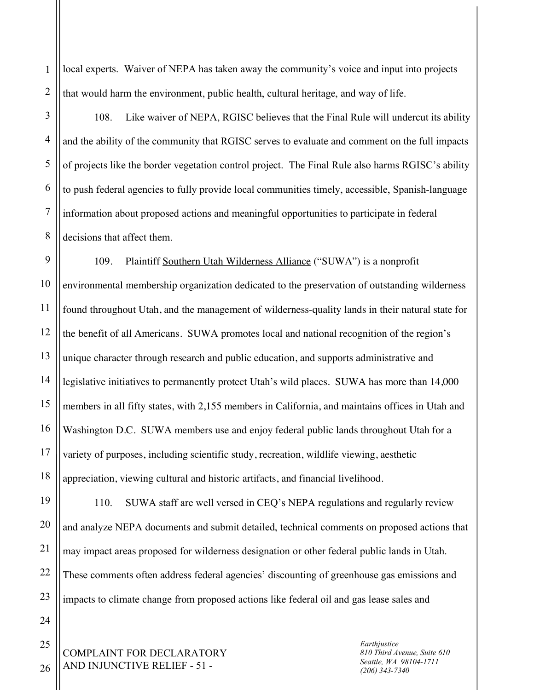1 2 local experts. Waiver of NEPA has taken away the community's voice and input into projects that would harm the environment, public health, cultural heritage, and way of life.

3 4 5 6 7 8 108. Like waiver of NEPA, RGISC believes that the Final Rule will undercut its ability and the ability of the community that RGISC serves to evaluate and comment on the full impacts of projects like the border vegetation control project. The Final Rule also harms RGISC's ability to push federal agencies to fully provide local communities timely, accessible, Spanish-language information about proposed actions and meaningful opportunities to participate in federal decisions that affect them.

9 10 11 12 13 14 15 16 17 18 109. Plaintiff Southern Utah Wilderness Alliance ("SUWA") is a nonprofit environmental membership organization dedicated to the preservation of outstanding wilderness found throughout Utah, and the management of wilderness-quality lands in their natural state for the benefit of all Americans. SUWA promotes local and national recognition of the region's unique character through research and public education, and supports administrative and legislative initiatives to permanently protect Utah's wild places. SUWA has more than 14,000 members in all fifty states, with 2,155 members in California, and maintains offices in Utah and Washington D.C. SUWA members use and enjoy federal public lands throughout Utah for a variety of purposes, including scientific study, recreation, wildlife viewing, aesthetic appreciation, viewing cultural and historic artifacts, and financial livelihood.

110. SUWA staff are well versed in CEQ's NEPA regulations and regularly review and analyze NEPA documents and submit detailed, technical comments on proposed actions that may impact areas proposed for wilderness designation or other federal public lands in Utah. These comments often address federal agencies' discounting of greenhouse gas emissions and impacts to climate change from proposed actions like federal oil and gas lease sales and

COMPLAINT FOR DECLARATORY AND INJUNCTIVE RELIEF - 51 -

*Earthjustice 810 Third Avenue, Suite 610 Seattle, WA 98104-1711 (206) 343-7340*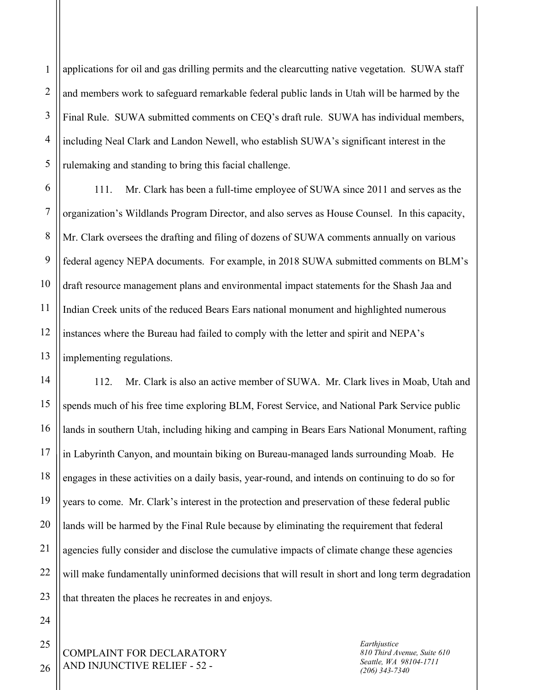1 2 3 4 5 applications for oil and gas drilling permits and the clearcutting native vegetation. SUWA staff and members work to safeguard remarkable federal public lands in Utah will be harmed by the Final Rule. SUWA submitted comments on CEQ's draft rule. SUWA has individual members, including Neal Clark and Landon Newell, who establish SUWA's significant interest in the rulemaking and standing to bring this facial challenge.

6 7 8 9 10 11 12 13 111. Mr. Clark has been a full-time employee of SUWA since 2011 and serves as the organization's Wildlands Program Director, and also serves as House Counsel. In this capacity, Mr. Clark oversees the drafting and filing of dozens of SUWA comments annually on various federal agency NEPA documents. For example, in 2018 SUWA submitted comments on BLM's draft resource management plans and environmental impact statements for the Shash Jaa and Indian Creek units of the reduced Bears Ears national monument and highlighted numerous instances where the Bureau had failed to comply with the letter and spirit and NEPA's implementing regulations.

14 15 16 17 18 19 20 21 22 23 112. Mr. Clark is also an active member of SUWA. Mr. Clark lives in Moab, Utah and spends much of his free time exploring BLM, Forest Service, and National Park Service public lands in southern Utah, including hiking and camping in Bears Ears National Monument, rafting in Labyrinth Canyon, and mountain biking on Bureau-managed lands surrounding Moab. He engages in these activities on a daily basis, year-round, and intends on continuing to do so for years to come. Mr. Clark's interest in the protection and preservation of these federal public lands will be harmed by the Final Rule because by eliminating the requirement that federal agencies fully consider and disclose the cumulative impacts of climate change these agencies will make fundamentally uninformed decisions that will result in short and long term degradation that threaten the places he recreates in and enjoys.

*Earthjustice 810 Third Avenue, Suite 610 Seattle, WA 98104-1711 (206) 343-7340*

25

26

24

COMPLAINT FOR DECLARATORY AND INJUNCTIVE RELIEF - 52 -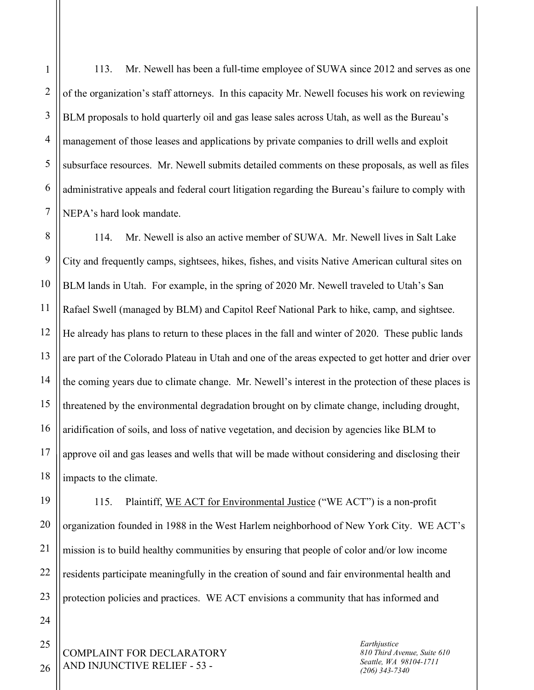113. Mr. Newell has been a full-time employee of SUWA since 2012 and serves as one of the organization's staff attorneys. In this capacity Mr. Newell focuses his work on reviewing BLM proposals to hold quarterly oil and gas lease sales across Utah, as well as the Bureau's management of those leases and applications by private companies to drill wells and exploit subsurface resources. Mr. Newell submits detailed comments on these proposals, as well as files administrative appeals and federal court litigation regarding the Bureau's failure to comply with NEPA's hard look mandate.

114. Mr. Newell is also an active member of SUWA. Mr. Newell lives in Salt Lake City and frequently camps, sightsees, hikes, fishes, and visits Native American cultural sites on BLM lands in Utah. For example, in the spring of 2020 Mr. Newell traveled to Utah's San Rafael Swell (managed by BLM) and Capitol Reef National Park to hike, camp, and sightsee. He already has plans to return to these places in the fall and winter of 2020. These public lands are part of the Colorado Plateau in Utah and one of the areas expected to get hotter and drier over the coming years due to climate change. Mr. Newell's interest in the protection of these places is threatened by the environmental degradation brought on by climate change, including drought, aridification of soils, and loss of native vegetation, and decision by agencies like BLM to approve oil and gas leases and wells that will be made without considering and disclosing their impacts to the climate.

115. Plaintiff, WE ACT for Environmental Justice ("WE ACT") is a non-profit organization founded in 1988 in the West Harlem neighborhood of New York City. WE ACT's mission is to build healthy communities by ensuring that people of color and/or low income residents participate meaningfully in the creation of sound and fair environmental health and protection policies and practices. WE ACT envisions a community that has informed and

COMPLAINT FOR DECLARATORY AND INJUNCTIVE RELIEF - 53 -

*Earthjustice 810 Third Avenue, Suite 610 Seattle, WA 98104-1711 (206) 343-7340*

1

2

3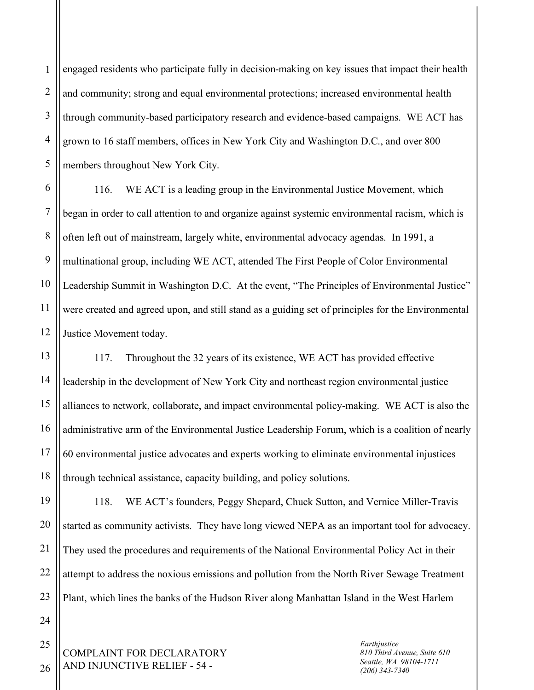1 2 3 engaged residents who participate fully in decision-making on key issues that impact their health and community; strong and equal environmental protections; increased environmental health through community-based participatory research and evidence-based campaigns. WE ACT has grown to 16 staff members, offices in New York City and Washington D.C., and over 800 members throughout New York City.

116. WE ACT is a leading group in the Environmental Justice Movement, which began in order to call attention to and organize against systemic environmental racism, which is often left out of mainstream, largely white, environmental advocacy agendas. In 1991, a multinational group, including WE ACT, attended The First People of Color Environmental Leadership Summit in Washington D.C. At the event, "The Principles of Environmental Justice" were created and agreed upon, and still stand as a guiding set of principles for the Environmental Justice Movement today.

117. Throughout the 32 years of its existence, WE ACT has provided effective leadership in the development of New York City and northeast region environmental justice alliances to network, collaborate, and impact environmental policy-making. WE ACT is also the administrative arm of the Environmental Justice Leadership Forum, which is a coalition of nearly 60 environmental justice advocates and experts working to eliminate environmental injustices through technical assistance, capacity building, and policy solutions.

118. WE ACT's founders, Peggy Shepard, Chuck Sutton, and Vernice Miller-Travis started as community activists. They have long viewed NEPA as an important tool for advocacy. They used the procedures and requirements of the National Environmental Policy Act in their attempt to address the noxious emissions and pollution from the North River Sewage Treatment Plant, which lines the banks of the Hudson River along Manhattan Island in the West Harlem

COMPLAINT FOR DECLARATORY AND INJUNCTIVE RELIEF - 54 -

*Earthjustice 810 Third Avenue, Suite 610 Seattle, WA 98104-1711 (206) 343-7340*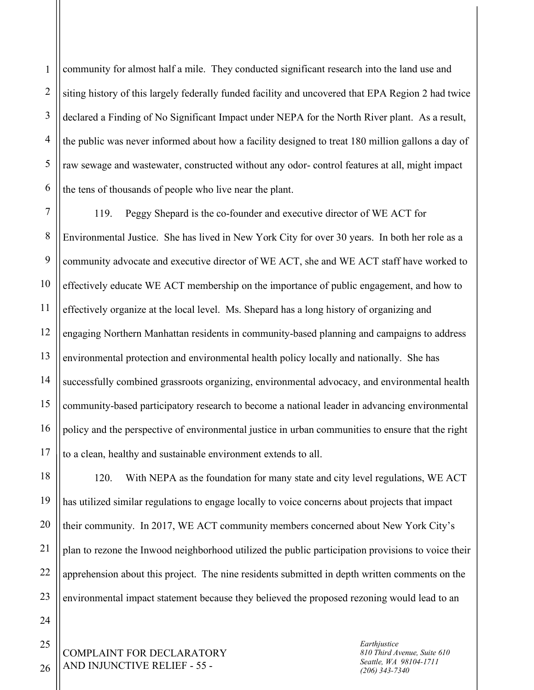1 2 3 4 5 6 community for almost half a mile. They conducted significant research into the land use and siting history of this largely federally funded facility and uncovered that EPA Region 2 had twice declared a Finding of No Significant Impact under NEPA for the North River plant. As a result, the public was never informed about how a facility designed to treat 180 million gallons a day of raw sewage and wastewater, constructed without any odor- control features at all, might impact the tens of thousands of people who live near the plant.

7 8 9 10 11 12 13 14 15 16 17 119. Peggy Shepard is the co-founder and executive director of WE ACT for Environmental Justice. She has lived in New York City for over 30 years. In both her role as a community advocate and executive director of WE ACT, she and WE ACT staff have worked to effectively educate WE ACT membership on the importance of public engagement, and how to effectively organize at the local level. Ms. Shepard has a long history of organizing and engaging Northern Manhattan residents in community-based planning and campaigns to address environmental protection and environmental health policy locally and nationally. She has successfully combined grassroots organizing, environmental advocacy, and environmental health community-based participatory research to become a national leader in advancing environmental policy and the perspective of environmental justice in urban communities to ensure that the right to a clean, healthy and sustainable environment extends to all.

18 19 20 21 22 23 120. With NEPA as the foundation for many state and city level regulations, WE ACT has utilized similar regulations to engage locally to voice concerns about projects that impact their community. In 2017, WE ACT community members concerned about New York City's plan to rezone the Inwood neighborhood utilized the public participation provisions to voice their apprehension about this project. The nine residents submitted in depth written comments on the environmental impact statement because they believed the proposed rezoning would lead to an

COMPLAINT FOR DECLARATORY AND INJUNCTIVE RELIEF - 55 -

*Earthjustice 810 Third Avenue, Suite 610 Seattle, WA 98104-1711 (206) 343-7340*

26

24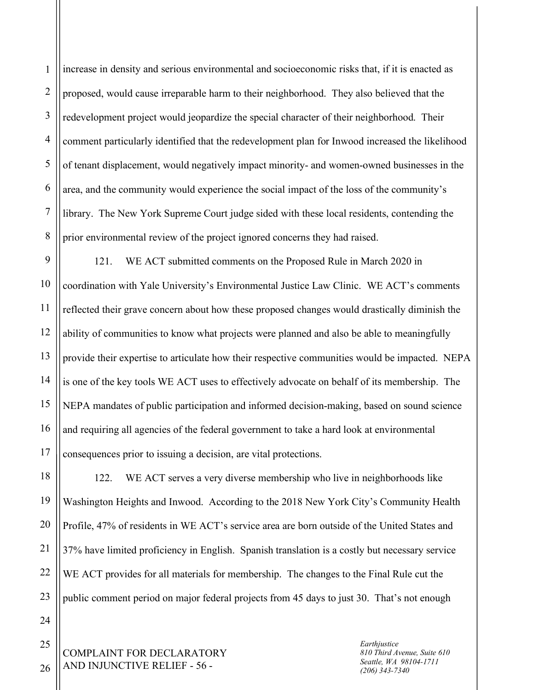1 2 3 4 5 6 7 8 increase in density and serious environmental and socioeconomic risks that, if it is enacted as proposed, would cause irreparable harm to their neighborhood. They also believed that the redevelopment project would jeopardize the special character of their neighborhood. Their comment particularly identified that the redevelopment plan for Inwood increased the likelihood of tenant displacement, would negatively impact minority- and women-owned businesses in the area, and the community would experience the social impact of the loss of the community's library. The New York Supreme Court judge sided with these local residents, contending the prior environmental review of the project ignored concerns they had raised.

9 10 11 12 13 14 15 16 17 121. WE ACT submitted comments on the Proposed Rule in March 2020 in coordination with Yale University's Environmental Justice Law Clinic. WE ACT's comments reflected their grave concern about how these proposed changes would drastically diminish the ability of communities to know what projects were planned and also be able to meaningfully provide their expertise to articulate how their respective communities would be impacted. NEPA is one of the key tools WE ACT uses to effectively advocate on behalf of its membership. The NEPA mandates of public participation and informed decision-making, based on sound science and requiring all agencies of the federal government to take a hard look at environmental consequences prior to issuing a decision, are vital protections.

18 19 20 21 22 23 122. WE ACT serves a very diverse membership who live in neighborhoods like Washington Heights and Inwood. According to the 2018 New York City's Community Health Profile, 47% of residents in WE ACT's service area are born outside of the United States and 37% have limited proficiency in English. Spanish translation is a costly but necessary service WE ACT provides for all materials for membership. The changes to the Final Rule cut the public comment period on major federal projects from 45 days to just 30. That's not enough

COMPLAINT FOR DECLARATORY AND INJUNCTIVE RELIEF - 56 -

*Earthjustice 810 Third Avenue, Suite 610 Seattle, WA 98104-1711 (206) 343-7340*

25

26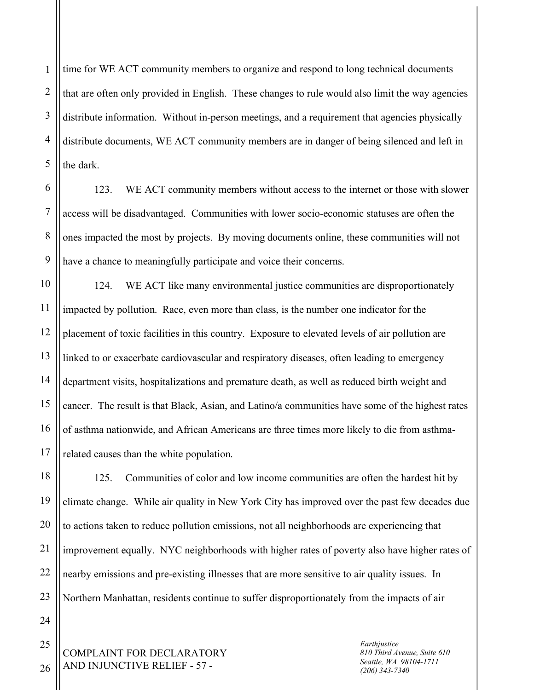1 2 3 4 5 time for WE ACT community members to organize and respond to long technical documents that are often only provided in English. These changes to rule would also limit the way agencies distribute information. Without in-person meetings, and a requirement that agencies physically distribute documents, WE ACT community members are in danger of being silenced and left in the dark.

123. WE ACT community members without access to the internet or those with slower access will be disadvantaged. Communities with lower socio-economic statuses are often the ones impacted the most by projects. By moving documents online, these communities will not have a chance to meaningfully participate and voice their concerns.

124. WE ACT like many environmental justice communities are disproportionately impacted by pollution. Race, even more than class, is the number one indicator for the placement of toxic facilities in this country. Exposure to elevated levels of air pollution are linked to or exacerbate cardiovascular and respiratory diseases, often leading to emergency department visits, hospitalizations and premature death, as well as reduced birth weight and cancer. The result is that Black, Asian, and Latino/a communities have some of the highest rates of asthma nationwide, and African Americans are three times more likely to die from asthmarelated causes than the white population.

125. Communities of color and low income communities are often the hardest hit by climate change. While air quality in New York City has improved over the past few decades due to actions taken to reduce pollution emissions, not all neighborhoods are experiencing that improvement equally. NYC neighborhoods with higher rates of poverty also have higher rates of nearby emissions and pre-existing illnesses that are more sensitive to air quality issues. In Northern Manhattan, residents continue to suffer disproportionately from the impacts of air

COMPLAINT FOR DECLARATORY AND INJUNCTIVE RELIEF - 57 -

*Earthjustice 810 Third Avenue, Suite 610 Seattle, WA 98104-1711 (206) 343-7340*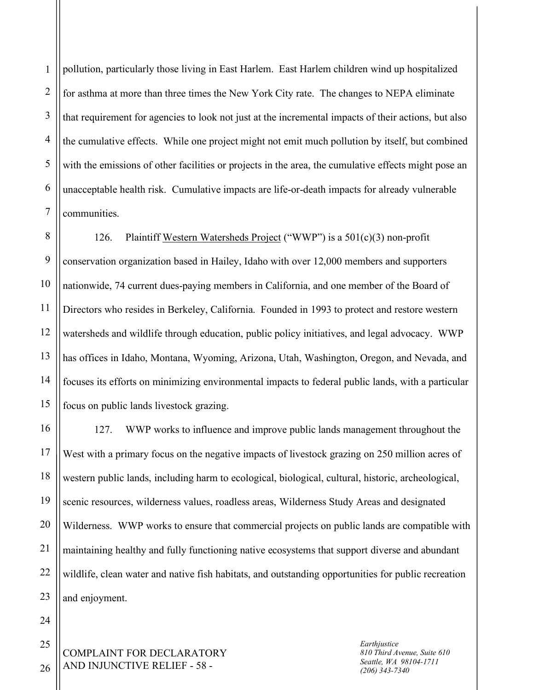1 2 3 4 5 6 7 pollution, particularly those living in East Harlem. East Harlem children wind up hospitalized for asthma at more than three times the New York City rate. The changes to NEPA eliminate that requirement for agencies to look not just at the incremental impacts of their actions, but also the cumulative effects. While one project might not emit much pollution by itself, but combined with the emissions of other facilities or projects in the area, the cumulative effects might pose an unacceptable health risk. Cumulative impacts are life-or-death impacts for already vulnerable communities.

8 9 10 11 12 13 14 15 126. Plaintiff Western Watersheds Project ("WWP") is a 501(c)(3) non-profit conservation organization based in Hailey, Idaho with over 12,000 members and supporters nationwide, 74 current dues-paying members in California, and one member of the Board of Directors who resides in Berkeley, California. Founded in 1993 to protect and restore western watersheds and wildlife through education, public policy initiatives, and legal advocacy. WWP has offices in Idaho, Montana, Wyoming, Arizona, Utah, Washington, Oregon, and Nevada, and focuses its efforts on minimizing environmental impacts to federal public lands, with a particular focus on public lands livestock grazing.

16 17 18 19 20 127. WWP works to influence and improve public lands management throughout the West with a primary focus on the negative impacts of livestock grazing on 250 million acres of western public lands, including harm to ecological, biological, cultural, historic, archeological, scenic resources, wilderness values, roadless areas, Wilderness Study Areas and designated Wilderness. WWP works to ensure that commercial projects on public lands are compatible with maintaining healthy and fully functioning native ecosystems that support diverse and abundant wildlife, clean water and native fish habitats, and outstanding opportunities for public recreation and enjoyment.

21

COMPLAINT FOR DECLARATORY AND INJUNCTIVE RELIEF - 58 -

*Earthjustice 810 Third Avenue, Suite 610 Seattle, WA 98104-1711 (206) 343-7340*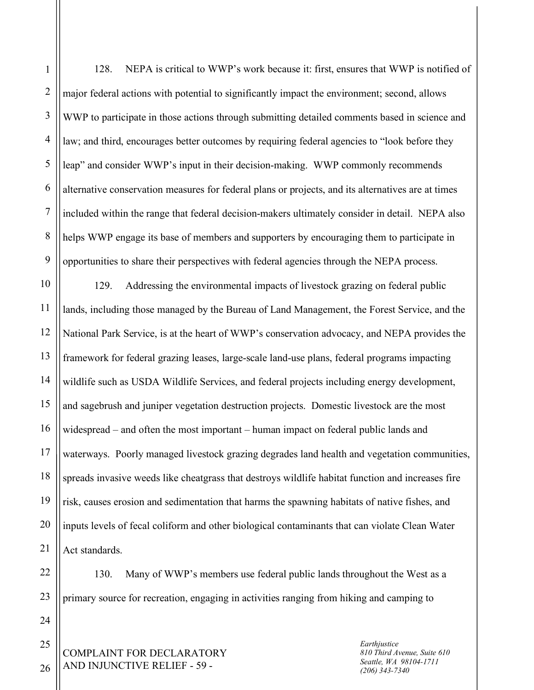1 2 3 4 5 6 7 8 9 10 11 12 128. NEPA is critical to WWP's work because it: first, ensures that WWP is notified of major federal actions with potential to significantly impact the environment; second, allows WWP to participate in those actions through submitting detailed comments based in science and law; and third, encourages better outcomes by requiring federal agencies to "look before they leap" and consider WWP's input in their decision-making. WWP commonly recommends alternative conservation measures for federal plans or projects, and its alternatives are at times included within the range that federal decision-makers ultimately consider in detail. NEPA also helps WWP engage its base of members and supporters by encouraging them to participate in opportunities to share their perspectives with federal agencies through the NEPA process. 129. Addressing the environmental impacts of livestock grazing on federal public lands, including those managed by the Bureau of Land Management, the Forest Service, and the

13 14 15 16 17 18 19 20 21 National Park Service, is at the heart of WWP's conservation advocacy, and NEPA provides the framework for federal grazing leases, large-scale land-use plans, federal programs impacting wildlife such as USDA Wildlife Services, and federal projects including energy development, and sagebrush and juniper vegetation destruction projects. Domestic livestock are the most widespread – and often the most important – human impact on federal public lands and waterways. Poorly managed livestock grazing degrades land health and vegetation communities, spreads invasive weeds like cheatgrass that destroys wildlife habitat function and increases fire risk, causes erosion and sedimentation that harms the spawning habitats of native fishes, and inputs levels of fecal coliform and other biological contaminants that can violate Clean Water Act standards.

130. Many of WWP's members use federal public lands throughout the West as a primary source for recreation, engaging in activities ranging from hiking and camping to

COMPLAINT FOR DECLARATORY AND INJUNCTIVE RELIEF - 59 -

*Earthjustice 810 Third Avenue, Suite 610 Seattle, WA 98104-1711 (206) 343-7340*

25 26

22

23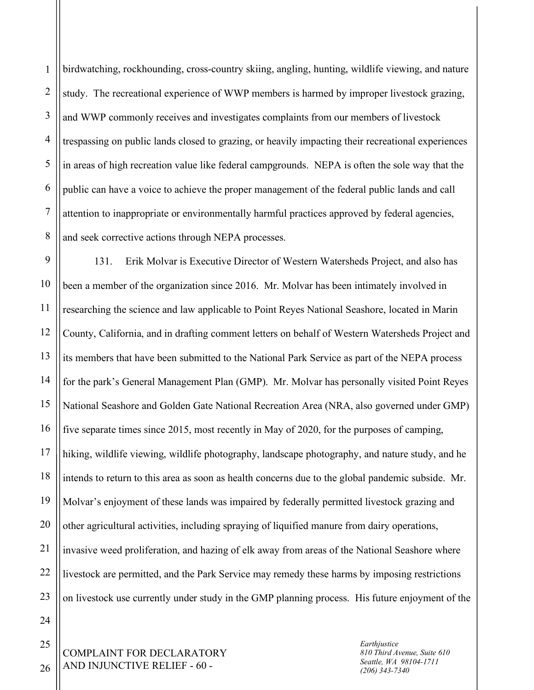1 2 3 4 5 6 7 8 birdwatching, rockhounding, cross-country skiing, angling, hunting, wildlife viewing, and nature study. The recreational experience of WWP members is harmed by improper livestock grazing, and WWP commonly receives and investigates complaints from our members of livestock trespassing on public lands closed to grazing, or heavily impacting their recreational experiences in areas of high recreation value like federal campgrounds. NEPA is often the sole way that the public can have a voice to achieve the proper management of the federal public lands and call attention to inappropriate or environmentally harmful practices approved by federal agencies, and seek corrective actions through NEPA processes.

9 10 11 12 13 14 15 16 17 18 19 20 21 22 23 131. Erik Molvar is Executive Director of Western Watersheds Project, and also has been a member of the organization since 2016. Mr. Molvar has been intimately involved in researching the science and law applicable to Point Reyes National Seashore, located in Marin County, California, and in drafting comment letters on behalf of Western Watersheds Project and its members that have been submitted to the National Park Service as part of the NEPA process for the park's General Management Plan (GMP). Mr. Molvar has personally visited Point Reyes National Seashore and Golden Gate National Recreation Area (NRA, also governed under GMP) five separate times since 2015, most recently in May of 2020, for the purposes of camping, hiking, wildlife viewing, wildlife photography, landscape photography, and nature study, and he intends to return to this area as soon as health concerns due to the global pandemic subside. Mr. Molvar's enjoyment of these lands was impaired by federally permitted livestock grazing and other agricultural activities, including spraying of liquified manure from dairy operations, invasive weed proliferation, and hazing of elk away from areas of the National Seashore where livestock are permitted, and the Park Service may remedy these harms by imposing restrictions on livestock use currently under study in the GMP planning process. His future enjoyment of the

24

25

26

*Earthjustice 810 Third Avenue, Suite 610 Seattle, WA 98104-1711 (206) 343-7340*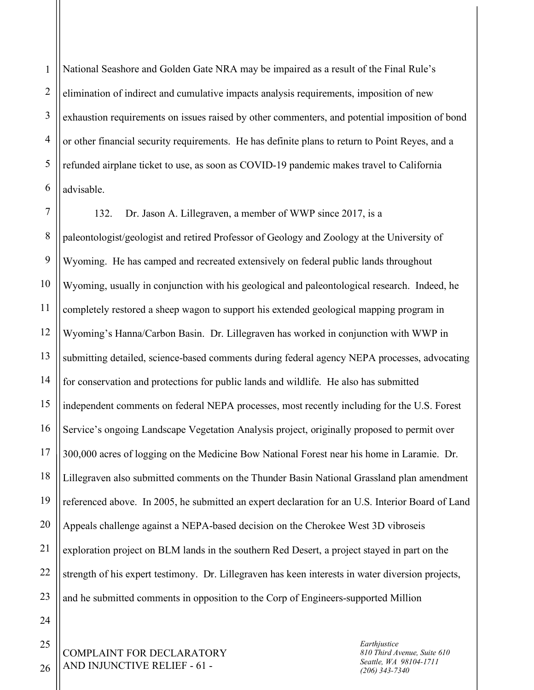1 2 3 4 5 6 National Seashore and Golden Gate NRA may be impaired as a result of the Final Rule's elimination of indirect and cumulative impacts analysis requirements, imposition of new exhaustion requirements on issues raised by other commenters, and potential imposition of bond or other financial security requirements. He has definite plans to return to Point Reyes, and a refunded airplane ticket to use, as soon as COVID-19 pandemic makes travel to California advisable.

7 8 9 10 11 12 13 14 15 16 17 18 19 20 21 22 23 132. Dr. Jason A. Lillegraven, a member of WWP since 2017, is a paleontologist/geologist and retired Professor of Geology and Zoology at the University of Wyoming. He has camped and recreated extensively on federal public lands throughout Wyoming, usually in conjunction with his geological and paleontological research. Indeed, he completely restored a sheep wagon to support his extended geological mapping program in Wyoming's Hanna/Carbon Basin. Dr. Lillegraven has worked in conjunction with WWP in submitting detailed, science-based comments during federal agency NEPA processes, advocating for conservation and protections for public lands and wildlife. He also has submitted independent comments on federal NEPA processes, most recently including for the U.S. Forest Service's ongoing Landscape Vegetation Analysis project, originally proposed to permit over 300,000 acres of logging on the Medicine Bow National Forest near his home in Laramie. Dr. Lillegraven also submitted comments on the Thunder Basin National Grassland plan amendment referenced above. In 2005, he submitted an expert declaration for an U.S. Interior Board of Land Appeals challenge against a NEPA-based decision on the Cherokee West 3D vibroseis exploration project on BLM lands in the southern Red Desert, a project stayed in part on the strength of his expert testimony. Dr. Lillegraven has keen interests in water diversion projects, and he submitted comments in opposition to the Corp of Engineers-supported Million

COMPLAINT FOR DECLARATORY AND INJUNCTIVE RELIEF - 61 -

*Earthjustice 810 Third Avenue, Suite 610 Seattle, WA 98104-1711 (206) 343-7340*

26

24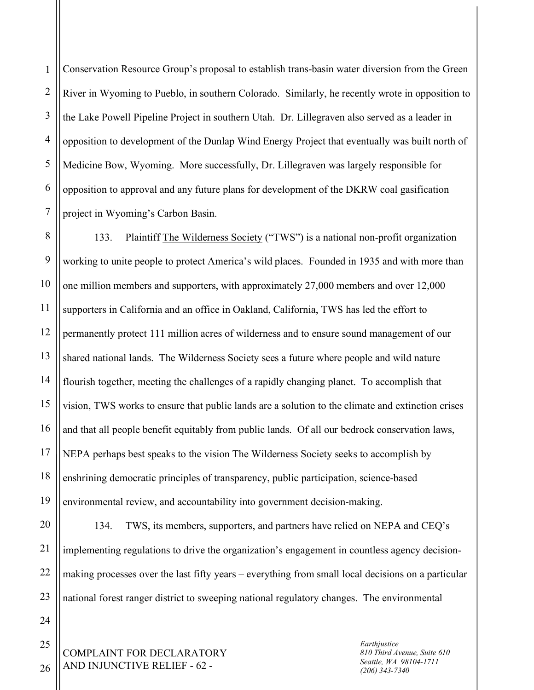1 2 3 4 5 6 7 Conservation Resource Group's proposal to establish trans-basin water diversion from the Green River in Wyoming to Pueblo, in southern Colorado. Similarly, he recently wrote in opposition to the Lake Powell Pipeline Project in southern Utah. Dr. Lillegraven also served as a leader in opposition to development of the Dunlap Wind Energy Project that eventually was built north of Medicine Bow, Wyoming. More successfully, Dr. Lillegraven was largely responsible for opposition to approval and any future plans for development of the DKRW coal gasification project in Wyoming's Carbon Basin.

8 9 10 11 12 13 14 15 16 17 18 19 133. Plaintiff The Wilderness Society ("TWS") is a national non-profit organization working to unite people to protect America's wild places. Founded in 1935 and with more than one million members and supporters, with approximately 27,000 members and over 12,000 supporters in California and an office in Oakland, California, TWS has led the effort to permanently protect 111 million acres of wilderness and to ensure sound management of our shared national lands. The Wilderness Society sees a future where people and wild nature flourish together, meeting the challenges of a rapidly changing planet. To accomplish that vision, TWS works to ensure that public lands are a solution to the climate and extinction crises and that all people benefit equitably from public lands. Of all our bedrock conservation laws, NEPA perhaps best speaks to the vision The Wilderness Society seeks to accomplish by enshrining democratic principles of transparency, public participation, science-based environmental review, and accountability into government decision-making.

20 21 22 23 134. TWS, its members, supporters, and partners have relied on NEPA and CEQ's implementing regulations to drive the organization's engagement in countless agency decisionmaking processes over the last fifty years – everything from small local decisions on a particular national forest ranger district to sweeping national regulatory changes. The environmental

COMPLAINT FOR DECLARATORY AND INJUNCTIVE RELIEF - 62 -

*Earthjustice 810 Third Avenue, Suite 610 Seattle, WA 98104-1711 (206) 343-7340*

26

24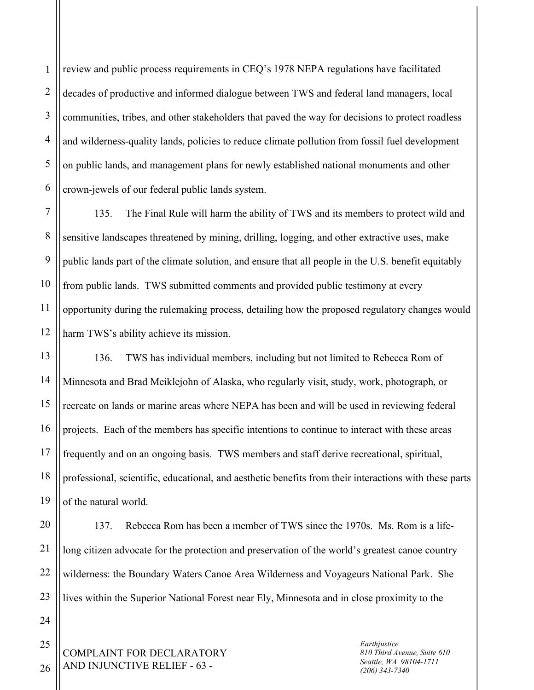1 2 3 review and public process requirements in CEQ's 1978 NEPA regulations have facilitated decades of productive and informed dialogue between TWS and federal land managers, local communities, tribes, and other stakeholders that paved the way for decisions to protect roadless and wilderness-quality lands, policies to reduce climate pollution from fossil fuel development on public lands, and management plans for newly established national monuments and other crown-jewels of our federal public lands system.

135. The Final Rule will harm the ability of TWS and its members to protect wild and sensitive landscapes threatened by mining, drilling, logging, and other extractive uses, make public lands part of the climate solution, and ensure that all people in the U.S. benefit equitably from public lands. TWS submitted comments and provided public testimony at every opportunity during the rulemaking process, detailing how the proposed regulatory changes would harm TWS's ability achieve its mission.

136. TWS has individual members, including but not limited to Rebecca Rom of Minnesota and Brad Meiklejohn of Alaska, who regularly visit, study, work, photograph, or recreate on lands or marine areas where NEPA has been and will be used in reviewing federal projects. Each of the members has specific intentions to continue to interact with these areas frequently and on an ongoing basis. TWS members and staff derive recreational, spiritual, professional, scientific, educational, and aesthetic benefits from their interactions with these parts of the natural world.

137. Rebecca Rom has been a member of TWS since the 1970s. Ms. Rom is a lifelong citizen advocate for the protection and preservation of the world's greatest canoe country wilderness: the Boundary Waters Canoe Area Wilderness and Voyageurs National Park. She lives within the Superior National Forest near Ely, Minnesota and in close proximity to the

COMPLAINT FOR DECLARATORY AND INJUNCTIVE RELIEF - 63 -

*Earthjustice 810 Third Avenue, Suite 610 Seattle, WA 98104-1711 (206) 343-7340*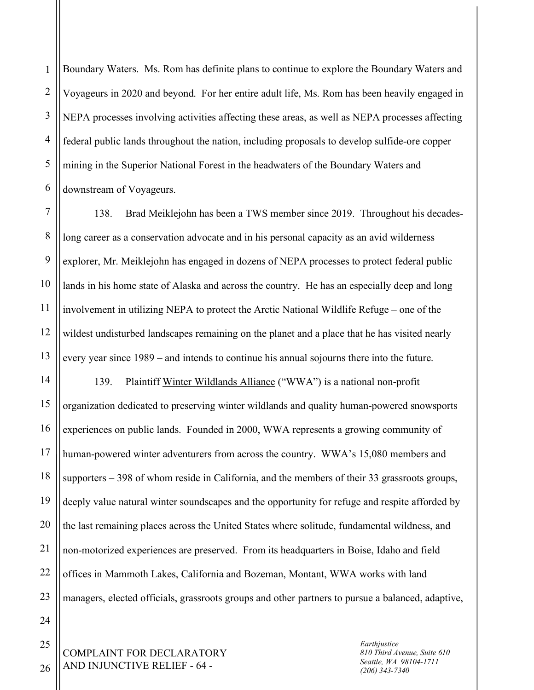1 2 3 4 5 6 Boundary Waters. Ms. Rom has definite plans to continue to explore the Boundary Waters and Voyageurs in 2020 and beyond. For her entire adult life, Ms. Rom has been heavily engaged in NEPA processes involving activities affecting these areas, as well as NEPA processes affecting federal public lands throughout the nation, including proposals to develop sulfide-ore copper mining in the Superior National Forest in the headwaters of the Boundary Waters and downstream of Voyageurs.

7 8 9 10 11 12 13 138. Brad Meiklejohn has been a TWS member since 2019. Throughout his decadeslong career as a conservation advocate and in his personal capacity as an avid wilderness explorer, Mr. Meiklejohn has engaged in dozens of NEPA processes to protect federal public lands in his home state of Alaska and across the country. He has an especially deep and long involvement in utilizing NEPA to protect the Arctic National Wildlife Refuge – one of the wildest undisturbed landscapes remaining on the planet and a place that he has visited nearly every year since 1989 – and intends to continue his annual sojourns there into the future.

14 15 16 20 23 139. Plaintiff Winter Wildlands Alliance ("WWA") is a national non-profit organization dedicated to preserving winter wildlands and quality human-powered snowsports experiences on public lands. Founded in 2000, WWA represents a growing community of human-powered winter adventurers from across the country. WWA's 15,080 members and supporters – 398 of whom reside in California, and the members of their 33 grassroots groups, deeply value natural winter soundscapes and the opportunity for refuge and respite afforded by the last remaining places across the United States where solitude, fundamental wildness, and non-motorized experiences are preserved. From its headquarters in Boise, Idaho and field offices in Mammoth Lakes, California and Bozeman, Montant, WWA works with land managers, elected officials, grassroots groups and other partners to pursue a balanced, adaptive,

COMPLAINT FOR DECLARATORY AND INJUNCTIVE RELIEF - 64 -

*Earthjustice 810 Third Avenue, Suite 610 Seattle, WA 98104-1711 (206) 343-7340*

26

17

18

19

21

22

24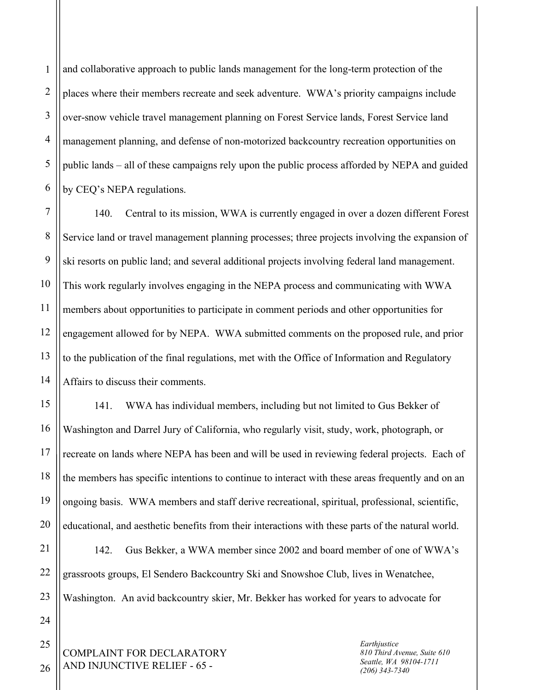1 2 3 4 5 6 and collaborative approach to public lands management for the long-term protection of the places where their members recreate and seek adventure. WWA's priority campaigns include over-snow vehicle travel management planning on Forest Service lands, Forest Service land management planning, and defense of non-motorized backcountry recreation opportunities on public lands – all of these campaigns rely upon the public process afforded by NEPA and guided by CEQ's NEPA regulations.

7 8 9 10 11 12 13 14 140. Central to its mission, WWA is currently engaged in over a dozen different Forest Service land or travel management planning processes; three projects involving the expansion of ski resorts on public land; and several additional projects involving federal land management. This work regularly involves engaging in the NEPA process and communicating with WWA members about opportunities to participate in comment periods and other opportunities for engagement allowed for by NEPA. WWA submitted comments on the proposed rule, and prior to the publication of the final regulations, met with the Office of Information and Regulatory Affairs to discuss their comments.

141. WWA has individual members, including but not limited to Gus Bekker of Washington and Darrel Jury of California, who regularly visit, study, work, photograph, or recreate on lands where NEPA has been and will be used in reviewing federal projects. Each of the members has specific intentions to continue to interact with these areas frequently and on an ongoing basis. WWA members and staff derive recreational, spiritual, professional, scientific, educational, and aesthetic benefits from their interactions with these parts of the natural world.

21 22 23 142. Gus Bekker, a WWA member since 2002 and board member of one of WWA's grassroots groups, El Sendero Backcountry Ski and Snowshoe Club, lives in Wenatchee, Washington. An avid backcountry skier, Mr. Bekker has worked for years to advocate for

COMPLAINT FOR DECLARATORY AND INJUNCTIVE RELIEF - 65 -

*Earthjustice 810 Third Avenue, Suite 610 Seattle, WA 98104-1711 (206) 343-7340*

24 25 26

15

16

17

18

19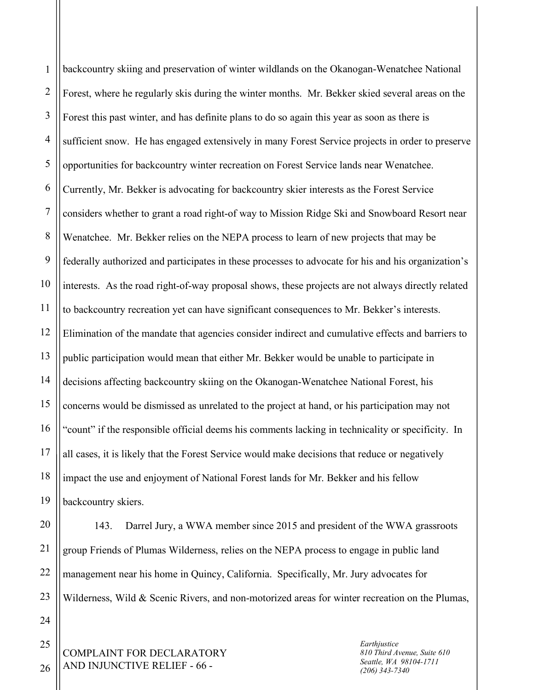1 2 3 4 5 6 7 8 9 10 11 12 13 14 15 16 17 18 19 backcountry skiing and preservation of winter wildlands on the Okanogan-Wenatchee National Forest, where he regularly skis during the winter months. Mr. Bekker skied several areas on the Forest this past winter, and has definite plans to do so again this year as soon as there is sufficient snow. He has engaged extensively in many Forest Service projects in order to preserve opportunities for backcountry winter recreation on Forest Service lands near Wenatchee. Currently, Mr. Bekker is advocating for backcountry skier interests as the Forest Service considers whether to grant a road right-of way to Mission Ridge Ski and Snowboard Resort near Wenatchee. Mr. Bekker relies on the NEPA process to learn of new projects that may be federally authorized and participates in these processes to advocate for his and his organization's interests. As the road right-of-way proposal shows, these projects are not always directly related to backcountry recreation yet can have significant consequences to Mr. Bekker's interests. Elimination of the mandate that agencies consider indirect and cumulative effects and barriers to public participation would mean that either Mr. Bekker would be unable to participate in decisions affecting backcountry skiing on the Okanogan-Wenatchee National Forest, his concerns would be dismissed as unrelated to the project at hand, or his participation may not "count" if the responsible official deems his comments lacking in technicality or specificity. In all cases, it is likely that the Forest Service would make decisions that reduce or negatively impact the use and enjoyment of National Forest lands for Mr. Bekker and his fellow backcountry skiers.

20 21 22 23 143. Darrel Jury, a WWA member since 2015 and president of the WWA grassroots group Friends of Plumas Wilderness, relies on the NEPA process to engage in public land management near his home in Quincy, California. Specifically, Mr. Jury advocates for Wilderness, Wild & Scenic Rivers, and non-motorized areas for winter recreation on the Plumas,

COMPLAINT FOR DECLARATORY AND INJUNCTIVE RELIEF - 66 -

*Earthjustice 810 Third Avenue, Suite 610 Seattle, WA 98104-1711 (206) 343-7340*

26

24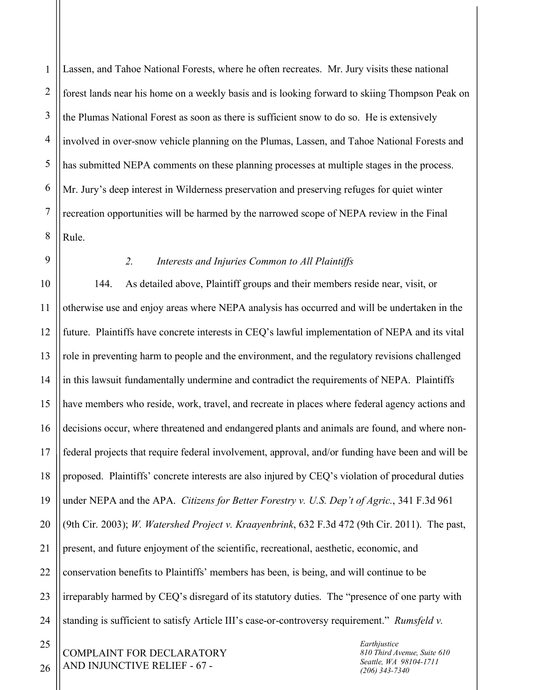1 2 3 4 5 6 7 8 Lassen, and Tahoe National Forests, where he often recreates. Mr. Jury visits these national forest lands near his home on a weekly basis and is looking forward to skiing Thompson Peak on the Plumas National Forest as soon as there is sufficient snow to do so. He is extensively involved in over-snow vehicle planning on the Plumas, Lassen, and Tahoe National Forests and has submitted NEPA comments on these planning processes at multiple stages in the process. Mr. Jury's deep interest in Wilderness preservation and preserving refuges for quiet winter recreation opportunities will be harmed by the narrowed scope of NEPA review in the Final Rule.

## *2. Interests and Injuries Common to All Plaintiffs*

144. As detailed above, Plaintiff groups and their members reside near, visit, or otherwise use and enjoy areas where NEPA analysis has occurred and will be undertaken in the future. Plaintiffs have concrete interests in CEQ's lawful implementation of NEPA and its vital role in preventing harm to people and the environment, and the regulatory revisions challenged in this lawsuit fundamentally undermine and contradict the requirements of NEPA. Plaintiffs have members who reside, work, travel, and recreate in places where federal agency actions and decisions occur, where threatened and endangered plants and animals are found, and where nonfederal projects that require federal involvement, approval, and/or funding have been and will be proposed. Plaintiffs' concrete interests are also injured by CEQ's violation of procedural duties under NEPA and the APA. *Citizens for Better Forestry v. U.S. Dep't of Agric.*, 341 F.3d 961 (9th Cir. 2003); *W. Watershed Project v. Kraayenbrink*, 632 F.3d 472 (9th Cir. 2011). The past, present, and future enjoyment of the scientific, recreational, aesthetic, economic, and conservation benefits to Plaintiffs' members has been, is being, and will continue to be irreparably harmed by CEQ's disregard of its statutory duties. The "presence of one party with standing is sufficient to satisfy Article III's case-or-controversy requirement." *Rumsfeld v.* 

COMPLAINT FOR DECLARATORY AND INJUNCTIVE RELIEF - 67 -

*Earthjustice 810 Third Avenue, Suite 610 Seattle, WA 98104-1711 (206) 343-7340*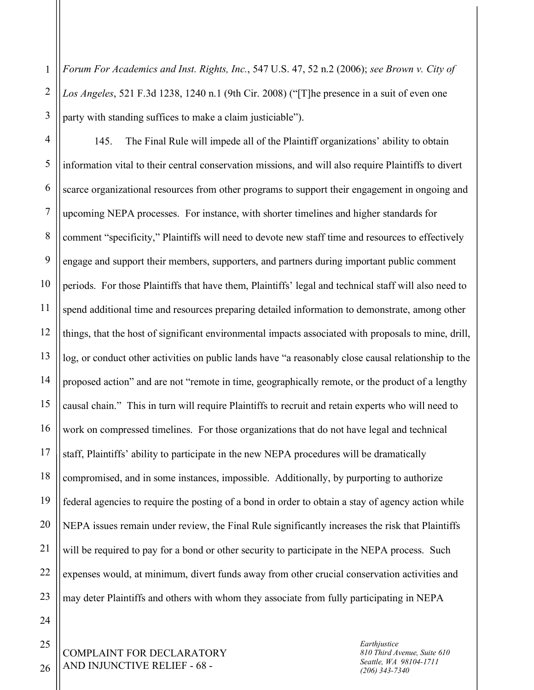1 2 3 *Forum For Academics and Inst. Rights, Inc.*, 547 U.S. 47, 52 n.2 (2006); *see Brown v. City of Los Angeles*, 521 F.3d 1238, 1240 n.1 (9th Cir. 2008) ("[T]he presence in a suit of even one party with standing suffices to make a claim justiciable").

4 5 6 7 8 9 10 11 12 13 14 15 16 17 145. The Final Rule will impede all of the Plaintiff organizations' ability to obtain information vital to their central conservation missions, and will also require Plaintiffs to divert scarce organizational resources from other programs to support their engagement in ongoing and upcoming NEPA processes. For instance, with shorter timelines and higher standards for comment "specificity," Plaintiffs will need to devote new staff time and resources to effectively engage and support their members, supporters, and partners during important public comment periods. For those Plaintiffs that have them, Plaintiffs' legal and technical staff will also need to spend additional time and resources preparing detailed information to demonstrate, among other things, that the host of significant environmental impacts associated with proposals to mine, drill, log, or conduct other activities on public lands have "a reasonably close causal relationship to the proposed action" and are not "remote in time, geographically remote, or the product of a lengthy causal chain." This in turn will require Plaintiffs to recruit and retain experts who will need to work on compressed timelines. For those organizations that do not have legal and technical staff, Plaintiffs' ability to participate in the new NEPA procedures will be dramatically compromised, and in some instances, impossible. Additionally, by purporting to authorize federal agencies to require the posting of a bond in order to obtain a stay of agency action while NEPA issues remain under review, the Final Rule significantly increases the risk that Plaintiffs will be required to pay for a bond or other security to participate in the NEPA process. Such expenses would, at minimum, divert funds away from other crucial conservation activities and may deter Plaintiffs and others with whom they associate from fully participating in NEPA

26

COMPLAINT FOR DECLARATORY AND INJUNCTIVE RELIEF - 68 -

*Earthjustice 810 Third Avenue, Suite 610 Seattle, WA 98104-1711 (206) 343-7340*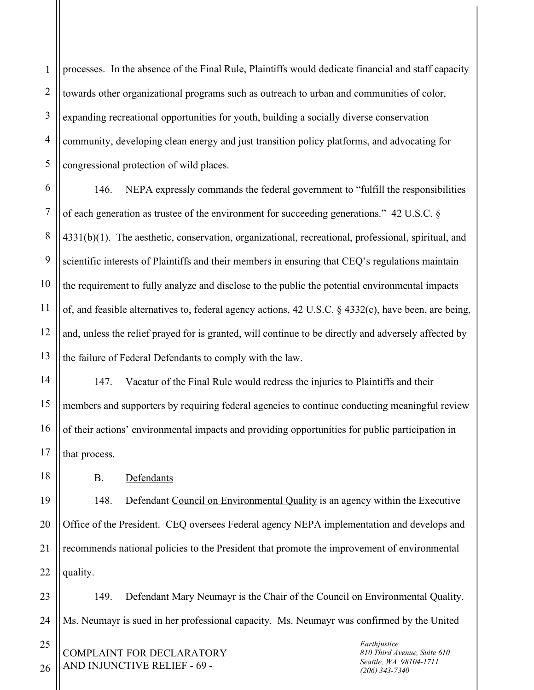1 2 3 4 5 processes. In the absence of the Final Rule, Plaintiffs would dedicate financial and staff capacity towards other organizational programs such as outreach to urban and communities of color, expanding recreational opportunities for youth, building a socially diverse conservation community, developing clean energy and just transition policy platforms, and advocating for congressional protection of wild places.

6 7 8 9 10 11 12 13 146. NEPA expressly commands the federal government to "fulfill the responsibilities of each generation as trustee of the environment for succeeding generations." 42 U.S.C. § 4331(b)(1). The aesthetic, conservation, organizational, recreational, professional, spiritual, and scientific interests of Plaintiffs and their members in ensuring that CEQ's regulations maintain the requirement to fully analyze and disclose to the public the potential environmental impacts of, and feasible alternatives to, federal agency actions, 42 U.S.C. § 4332(c), have been, are being, and, unless the relief prayed for is granted, will continue to be directly and adversely affected by the failure of Federal Defendants to comply with the law.

147. Vacatur of the Final Rule would redress the injuries to Plaintiffs and their members and supporters by requiring federal agencies to continue conducting meaningful review of their actions' environmental impacts and providing opportunities for public participation in that process.

B. Defendants

148. Defendant Council on Environmental Quality is an agency within the Executive Office of the President. CEQ oversees Federal agency NEPA implementation and develops and recommends national policies to the President that promote the improvement of environmental quality.

149. Defendant Mary Neumayr is the Chair of the Council on Environmental Quality. Ms. Neumayr is sued in her professional capacity. Ms. Neumayr was confirmed by the United

COMPLAINT FOR DECLARATORY AND INJUNCTIVE RELIEF - 69 -

*Earthjustice 810 Third Avenue, Suite 610 Seattle, WA 98104-1711 (206) 343-7340*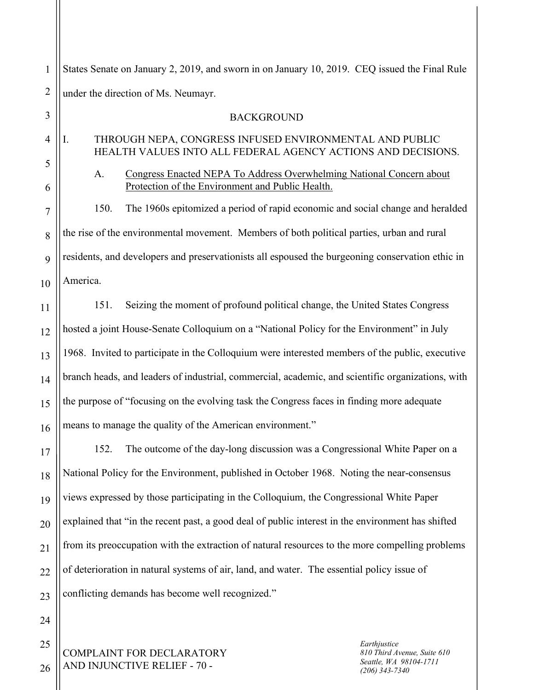1 2 States Senate on January 2, 2019, and sworn in on January 10, 2019. CEQ issued the Final Rule under the direction of Ms. Neumayr.

## 3 4 5 6 7 8 9 10 11 12 13 14 15 16 17 18 BACKGROUND I. THROUGH NEPA, CONGRESS INFUSED ENVIRONMENTAL AND PUBLIC HEALTH VALUES INTO ALL FEDERAL AGENCY ACTIONS AND DECISIONS. A. Congress Enacted NEPA To Address Overwhelming National Concern about Protection of the Environment and Public Health. 150. The 1960s epitomized a period of rapid economic and social change and heralded the rise of the environmental movement. Members of both political parties, urban and rural residents, and developers and preservationists all espoused the burgeoning conservation ethic in America. 151. Seizing the moment of profound political change, the United States Congress hosted a joint House-Senate Colloquium on a "National Policy for the Environment" in July 1968. Invited to participate in the Colloquium were interested members of the public, executive branch heads, and leaders of industrial, commercial, academic, and scientific organizations, with the purpose of "focusing on the evolving task the Congress faces in finding more adequate means to manage the quality of the American environment." 152. The outcome of the day-long discussion was a Congressional White Paper on a National Policy for the Environment, published in October 1968. Noting the near-consensus

19 20 21 22 23 views expressed by those participating in the Colloquium, the Congressional White Paper explained that "in the recent past, a good deal of public interest in the environment has shifted from its preoccupation with the extraction of natural resources to the more compelling problems of deterioration in natural systems of air, land, and water. The essential policy issue of conflicting demands has become well recognized."

COMPLAINT FOR DECLARATORY AND INJUNCTIVE RELIEF - 70 -

*Earthjustice 810 Third Avenue, Suite 610 Seattle, WA 98104-1711 (206) 343-7340*

26

24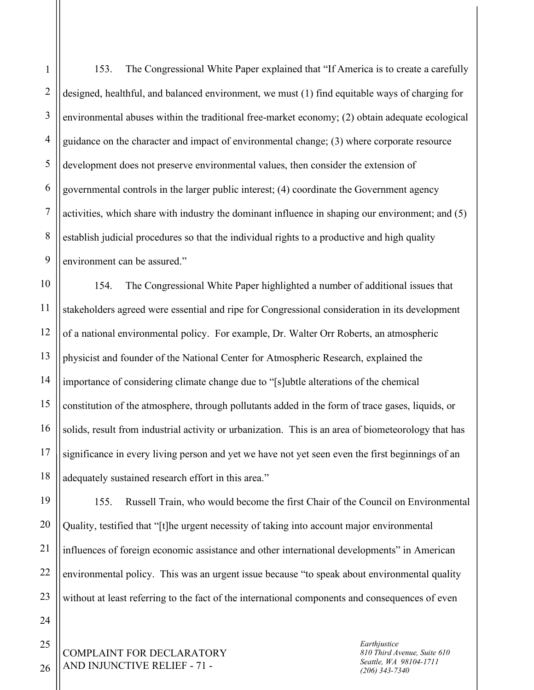1 2 3 4 5 6 7 8 9 153. The Congressional White Paper explained that "If America is to create a carefully designed, healthful, and balanced environment, we must (1) find equitable ways of charging for environmental abuses within the traditional free-market economy; (2) obtain adequate ecological guidance on the character and impact of environmental change; (3) where corporate resource development does not preserve environmental values, then consider the extension of governmental controls in the larger public interest; (4) coordinate the Government agency activities, which share with industry the dominant influence in shaping our environment; and (5) establish judicial procedures so that the individual rights to a productive and high quality environment can be assured."

10 11 12 13 14 15 16 17 18 154. The Congressional White Paper highlighted a number of additional issues that stakeholders agreed were essential and ripe for Congressional consideration in its development of a national environmental policy. For example, Dr. Walter Orr Roberts, an atmospheric physicist and founder of the National Center for Atmospheric Research, explained the importance of considering climate change due to "[s]ubtle alterations of the chemical constitution of the atmosphere, through pollutants added in the form of trace gases, liquids, or solids, result from industrial activity or urbanization. This is an area of biometeorology that has significance in every living person and yet we have not yet seen even the first beginnings of an adequately sustained research effort in this area."

19 20 21 22 23 155. Russell Train, who would become the first Chair of the Council on Environmental Quality, testified that "[t]he urgent necessity of taking into account major environmental influences of foreign economic assistance and other international developments" in American environmental policy. This was an urgent issue because "to speak about environmental quality without at least referring to the fact of the international components and consequences of even

COMPLAINT FOR DECLARATORY AND INJUNCTIVE RELIEF - 71 -

*Earthjustice 810 Third Avenue, Suite 610 Seattle, WA 98104-1711 (206) 343-7340*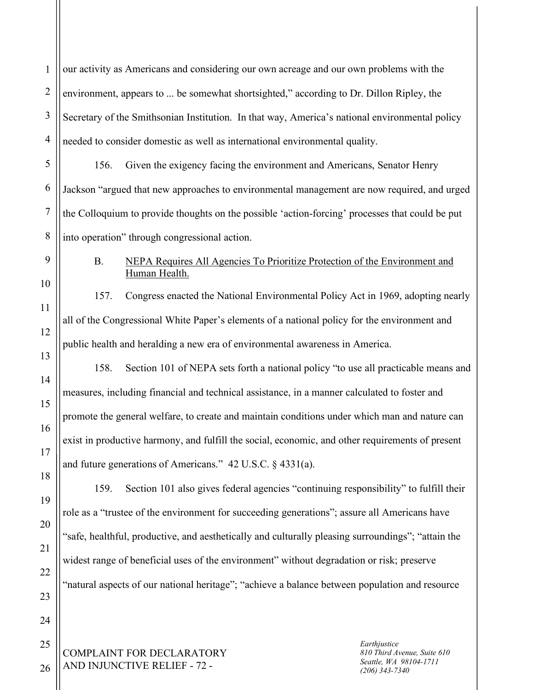COMPLAINT FOR DECLARATORY AND INJUNCTIVE RELIEF - 72 - 1 2 3 4 5 6 7 8 9 10 11 12 13 14 15 16 17 18 19 20 21 22 23 24 25 26 *Earthjustice 810 Third Avenue, Suite 610 Seattle, WA 98104-1711 (206) 343-7340* our activity as Americans and considering our own acreage and our own problems with the environment, appears to ... be somewhat shortsighted," according to Dr. Dillon Ripley, the Secretary of the Smithsonian Institution. In that way, America's national environmental policy needed to consider domestic as well as international environmental quality. 156. Given the exigency facing the environment and Americans, Senator Henry Jackson "argued that new approaches to environmental management are now required, and urged the Colloquium to provide thoughts on the possible 'action-forcing' processes that could be put into operation" through congressional action. B. NEPA Requires All Agencies To Prioritize Protection of the Environment and Human Health. 157. Congress enacted the National Environmental Policy Act in 1969, adopting nearly all of the Congressional White Paper's elements of a national policy for the environment and public health and heralding a new era of environmental awareness in America. 158. Section 101 of NEPA sets forth a national policy "to use all practicable means and measures, including financial and technical assistance, in a manner calculated to foster and promote the general welfare, to create and maintain conditions under which man and nature can exist in productive harmony, and fulfill the social, economic, and other requirements of present and future generations of Americans." 42 U.S.C. § 4331(a). 159. Section 101 also gives federal agencies "continuing responsibility" to fulfill their role as a "trustee of the environment for succeeding generations"; assure all Americans have "safe, healthful, productive, and aesthetically and culturally pleasing surroundings"; "attain the widest range of beneficial uses of the environment" without degradation or risk; preserve "natural aspects of our national heritage"; "achieve a balance between population and resource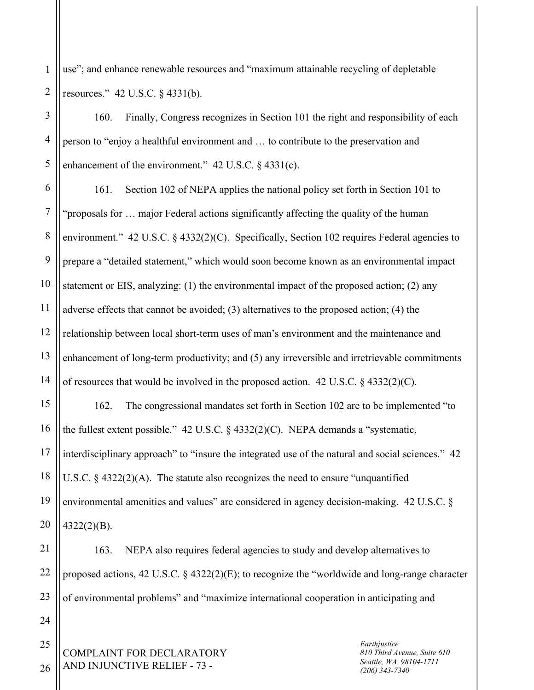1 2 use"; and enhance renewable resources and "maximum attainable recycling of depletable resources." 42 U.S.C. § 4331(b).

3 4 5 160. Finally, Congress recognizes in Section 101 the right and responsibility of each person to "enjoy a healthful environment and … to contribute to the preservation and enhancement of the environment." 42 U.S.C. § 4331(c).

6 7 8 9 10 11 12 13 14 161. Section 102 of NEPA applies the national policy set forth in Section 101 to "proposals for … major Federal actions significantly affecting the quality of the human environment." 42 U.S.C. § 4332(2)(C). Specifically, Section 102 requires Federal agencies to prepare a "detailed statement," which would soon become known as an environmental impact statement or EIS, analyzing: (1) the environmental impact of the proposed action; (2) any adverse effects that cannot be avoided; (3) alternatives to the proposed action; (4) the relationship between local short-term uses of man's environment and the maintenance and enhancement of long-term productivity; and (5) any irreversible and irretrievable commitments of resources that would be involved in the proposed action. 42 U.S.C.  $\S$  4332(2)(C).

15 16 17 18 19 20 162. The congressional mandates set forth in Section 102 are to be implemented "to the fullest extent possible." 42 U.S.C.  $\frac{24332(2)(C)}{C}$ . NEPA demands a "systematic, interdisciplinary approach" to "insure the integrated use of the natural and social sciences." 42 U.S.C.  $\S$  4322(2)(A). The statute also recognizes the need to ensure "unquantified" environmental amenities and values" are considered in agency decision-making. 42 U.S.C. § 4322(2)(B).

21 22 23 163. NEPA also requires federal agencies to study and develop alternatives to proposed actions, 42 U.S.C. § 4322(2)(E); to recognize the "worldwide and long-range character of environmental problems" and "maximize international cooperation in anticipating and

COMPLAINT FOR DECLARATORY AND INJUNCTIVE RELIEF - 73 -

*Earthjustice 810 Third Avenue, Suite 610 Seattle, WA 98104-1711 (206) 343-7340*

26

24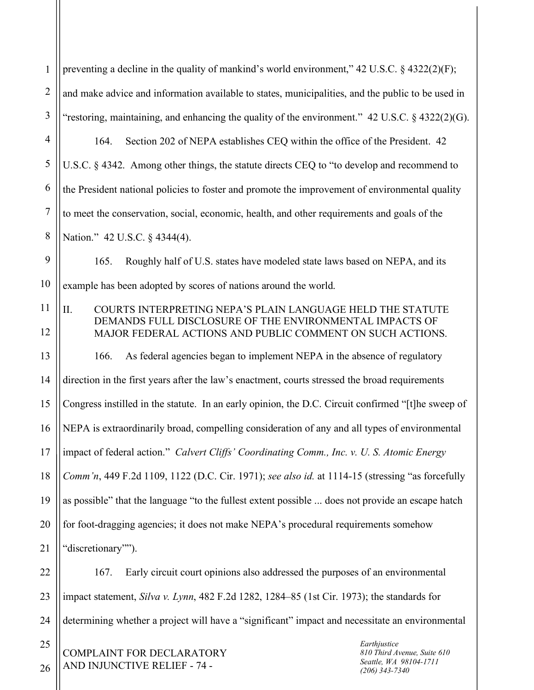1 2 3 preventing a decline in the quality of mankind's world environment," 42 U.S.C. § 4322(2)(F); and make advice and information available to states, municipalities, and the public to be used in "restoring, maintaining, and enhancing the quality of the environment." 42 U.S.C. § 4322(2)(G).

4 5 6 7 8 164. Section 202 of NEPA establishes CEQ within the office of the President. 42 U.S.C. § 4342. Among other things, the statute directs CEQ to "to develop and recommend to the President national policies to foster and promote the improvement of environmental quality to meet the conservation, social, economic, health, and other requirements and goals of the Nation." 42 U.S.C. § 4344(4).

9 10 165. Roughly half of U.S. states have modeled state laws based on NEPA, and its example has been adopted by scores of nations around the world.

11 12 II. COURTS INTERPRETING NEPA'S PLAIN LANGUAGE HELD THE STATUTE DEMANDS FULL DISCLOSURE OF THE ENVIRONMENTAL IMPACTS OF MAJOR FEDERAL ACTIONS AND PUBLIC COMMENT ON SUCH ACTIONS.

13 14 15 16 17 18 19 20 21 166. As federal agencies began to implement NEPA in the absence of regulatory direction in the first years after the law's enactment, courts stressed the broad requirements Congress instilled in the statute. In an early opinion, the D.C. Circuit confirmed "[t]he sweep of NEPA is extraordinarily broad, compelling consideration of any and all types of environmental impact of federal action." *Calvert Cliffs' Coordinating Comm., Inc. v. U. S. Atomic Energy Comm'n*, 449 F.2d 1109, 1122 (D.C. Cir. 1971); *see also id.* at 1114-15 (stressing "as forcefully as possible" that the language "to the fullest extent possible ... does not provide an escape hatch for foot-dragging agencies; it does not make NEPA's procedural requirements somehow "discretionary"").

22 23 24 167. Early circuit court opinions also addressed the purposes of an environmental impact statement, *Silva v. Lynn*, 482 F.2d 1282, 1284–85 (1st Cir. 1973); the standards for determining whether a project will have a "significant" impact and necessitate an environmental

COMPLAINT FOR DECLARATORY AND INJUNCTIVE RELIEF - 74 -

25

26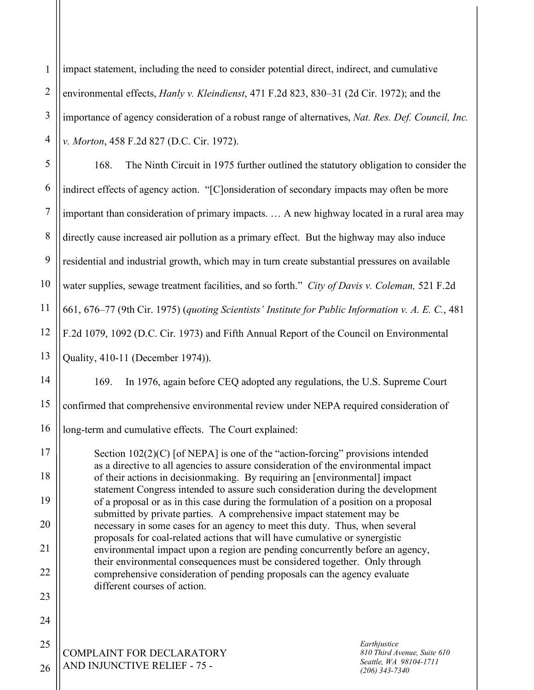1 2 3 4 impact statement, including the need to consider potential direct, indirect, and cumulative environmental effects, *Hanly v. Kleindienst*, 471 F.2d 823, 830–31 (2d Cir. 1972); and the importance of agency consideration of a robust range of alternatives, *Nat. Res. Def. Council, Inc. v. Morton*, 458 F.2d 827 (D.C. Cir. 1972).

5 6 7 8 9 10 11 12 13 168. The Ninth Circuit in 1975 further outlined the statutory obligation to consider the indirect effects of agency action. "[C]onsideration of secondary impacts may often be more important than consideration of primary impacts. … A new highway located in a rural area may directly cause increased air pollution as a primary effect. But the highway may also induce residential and industrial growth, which may in turn create substantial pressures on available water supplies, sewage treatment facilities, and so forth." *City of Davis v. Coleman,* 521 F.2d 661, 676–77 (9th Cir. 1975) (*quoting Scientists' Institute for Public Information v. A. E. C.*, 481 F.2d 1079, 1092 (D.C. Cir. 1973) and Fifth Annual Report of the Council on Environmental Quality, 410-11 (December 1974)).

14 15 16 169. In 1976, again before CEQ adopted any regulations, the U.S. Supreme Court confirmed that comprehensive environmental review under NEPA required consideration of long-term and cumulative effects. The Court explained:

Section  $102(2)(C)$  [of NEPA] is one of the "action-forcing" provisions intended as a directive to all agencies to assure consideration of the environmental impact of their actions in decisionmaking. By requiring an [environmental] impact statement Congress intended to assure such consideration during the development of a proposal or as in this case during the formulation of a position on a proposal submitted by private parties. A comprehensive impact statement may be necessary in some cases for an agency to meet this duty. Thus, when several proposals for coal-related actions that will have cumulative or synergistic environmental impact upon a region are pending concurrently before an agency, their environmental consequences must be considered together. Only through comprehensive consideration of pending proposals can the agency evaluate different courses of action.

COMPLAINT FOR DECLARATORY AND INJUNCTIVE RELIEF - 75 -

17

18

19

20

21

22

23

24

25

26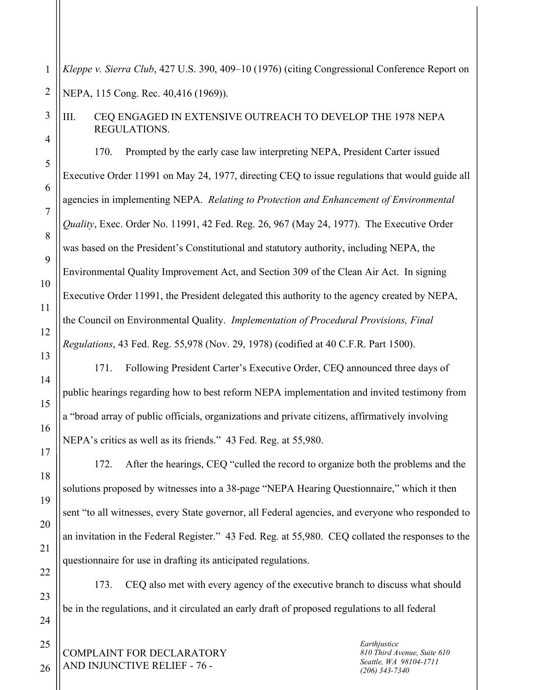1 2 *Kleppe v. Sierra Club*, 427 U.S. 390, 409–10 (1976) (citing Congressional Conference Report on NEPA, 115 Cong. Rec. 40,416 (1969)).

III. CEQ ENGAGED IN EXTENSIVE OUTREACH TO DEVELOP THE 1978 NEPA REGULATIONS.

170. Prompted by the early case law interpreting NEPA, President Carter issued Executive Order 11991 on May 24, 1977, directing CEQ to issue regulations that would guide all agencies in implementing NEPA. *Relating to Protection and Enhancement of Environmental Quality*, Exec. Order No. 11991, 42 Fed. Reg. 26, 967 (May 24, 1977). The Executive Order was based on the President's Constitutional and statutory authority, including NEPA, the Environmental Quality Improvement Act, and Section 309 of the Clean Air Act. In signing Executive Order 11991, the President delegated this authority to the agency created by NEPA, the Council on Environmental Quality. *Implementation of Procedural Provisions, Final Regulations*, 43 Fed. Reg. 55,978 (Nov. 29, 1978) (codified at 40 C.F.R. Part 1500).

171. Following President Carter's Executive Order, CEQ announced three days of public hearings regarding how to best reform NEPA implementation and invited testimony from a "broad array of public officials, organizations and private citizens, affirmatively involving NEPA's critics as well as its friends." 43 Fed. Reg. at 55,980.

172. After the hearings, CEQ "culled the record to organize both the problems and the solutions proposed by witnesses into a 38-page "NEPA Hearing Questionnaire," which it then sent "to all witnesses, every State governor, all Federal agencies, and everyone who responded to an invitation in the Federal Register." 43 Fed. Reg. at 55,980. CEQ collated the responses to the questionnaire for use in drafting its anticipated regulations.

173. CEQ also met with every agency of the executive branch to discuss what should be in the regulations, and it circulated an early draft of proposed regulations to all federal

COMPLAINT FOR DECLARATORY AND INJUNCTIVE RELIEF - 76 -

*Earthjustice 810 Third Avenue, Suite 610 Seattle, WA 98104-1711 (206) 343-7340*

25 26

3

4

5

6

7

8

9

10

11

12

13

14

15

16

17

18

19

20

21

22

23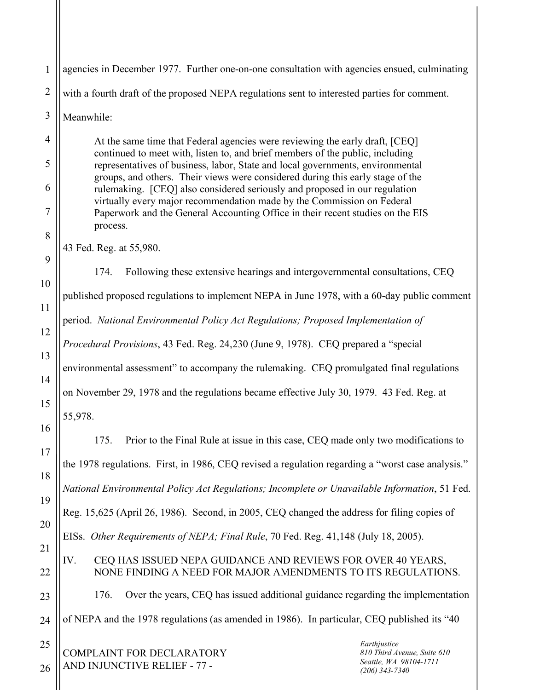COMPLAINT FOR DECLARATORY AND INJUNCTIVE RELIEF - 77 - 1 2 3 4 5 6 7 8 9 10 11 12 13 14 15 16 17 18 19 20 21 22 23 24 25 26 *Earthjustice 810 Third Avenue, Suite 610 Seattle, WA 98104-1711 (206) 343-7340* agencies in December 1977. Further one-on-one consultation with agencies ensued, culminating with a fourth draft of the proposed NEPA regulations sent to interested parties for comment. Meanwhile: At the same time that Federal agencies were reviewing the early draft, [CEQ] continued to meet with, listen to, and brief members of the public, including representatives of business, labor, State and local governments, environmental groups, and others. Their views were considered during this early stage of the rulemaking. [CEQ] also considered seriously and proposed in our regulation virtually every major recommendation made by the Commission on Federal Paperwork and the General Accounting Office in their recent studies on the EIS process. 43 Fed. Reg. at 55,980. 174. Following these extensive hearings and intergovernmental consultations, CEQ published proposed regulations to implement NEPA in June 1978, with a 60-day public comment period. *National Environmental Policy Act Regulations; Proposed Implementation of Procedural Provisions*, 43 Fed. Reg. 24,230 (June 9, 1978). CEQ prepared a "special environmental assessment" to accompany the rulemaking. CEQ promulgated final regulations on November 29, 1978 and the regulations became effective July 30, 1979. 43 Fed. Reg. at 55,978. 175. Prior to the Final Rule at issue in this case, CEQ made only two modifications to the 1978 regulations. First, in 1986, CEQ revised a regulation regarding a "worst case analysis." *National Environmental Policy Act Regulations; Incomplete or Unavailable Information*, 51 Fed. Reg. 15,625 (April 26, 1986). Second, in 2005, CEQ changed the address for filing copies of EISs. *Other Requirements of NEPA; Final Rule*, 70 Fed. Reg. 41,148 (July 18, 2005). IV. CEQ HAS ISSUED NEPA GUIDANCE AND REVIEWS FOR OVER 40 YEARS, NONE FINDING A NEED FOR MAJOR AMENDMENTS TO ITS REGULATIONS. 176. Over the years, CEQ has issued additional guidance regarding the implementation of NEPA and the 1978 regulations (as amended in 1986). In particular, CEQ published its "40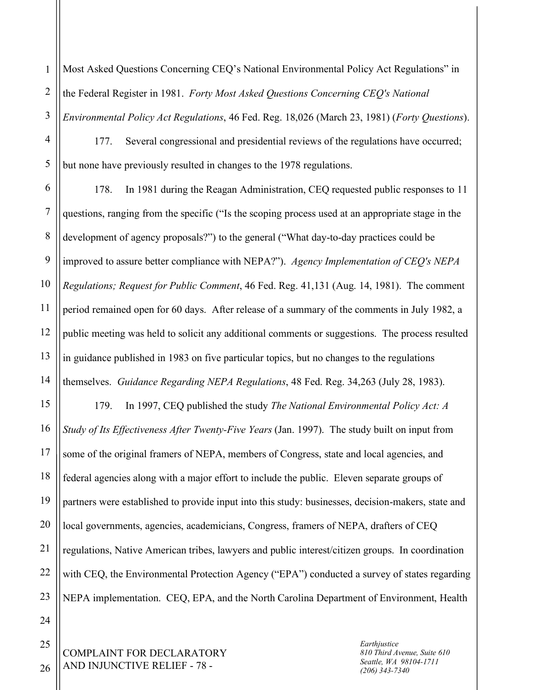1 2 3 Most Asked Questions Concerning CEQ's National Environmental Policy Act Regulations" in the Federal Register in 1981. *Forty Most Asked Questions Concerning CEQ's National Environmental Policy Act Regulations*, 46 Fed. Reg. 18,026 (March 23, 1981) (*Forty Questions*).

177. Several congressional and presidential reviews of the regulations have occurred; but none have previously resulted in changes to the 1978 regulations.

6 7 8 9 10 11 12 13 14 178. In 1981 during the Reagan Administration, CEQ requested public responses to 11 questions, ranging from the specific ("Is the scoping process used at an appropriate stage in the development of agency proposals?") to the general ("What day-to-day practices could be improved to assure better compliance with NEPA?"). *Agency Implementation of CEQ's NEPA Regulations; Request for Public Comment*, 46 Fed. Reg. 41,131 (Aug. 14, 1981). The comment period remained open for 60 days. After release of a summary of the comments in July 1982, a public meeting was held to solicit any additional comments or suggestions. The process resulted in guidance published in 1983 on five particular topics, but no changes to the regulations themselves. *Guidance Regarding NEPA Regulations*, 48 Fed. Reg. 34,263 (July 28, 1983).

15 16 17 18 19 20 21 22 23 179. In 1997, CEQ published the study *The National Environmental Policy Act: A Study of Its Effectiveness After Twenty-Five Years* (Jan. 1997). The study built on input from some of the original framers of NEPA, members of Congress, state and local agencies, and federal agencies along with a major effort to include the public. Eleven separate groups of partners were established to provide input into this study: businesses, decision-makers, state and local governments, agencies, academicians, Congress, framers of NEPA, drafters of CEQ regulations, Native American tribes, lawyers and public interest/citizen groups. In coordination with CEQ, the Environmental Protection Agency ("EPA") conducted a survey of states regarding NEPA implementation. CEQ, EPA, and the North Carolina Department of Environment, Health

COMPLAINT FOR DECLARATORY AND INJUNCTIVE RELIEF - 78 -

*Earthjustice 810 Third Avenue, Suite 610 Seattle, WA 98104-1711 (206) 343-7340*

26

24

25

4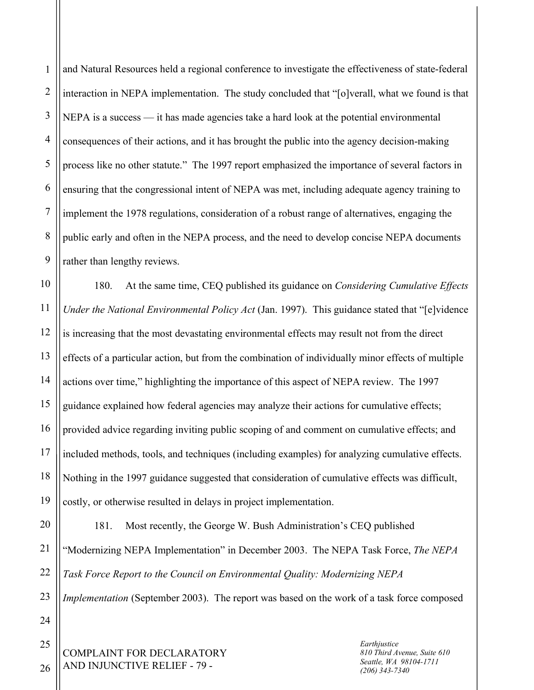1 2 3 4 5 6 7 8 9 and Natural Resources held a regional conference to investigate the effectiveness of state-federal interaction in NEPA implementation. The study concluded that "[o]verall, what we found is that NEPA is a success — it has made agencies take a hard look at the potential environmental consequences of their actions, and it has brought the public into the agency decision-making process like no other statute." The 1997 report emphasized the importance of several factors in ensuring that the congressional intent of NEPA was met, including adequate agency training to implement the 1978 regulations, consideration of a robust range of alternatives, engaging the public early and often in the NEPA process, and the need to develop concise NEPA documents rather than lengthy reviews.

10 11 12 13 14 15 16 17 18 19 180. At the same time, CEQ published its guidance on *Considering Cumulative Effects Under the National Environmental Policy Act* (Jan. 1997). This guidance stated that "[e]vidence is increasing that the most devastating environmental effects may result not from the direct effects of a particular action, but from the combination of individually minor effects of multiple actions over time," highlighting the importance of this aspect of NEPA review. The 1997 guidance explained how federal agencies may analyze their actions for cumulative effects; provided advice regarding inviting public scoping of and comment on cumulative effects; and included methods, tools, and techniques (including examples) for analyzing cumulative effects. Nothing in the 1997 guidance suggested that consideration of cumulative effects was difficult, costly, or otherwise resulted in delays in project implementation.

20 21 22 181. Most recently, the George W. Bush Administration's CEQ published "Modernizing NEPA Implementation" in December 2003. The NEPA Task Force, *The NEPA Task Force Report to the Council on Environmental Quality: Modernizing NEPA* 

23 *Implementation* (September 2003). The report was based on the work of a task force composed

COMPLAINT FOR DECLARATORY AND INJUNCTIVE RELIEF - 79 -

*Earthjustice 810 Third Avenue, Suite 610 Seattle, WA 98104-1711 (206) 343-7340*

26

24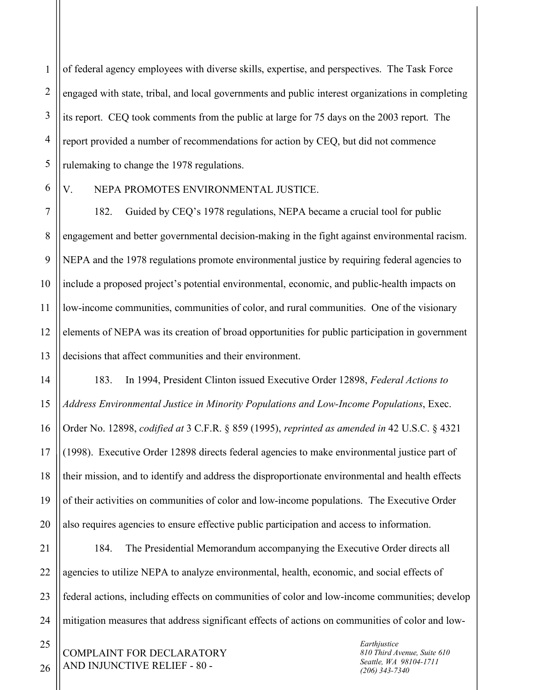1 2 3 4 5 of federal agency employees with diverse skills, expertise, and perspectives. The Task Force engaged with state, tribal, and local governments and public interest organizations in completing its report. CEQ took comments from the public at large for 75 days on the 2003 report. The report provided a number of recommendations for action by CEQ, but did not commence rulemaking to change the 1978 regulations.

6

14

15

16

17

18

19

20

## V. NEPA PROMOTES ENVIRONMENTAL JUSTICE.

7 8 9 10 11 12 13 182. Guided by CEQ's 1978 regulations, NEPA became a crucial tool for public engagement and better governmental decision-making in the fight against environmental racism. NEPA and the 1978 regulations promote environmental justice by requiring federal agencies to include a proposed project's potential environmental, economic, and public-health impacts on low-income communities, communities of color, and rural communities. One of the visionary elements of NEPA was its creation of broad opportunities for public participation in government decisions that affect communities and their environment.

183. In 1994, President Clinton issued Executive Order 12898, *Federal Actions to Address Environmental Justice in Minority Populations and Low-Income Populations*, Exec. Order No. 12898, *codified at* 3 C.F.R. § 859 (1995), *reprinted as amended in* 42 U.S.C. § 4321 (1998). Executive Order 12898 directs federal agencies to make environmental justice part of their mission, and to identify and address the disproportionate environmental and health effects of their activities on communities of color and low-income populations. The Executive Order also requires agencies to ensure effective public participation and access to information.

21 22 23 24 184. The Presidential Memorandum accompanying the Executive Order directs all agencies to utilize NEPA to analyze environmental, health, economic, and social effects of federal actions, including effects on communities of color and low-income communities; develop mitigation measures that address significant effects of actions on communities of color and low-

COMPLAINT FOR DECLARATORY AND INJUNCTIVE RELIEF - 80 -

*Earthjustice 810 Third Avenue, Suite 610 Seattle, WA 98104-1711 (206) 343-7340*

26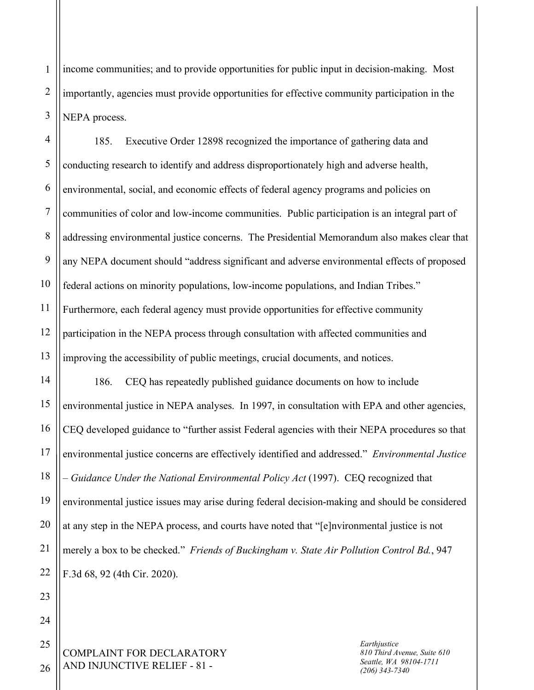1 2 3 income communities; and to provide opportunities for public input in decision-making. Most importantly, agencies must provide opportunities for effective community participation in the NEPA process.

4 5 6 7 8 9 10 11 12 13 185. Executive Order 12898 recognized the importance of gathering data and conducting research to identify and address disproportionately high and adverse health, environmental, social, and economic effects of federal agency programs and policies on communities of color and low-income communities. Public participation is an integral part of addressing environmental justice concerns. The Presidential Memorandum also makes clear that any NEPA document should "address significant and adverse environmental effects of proposed federal actions on minority populations, low-income populations, and Indian Tribes." Furthermore, each federal agency must provide opportunities for effective community participation in the NEPA process through consultation with affected communities and improving the accessibility of public meetings, crucial documents, and notices.

14 15 16 17 18 19 20 21 22 186. CEQ has repeatedly published guidance documents on how to include environmental justice in NEPA analyses. In 1997, in consultation with EPA and other agencies, CEQ developed guidance to "further assist Federal agencies with their NEPA procedures so that environmental justice concerns are effectively identified and addressed." *Environmental Justice – Guidance Under the National Environmental Policy Act* (1997). CEQ recognized that environmental justice issues may arise during federal decision-making and should be considered at any step in the NEPA process, and courts have noted that "[e]nvironmental justice is not merely a box to be checked." *Friends of Buckingham v. State Air Pollution Control Bd.*, 947 F.3d 68, 92 (4th Cir. 2020).

COMPLAINT FOR DECLARATORY AND INJUNCTIVE RELIEF - 81 -

*Earthjustice 810 Third Avenue, Suite 610 Seattle, WA 98104-1711 (206) 343-7340*

26

23

24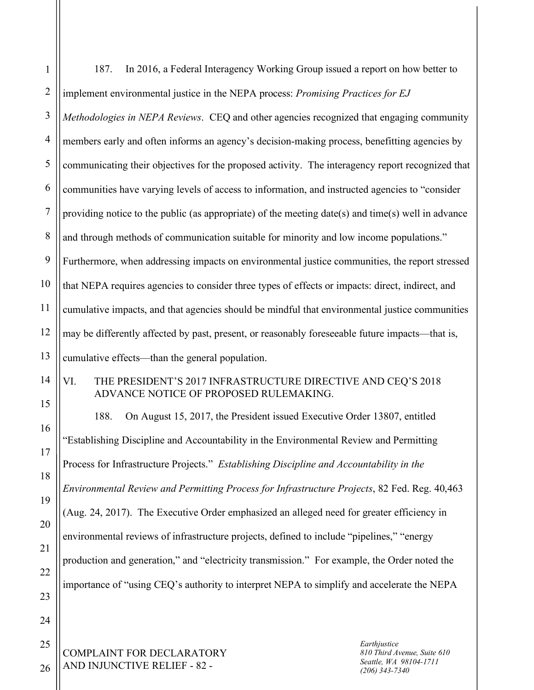| $\mathbf{1}$   | In 2016, a Federal Interagency Working Group issued a report on how better to<br>187.                                                  |
|----------------|----------------------------------------------------------------------------------------------------------------------------------------|
| $\overline{2}$ | implement environmental justice in the NEPA process: Promising Practices for EJ                                                        |
| $\mathfrak{Z}$ | Methodologies in NEPA Reviews. CEQ and other agencies recognized that engaging community                                               |
| $\overline{4}$ | members early and often informs an agency's decision-making process, benefitting agencies by                                           |
| 5              | communicating their objectives for the proposed activity. The interagency report recognized that                                       |
| 6              | communities have varying levels of access to information, and instructed agencies to "consider                                         |
| $\overline{7}$ | providing notice to the public (as appropriate) of the meeting date(s) and time(s) well in advance                                     |
| $\,8\,$        | and through methods of communication suitable for minority and low income populations."                                                |
| 9              | Furthermore, when addressing impacts on environmental justice communities, the report stressed                                         |
| 10             | that NEPA requires agencies to consider three types of effects or impacts: direct, indirect, and                                       |
| 11             | cumulative impacts, and that agencies should be mindful that environmental justice communities                                         |
| 12             | may be differently affected by past, present, or reasonably foreseeable future impacts—that is,                                        |
| 13             | cumulative effects—than the general population.                                                                                        |
| 14             | THE PRESIDENT'S 2017 INFRASTRUCTURE DIRECTIVE AND CEQ'S 2018<br>VI.<br>ADVANCE NOTICE OF PROPOSED RULEMAKING.                          |
| 15             | 188.<br>On August 15, 2017, the President issued Executive Order 13807, entitled                                                       |
| 16             | "Establishing Discipline and Accountability in the Environmental Review and Permitting                                                 |
| 17             | Process for Infrastructure Projects." Establishing Discipline and Accountability in the                                                |
| 18             | Environmental Review and Permitting Process for Infrastructure Projects, 82 Fed. Reg. 40,463                                           |
| 19<br>20       | (Aug. 24, 2017). The Executive Order emphasized an alleged need for greater efficiency in                                              |
|                | environmental reviews of infrastructure projects, defined to include "pipelines," "energy                                              |
| 21<br>22       | production and generation," and "electricity transmission." For example, the Order noted the                                           |
| 23             | importance of "using CEQ's authority to interpret NEPA to simplify and accelerate the NEPA                                             |
| 24             |                                                                                                                                        |
| 25             | Earthjustice                                                                                                                           |
| 26             | COMPLAINT FOR DECLARATORY<br>810 Third Avenue, Suite 610<br>Seattle, WA 98104-1711<br>AND INJUNCTIVE RELIEF - 82 -<br>$(206)$ 343-7340 |

 $\mathsf{II}$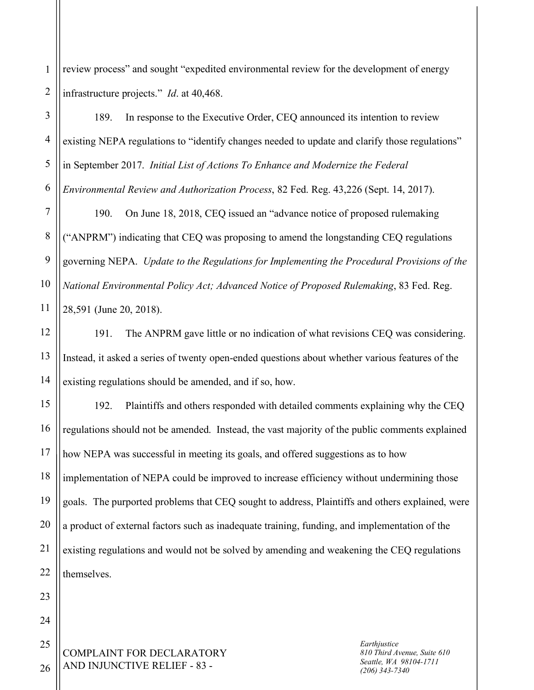1 2 review process" and sought "expedited environmental review for the development of energy infrastructure projects." *Id*. at 40,468.

189. In response to the Executive Order, CEQ announced its intention to review existing NEPA regulations to "identify changes needed to update and clarify those regulations" in September 2017. *Initial List of Actions To Enhance and Modernize the Federal Environmental Review and Authorization Process*, 82 Fed. Reg. 43,226 (Sept. 14, 2017).

7 8 9 10 11 190. On June 18, 2018, CEQ issued an "advance notice of proposed rulemaking ("ANPRM") indicating that CEQ was proposing to amend the longstanding CEQ regulations governing NEPA. *Update to the Regulations for Implementing the Procedural Provisions of the National Environmental Policy Act; Advanced Notice of Proposed Rulemaking*, 83 Fed. Reg. 28,591 (June 20, 2018).

191. The ANPRM gave little or no indication of what revisions CEQ was considering. Instead, it asked a series of twenty open-ended questions about whether various features of the existing regulations should be amended, and if so, how.

15 16 17 18 19 20 21 22 192. Plaintiffs and others responded with detailed comments explaining why the CEQ regulations should not be amended. Instead, the vast majority of the public comments explained how NEPA was successful in meeting its goals, and offered suggestions as to how implementation of NEPA could be improved to increase efficiency without undermining those goals. The purported problems that CEQ sought to address, Plaintiffs and others explained, were a product of external factors such as inadequate training, funding, and implementation of the existing regulations and would not be solved by amending and weakening the CEQ regulations themselves.

COMPLAINT FOR DECLARATORY AND INJUNCTIVE RELIEF - 83 -

*Earthjustice 810 Third Avenue, Suite 610 Seattle, WA 98104-1711 (206) 343-7340*

25 26

23

24

3

4

5

6

12

13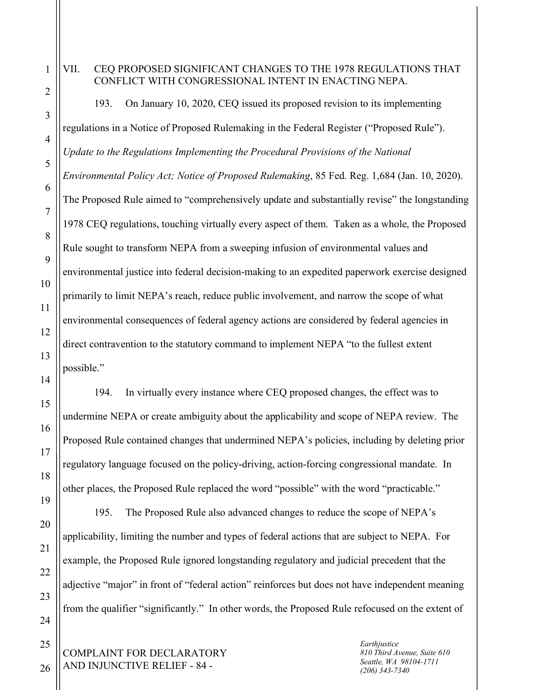7

8

9

10

11

12

13

14

15

16

17

18

19

20

21

22

23

24

25

26

## VII. CEQ PROPOSED SIGNIFICANT CHANGES TO THE 1978 REGULATIONS THAT CONFLICT WITH CONGRESSIONAL INTENT IN ENACTING NEPA.

193. On January 10, 2020, CEQ issued its proposed revision to its implementing regulations in a Notice of Proposed Rulemaking in the Federal Register ("Proposed Rule"). *Update to the Regulations Implementing the Procedural Provisions of the National Environmental Policy Act; Notice of Proposed Rulemaking*, 85 Fed. Reg. 1,684 (Jan. 10, 2020). The Proposed Rule aimed to "comprehensively update and substantially revise" the longstanding 1978 CEQ regulations, touching virtually every aspect of them. Taken as a whole, the Proposed Rule sought to transform NEPA from a sweeping infusion of environmental values and environmental justice into federal decision-making to an expedited paperwork exercise designed primarily to limit NEPA's reach, reduce public involvement, and narrow the scope of what environmental consequences of federal agency actions are considered by federal agencies in direct contravention to the statutory command to implement NEPA "to the fullest extent possible."

194. In virtually every instance where CEQ proposed changes, the effect was to undermine NEPA or create ambiguity about the applicability and scope of NEPA review. The Proposed Rule contained changes that undermined NEPA's policies, including by deleting prior regulatory language focused on the policy-driving, action-forcing congressional mandate. In other places, the Proposed Rule replaced the word "possible" with the word "practicable."

195. The Proposed Rule also advanced changes to reduce the scope of NEPA's applicability, limiting the number and types of federal actions that are subject to NEPA. For example, the Proposed Rule ignored longstanding regulatory and judicial precedent that the adjective "major" in front of "federal action" reinforces but does not have independent meaning from the qualifier "significantly." In other words, the Proposed Rule refocused on the extent of

COMPLAINT FOR DECLARATORY AND INJUNCTIVE RELIEF - 84 -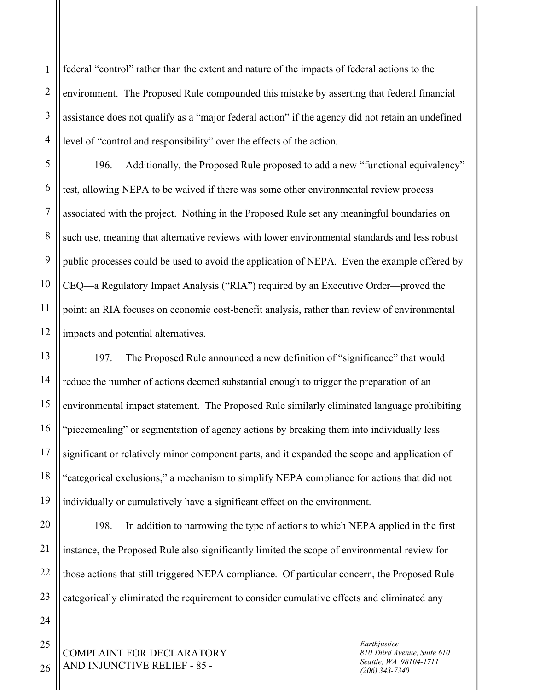1 2 3 4 federal "control" rather than the extent and nature of the impacts of federal actions to the environment. The Proposed Rule compounded this mistake by asserting that federal financial assistance does not qualify as a "major federal action" if the agency did not retain an undefined level of "control and responsibility" over the effects of the action.

5 6 7 8 9 10 11 196. Additionally, the Proposed Rule proposed to add a new "functional equivalency" test, allowing NEPA to be waived if there was some other environmental review process associated with the project. Nothing in the Proposed Rule set any meaningful boundaries on such use, meaning that alternative reviews with lower environmental standards and less robust public processes could be used to avoid the application of NEPA. Even the example offered by CEQ—a Regulatory Impact Analysis ("RIA") required by an Executive Order—proved the point: an RIA focuses on economic cost-benefit analysis, rather than review of environmental impacts and potential alternatives.

197. The Proposed Rule announced a new definition of "significance" that would reduce the number of actions deemed substantial enough to trigger the preparation of an environmental impact statement. The Proposed Rule similarly eliminated language prohibiting "piecemealing" or segmentation of agency actions by breaking them into individually less significant or relatively minor component parts, and it expanded the scope and application of "categorical exclusions," a mechanism to simplify NEPA compliance for actions that did not individually or cumulatively have a significant effect on the environment.

198. In addition to narrowing the type of actions to which NEPA applied in the first instance, the Proposed Rule also significantly limited the scope of environmental review for those actions that still triggered NEPA compliance. Of particular concern, the Proposed Rule categorically eliminated the requirement to consider cumulative effects and eliminated any

COMPLAINT FOR DECLARATORY AND INJUNCTIVE RELIEF - 85 -

*Earthjustice 810 Third Avenue, Suite 610 Seattle, WA 98104-1711 (206) 343-7340*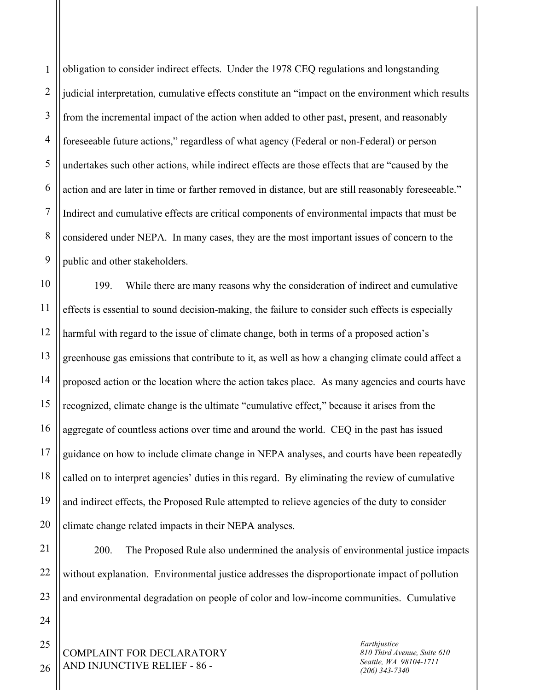1 2 3 4 5 6 7 8 9 obligation to consider indirect effects. Under the 1978 CEQ regulations and longstanding judicial interpretation, cumulative effects constitute an "impact on the environment which results from the incremental impact of the action when added to other past, present, and reasonably foreseeable future actions," regardless of what agency (Federal or non-Federal) or person undertakes such other actions, while indirect effects are those effects that are "caused by the action and are later in time or farther removed in distance, but are still reasonably foreseeable." Indirect and cumulative effects are critical components of environmental impacts that must be considered under NEPA. In many cases, they are the most important issues of concern to the public and other stakeholders.

10 11 12 13 14 15 16 17 18 19 20 199. While there are many reasons why the consideration of indirect and cumulative effects is essential to sound decision-making, the failure to consider such effects is especially harmful with regard to the issue of climate change, both in terms of a proposed action's greenhouse gas emissions that contribute to it, as well as how a changing climate could affect a proposed action or the location where the action takes place. As many agencies and courts have recognized, climate change is the ultimate "cumulative effect," because it arises from the aggregate of countless actions over time and around the world. CEQ in the past has issued guidance on how to include climate change in NEPA analyses, and courts have been repeatedly called on to interpret agencies' duties in this regard. By eliminating the review of cumulative and indirect effects, the Proposed Rule attempted to relieve agencies of the duty to consider climate change related impacts in their NEPA analyses.

22 23 200. The Proposed Rule also undermined the analysis of environmental justice impacts without explanation. Environmental justice addresses the disproportionate impact of pollution and environmental degradation on people of color and low-income communities. Cumulative

COMPLAINT FOR DECLARATORY AND INJUNCTIVE RELIEF - 86 -

*Earthjustice 810 Third Avenue, Suite 610 Seattle, WA 98104-1711 (206) 343-7340*

25 26

24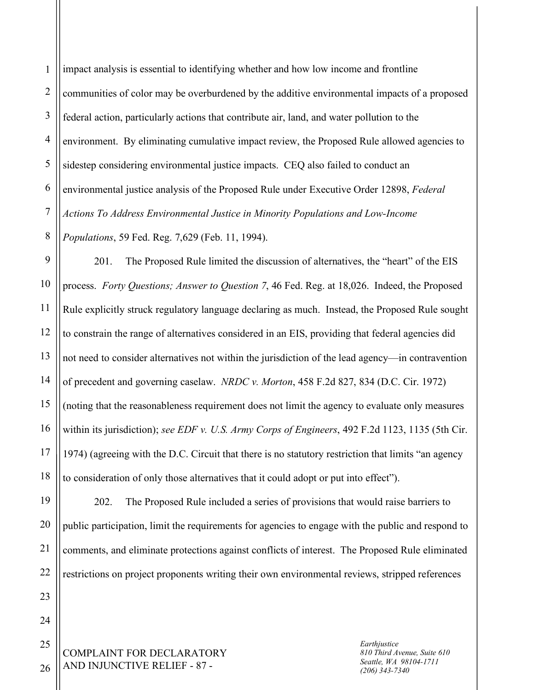1 2 3 4 5 6 7 8 impact analysis is essential to identifying whether and how low income and frontline communities of color may be overburdened by the additive environmental impacts of a proposed federal action, particularly actions that contribute air, land, and water pollution to the environment. By eliminating cumulative impact review, the Proposed Rule allowed agencies to sidestep considering environmental justice impacts. CEQ also failed to conduct an environmental justice analysis of the Proposed Rule under Executive Order 12898, *Federal Actions To Address Environmental Justice in Minority Populations and Low-Income Populations*, 59 Fed. Reg. 7,629 (Feb. 11, 1994).

9 10 11 12 13 14 15 16 17 18 201. The Proposed Rule limited the discussion of alternatives, the "heart" of the EIS process. *Forty Questions; Answer to Question 7*, 46 Fed. Reg. at 18,026. Indeed, the Proposed Rule explicitly struck regulatory language declaring as much. Instead, the Proposed Rule sought to constrain the range of alternatives considered in an EIS, providing that federal agencies did not need to consider alternatives not within the jurisdiction of the lead agency—in contravention of precedent and governing caselaw. *NRDC v. Morton*, 458 F.2d 827, 834 (D.C. Cir. 1972) (noting that the reasonableness requirement does not limit the agency to evaluate only measures within its jurisdiction); *see EDF v. U.S. Army Corps of Engineers*, 492 F.2d 1123, 1135 (5th Cir. 1974) (agreeing with the D.C. Circuit that there is no statutory restriction that limits "an agency to consideration of only those alternatives that it could adopt or put into effect").

202. The Proposed Rule included a series of provisions that would raise barriers to public participation, limit the requirements for agencies to engage with the public and respond to comments, and eliminate protections against conflicts of interest. The Proposed Rule eliminated restrictions on project proponents writing their own environmental reviews, stripped references

COMPLAINT FOR DECLARATORY AND INJUNCTIVE RELIEF - 87 -

*Earthjustice 810 Third Avenue, Suite 610 Seattle, WA 98104-1711 (206) 343-7340*

23 24 25

26

19

20

21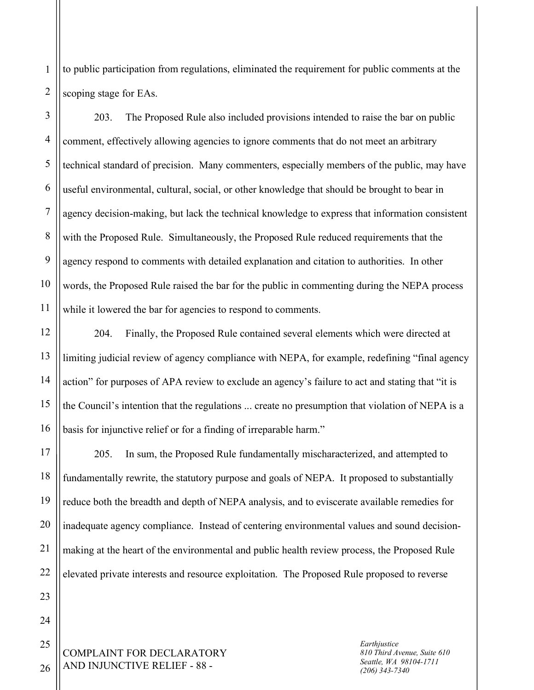1 2 to public participation from regulations, eliminated the requirement for public comments at the scoping stage for EAs.

3 4 5 6 8 9 10 203. The Proposed Rule also included provisions intended to raise the bar on public comment, effectively allowing agencies to ignore comments that do not meet an arbitrary technical standard of precision. Many commenters, especially members of the public, may have useful environmental, cultural, social, or other knowledge that should be brought to bear in agency decision-making, but lack the technical knowledge to express that information consistent with the Proposed Rule. Simultaneously, the Proposed Rule reduced requirements that the agency respond to comments with detailed explanation and citation to authorities. In other words, the Proposed Rule raised the bar for the public in commenting during the NEPA process while it lowered the bar for agencies to respond to comments.

204. Finally, the Proposed Rule contained several elements which were directed at limiting judicial review of agency compliance with NEPA, for example, redefining "final agency action" for purposes of APA review to exclude an agency's failure to act and stating that "it is the Council's intention that the regulations ... create no presumption that violation of NEPA is a basis for injunctive relief or for a finding of irreparable harm."

17 18 19 20 21 205. In sum, the Proposed Rule fundamentally mischaracterized, and attempted to fundamentally rewrite, the statutory purpose and goals of NEPA. It proposed to substantially reduce both the breadth and depth of NEPA analysis, and to eviscerate available remedies for inadequate agency compliance. Instead of centering environmental values and sound decisionmaking at the heart of the environmental and public health review process, the Proposed Rule elevated private interests and resource exploitation. The Proposed Rule proposed to reverse

COMPLAINT FOR DECLARATORY AND INJUNCTIVE RELIEF - 88 -

*Earthjustice 810 Third Avenue, Suite 610 Seattle, WA 98104-1711 (206) 343-7340*

7

11

12

13

14

15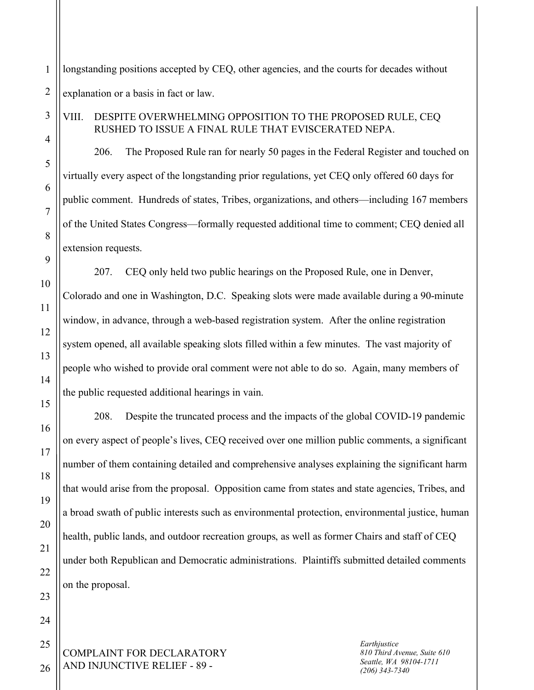1 2 longstanding positions accepted by CEQ, other agencies, and the courts for decades without explanation or a basis in fact or law.

## VIII. DESPITE OVERWHELMING OPPOSITION TO THE PROPOSED RULE, CEQ RUSHED TO ISSUE A FINAL RULE THAT EVISCERATED NEPA.

206. The Proposed Rule ran for nearly 50 pages in the Federal Register and touched on virtually every aspect of the longstanding prior regulations, yet CEQ only offered 60 days for public comment. Hundreds of states, Tribes, organizations, and others—including 167 members of the United States Congress—formally requested additional time to comment; CEQ denied all extension requests.

207. CEQ only held two public hearings on the Proposed Rule, one in Denver, Colorado and one in Washington, D.C. Speaking slots were made available during a 90-minute window, in advance, through a web-based registration system. After the online registration system opened, all available speaking slots filled within a few minutes. The vast majority of people who wished to provide oral comment were not able to do so. Again, many members of the public requested additional hearings in vain.

208. Despite the truncated process and the impacts of the global COVID-19 pandemic on every aspect of people's lives, CEQ received over one million public comments, a significant number of them containing detailed and comprehensive analyses explaining the significant harm that would arise from the proposal. Opposition came from states and state agencies, Tribes, and a broad swath of public interests such as environmental protection, environmental justice, human health, public lands, and outdoor recreation groups, as well as former Chairs and staff of CEQ under both Republican and Democratic administrations. Plaintiffs submitted detailed comments on the proposal.

COMPLAINT FOR DECLARATORY AND INJUNCTIVE RELIEF - 89 -

*Earthjustice 810 Third Avenue, Suite 610 Seattle, WA 98104-1711 (206) 343-7340*

26

3

4

5

6

7

8

9

10

11

12

13

14

15

16

17

18

19

20

21

22

23

24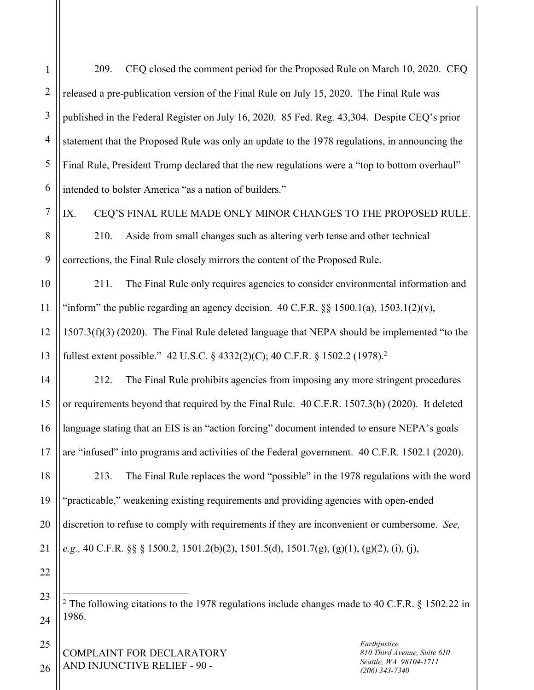1

2

3

4

5

209. CEQ closed the comment period for the Proposed Rule on March 10, 2020. CEQ released a pre-publication version of the Final Rule on July 15, 2020. The Final Rule was published in the Federal Register on July 16, 2020. 85 Fed. Reg. 43,304. Despite CEQ's prior statement that the Proposed Rule was only an update to the 1978 regulations, in announcing the Final Rule, President Trump declared that the new regulations were a "top to bottom overhaul" intended to bolster America "as a nation of builders."

IX. CEQ'S FINAL RULE MADE ONLY MINOR CHANGES TO THE PROPOSED RULE.

210. Aside from small changes such as altering verb tense and other technical corrections, the Final Rule closely mirrors the content of the Proposed Rule.

211. The Final Rule only requires agencies to consider environmental information and "inform" the public regarding an agency decision.  $40 \text{ C.F.R.}$  §§ 1500.1(a), 1503.1(2)(v), 1507.3(f)(3) (2020). The Final Rule deleted language that NEPA should be implemented "to the fullest extent possible." 42 U.S.C. § 4332(2)(C); 40 C.F.R. § 1502.2 (1978). 2

212. The Final Rule prohibits agencies from imposing any more stringent procedures or requirements beyond that required by the Final Rule. 40 C.F.R. 1507.3(b) (2020). It deleted language stating that an EIS is an "action forcing" document intended to ensure NEPA's goals are "infused" into programs and activities of the Federal government. 40 C.F.R. 1502.1 (2020).

213. The Final Rule replaces the word "possible" in the 1978 regulations with the word "practicable," weakening existing requirements and providing agencies with open-ended discretion to refuse to comply with requirements if they are inconvenient or cumbersome. *See, e.g.,* 40 C.F.R. §§ § 1500.2, 1501.2(b)(2), 1501.5(d), 1501.7(g), (g)(1), (g)(2), (i), (j),

<sup>2</sup> The following citations to the 1978 regulations include changes made to 40 C.F.R. § 1502.22 in 1986.

COMPLAINT FOR DECLARATORY AND INJUNCTIVE RELIEF - 90 -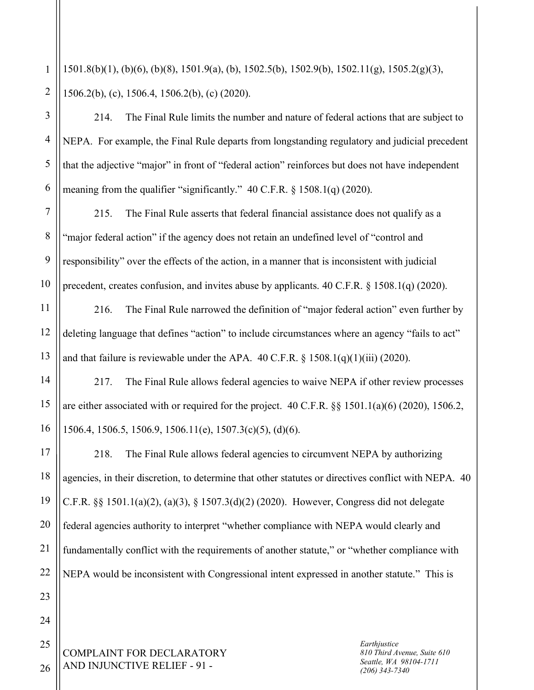2 1501.8(b)(1), (b)(6), (b)(8), 1501.9(a), (b), 1502.5(b), 1502.9(b), 1502.11(g), 1505.2(g)(3), 1506.2(b), (c), 1506.4, 1506.2(b), (c) (2020).

214. The Final Rule limits the number and nature of federal actions that are subject to NEPA. For example, the Final Rule departs from longstanding regulatory and judicial precedent that the adjective "major" in front of "federal action" reinforces but does not have independent meaning from the qualifier "significantly." 40 C.F.R. § 1508.1(q) (2020).

215. The Final Rule asserts that federal financial assistance does not qualify as a "major federal action" if the agency does not retain an undefined level of "control and responsibility" over the effects of the action, in a manner that is inconsistent with judicial precedent, creates confusion, and invites abuse by applicants. 40 C.F.R. § 1508.1(q) (2020).

216. The Final Rule narrowed the definition of "major federal action" even further by deleting language that defines "action" to include circumstances where an agency "fails to act" and that failure is reviewable under the APA.  $40 \text{ C.F.R.}$  §  $1508.1(q)(1)(iii)$  (2020).

217. The Final Rule allows federal agencies to waive NEPA if other review processes are either associated with or required for the project. 40 C.F.R. §§ 1501.1(a)(6) (2020), 1506.2, 1506.4, 1506.5, 1506.9, 1506.11(e), 1507.3(c)(5), (d)(6).

218. The Final Rule allows federal agencies to circumvent NEPA by authorizing agencies, in their discretion, to determine that other statutes or directives conflict with NEPA. 40 C.F.R. §§ 1501.1(a)(2), (a)(3), § 1507.3(d)(2) (2020). However, Congress did not delegate federal agencies authority to interpret "whether compliance with NEPA would clearly and fundamentally conflict with the requirements of another statute," or "whether compliance with NEPA would be inconsistent with Congressional intent expressed in another statute." This is

COMPLAINT FOR DECLARATORY AND INJUNCTIVE RELIEF - 91 -

*Earthjustice 810 Third Avenue, Suite 610 Seattle, WA 98104-1711 (206) 343-7340*

1

3

4

5

6

7

8

9

10

11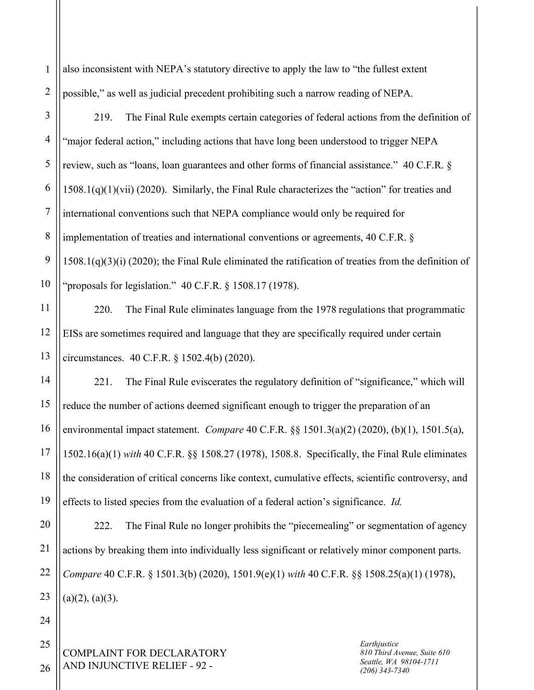1 2 also inconsistent with NEPA's statutory directive to apply the law to "the fullest extent possible," as well as judicial precedent prohibiting such a narrow reading of NEPA.

3 4 5 6 7 8 9 10 219. The Final Rule exempts certain categories of federal actions from the definition of "major federal action," including actions that have long been understood to trigger NEPA review, such as "loans, loan guarantees and other forms of financial assistance." 40 C.F.R. § 1508.1(q)(1)(vii) (2020). Similarly, the Final Rule characterizes the "action" for treaties and international conventions such that NEPA compliance would only be required for implementation of treaties and international conventions or agreements, 40 C.F.R. § 1508.1(q)(3)(i) (2020); the Final Rule eliminated the ratification of treaties from the definition of "proposals for legislation." 40 C.F.R. § 1508.17 (1978).

220. The Final Rule eliminates language from the 1978 regulations that programmatic EISs are sometimes required and language that they are specifically required under certain circumstances. 40 C.F.R. § 1502.4(b) (2020).

221. The Final Rule eviscerates the regulatory definition of "significance," which will reduce the number of actions deemed significant enough to trigger the preparation of an environmental impact statement. *Compare* 40 C.F.R. §§ 1501.3(a)(2) (2020), (b)(1), 1501.5(a), 1502.16(a)(1) *with* 40 C.F.R. §§ 1508.27 (1978), 1508.8. Specifically, the Final Rule eliminates the consideration of critical concerns like context, cumulative effects, scientific controversy, and effects to listed species from the evaluation of a federal action's significance. *Id.*

20 21 22 23 222. The Final Rule no longer prohibits the "piecemealing" or segmentation of agency actions by breaking them into individually less significant or relatively minor component parts. *Compare* 40 C.F.R. § 1501.3(b) (2020), 1501.9(e)(1) *with* 40 C.F.R. §§ 1508.25(a)(1) (1978),  $(a)(2)$ ,  $(a)(3)$ .

COMPLAINT FOR DECLARATORY AND INJUNCTIVE RELIEF - 92 -

*Earthjustice 810 Third Avenue, Suite 610 Seattle, WA 98104-1711 (206) 343-7340*

25 26

24

11

12

13

14

15

16

17

18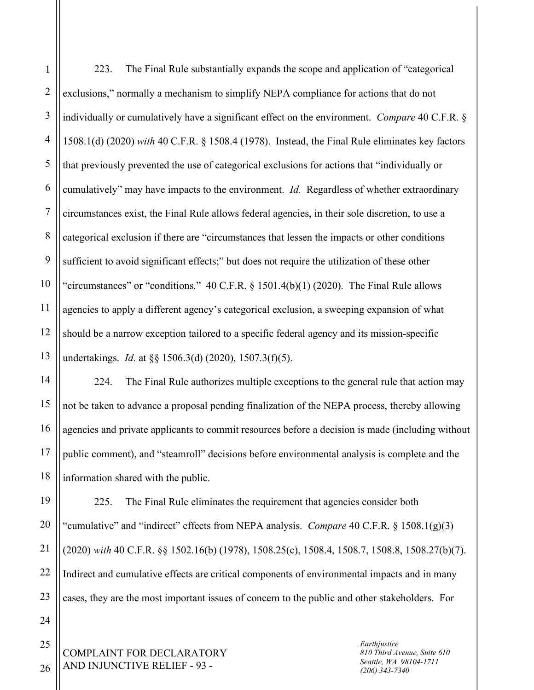1 2 3 4 5 6 7 8 9 10 11 12 13 223. The Final Rule substantially expands the scope and application of "categorical exclusions," normally a mechanism to simplify NEPA compliance for actions that do not individually or cumulatively have a significant effect on the environment. *Compare* 40 C.F.R. § 1508.1(d) (2020) *with* 40 C.F.R. § 1508.4 (1978). Instead, the Final Rule eliminates key factors that previously prevented the use of categorical exclusions for actions that "individually or cumulatively" may have impacts to the environment. *Id.* Regardless of whether extraordinary circumstances exist, the Final Rule allows federal agencies, in their sole discretion, to use a categorical exclusion if there are "circumstances that lessen the impacts or other conditions sufficient to avoid significant effects;" but does not require the utilization of these other "circumstances" or "conditions."  $40 \text{ C.F.R.}$  § 1501.4(b)(1) (2020). The Final Rule allows agencies to apply a different agency's categorical exclusion, a sweeping expansion of what should be a narrow exception tailored to a specific federal agency and its mission-specific undertakings. *Id.* at §§ 1506.3(d) (2020), 1507.3(f)(5).

224. The Final Rule authorizes multiple exceptions to the general rule that action may not be taken to advance a proposal pending finalization of the NEPA process, thereby allowing agencies and private applicants to commit resources before a decision is made (including without public comment), and "steamroll" decisions before environmental analysis is complete and the information shared with the public.

225. The Final Rule eliminates the requirement that agencies consider both "cumulative" and "indirect" effects from NEPA analysis. *Compare* 40 C.F.R. § 1508.1(g)(3) (2020) *with* 40 C.F.R. §§ 1502.16(b) (1978), 1508.25(c), 1508.4, 1508.7, 1508.8, 1508.27(b)(7). Indirect and cumulative effects are critical components of environmental impacts and in many cases, they are the most important issues of concern to the public and other stakeholders. For

COMPLAINT FOR DECLARATORY AND INJUNCTIVE RELIEF - 93 -

*Earthjustice 810 Third Avenue, Suite 610 Seattle, WA 98104-1711 (206) 343-7340*

14

15

16

17

18

19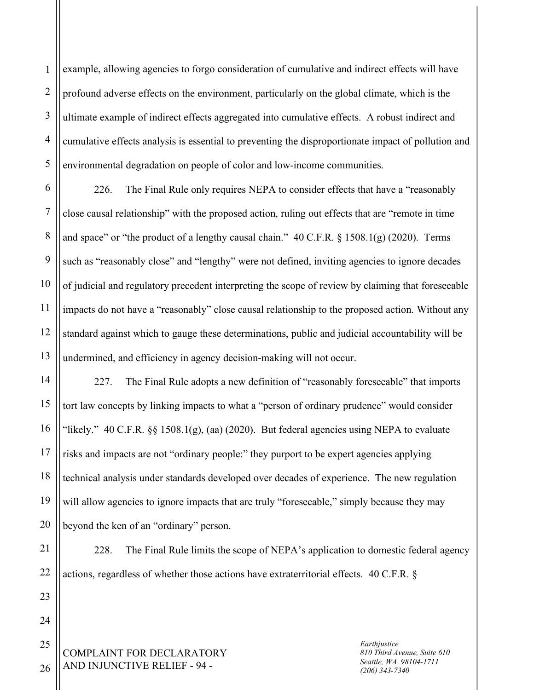1 2 3 example, allowing agencies to forgo consideration of cumulative and indirect effects will have profound adverse effects on the environment, particularly on the global climate, which is the ultimate example of indirect effects aggregated into cumulative effects. A robust indirect and cumulative effects analysis is essential to preventing the disproportionate impact of pollution and environmental degradation on people of color and low-income communities.

226. The Final Rule only requires NEPA to consider effects that have a "reasonably close causal relationship" with the proposed action, ruling out effects that are "remote in time and space" or "the product of a lengthy causal chain." 40 C.F.R. § 1508.1(g) (2020). Terms such as "reasonably close" and "lengthy" were not defined, inviting agencies to ignore decades of judicial and regulatory precedent interpreting the scope of review by claiming that foreseeable impacts do not have a "reasonably" close causal relationship to the proposed action. Without any standard against which to gauge these determinations, public and judicial accountability will be undermined, and efficiency in agency decision-making will not occur.

227. The Final Rule adopts a new definition of "reasonably foreseeable" that imports tort law concepts by linking impacts to what a "person of ordinary prudence" would consider "likely." 40 C.F.R.  $\S$ § 1508.1(g), (aa) (2020). But federal agencies using NEPA to evaluate risks and impacts are not "ordinary people:" they purport to be expert agencies applying technical analysis under standards developed over decades of experience. The new regulation will allow agencies to ignore impacts that are truly "foreseeable," simply because they may beyond the ken of an "ordinary" person.

228. The Final Rule limits the scope of NEPA's application to domestic federal agency actions, regardless of whether those actions have extraterritorial effects. 40 C.F.R. §

COMPLAINT FOR DECLARATORY AND INJUNCTIVE RELIEF - 94 -

*Earthjustice 810 Third Avenue, Suite 610 Seattle, WA 98104-1711 (206) 343-7340*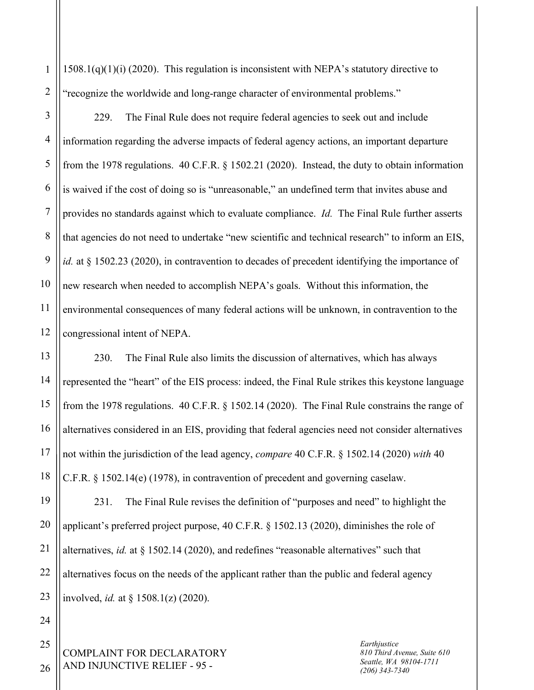$1508.1(q)(1)(i)$  (2020). This regulation is inconsistent with NEPA's statutory directive to "recognize the worldwide and long-range character of environmental problems."

3 4 5 6 7 8 9 10 12 229. The Final Rule does not require federal agencies to seek out and include information regarding the adverse impacts of federal agency actions, an important departure from the 1978 regulations. 40 C.F.R. § 1502.21 (2020). Instead, the duty to obtain information is waived if the cost of doing so is "unreasonable," an undefined term that invites abuse and provides no standards against which to evaluate compliance. *Id.* The Final Rule further asserts that agencies do not need to undertake "new scientific and technical research" to inform an EIS, *id.* at § 1502.23 (2020), in contravention to decades of precedent identifying the importance of new research when needed to accomplish NEPA's goals. Without this information, the environmental consequences of many federal actions will be unknown, in contravention to the congressional intent of NEPA.

13 14 15 16 230. The Final Rule also limits the discussion of alternatives, which has always represented the "heart" of the EIS process: indeed, the Final Rule strikes this keystone language from the 1978 regulations. 40 C.F.R. § 1502.14 (2020). The Final Rule constrains the range of alternatives considered in an EIS, providing that federal agencies need not consider alternatives not within the jurisdiction of the lead agency, *compare* 40 C.F.R. § 1502.14 (2020) *with* 40 C.F.R. § 1502.14(e) (1978), in contravention of precedent and governing caselaw.

231. The Final Rule revises the definition of "purposes and need" to highlight the applicant's preferred project purpose, 40 C.F.R. § 1502.13 (2020), diminishes the role of alternatives, *id.* at § 1502.14 (2020), and redefines "reasonable alternatives" such that alternatives focus on the needs of the applicant rather than the public and federal agency involved, *id.* at § 1508.1(z) (2020).

COMPLAINT FOR DECLARATORY AND INJUNCTIVE RELIEF - 95 -

*Earthjustice 810 Third Avenue, Suite 610 Seattle, WA 98104-1711 (206) 343-7340*

26

1

2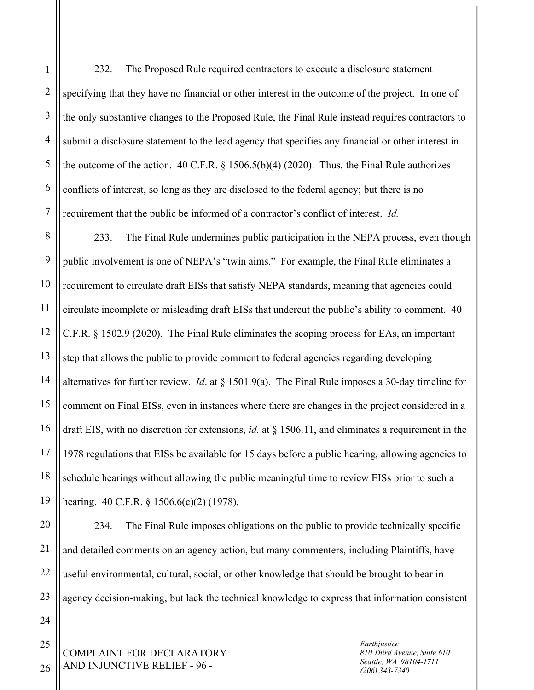1

232. The Proposed Rule required contractors to execute a disclosure statement specifying that they have no financial or other interest in the outcome of the project. In one of the only substantive changes to the Proposed Rule, the Final Rule instead requires contractors to submit a disclosure statement to the lead agency that specifies any financial or other interest in the outcome of the action. 40 C.F.R. § 1506.5(b)(4) (2020). Thus, the Final Rule authorizes conflicts of interest, so long as they are disclosed to the federal agency; but there is no requirement that the public be informed of a contractor's conflict of interest. *Id.*

233. The Final Rule undermines public participation in the NEPA process, even though public involvement is one of NEPA's "twin aims." For example, the Final Rule eliminates a requirement to circulate draft EISs that satisfy NEPA standards, meaning that agencies could circulate incomplete or misleading draft EISs that undercut the public's ability to comment. 40 C.F.R. § 1502.9 (2020). The Final Rule eliminates the scoping process for EAs, an important step that allows the public to provide comment to federal agencies regarding developing alternatives for further review. *Id*. at § 1501.9(a). The Final Rule imposes a 30-day timeline for comment on Final EISs, even in instances where there are changes in the project considered in a draft EIS, with no discretion for extensions, *id.* at § 1506.11, and eliminates a requirement in the 1978 regulations that EISs be available for 15 days before a public hearing, allowing agencies to schedule hearings without allowing the public meaningful time to review EISs prior to such a hearing. 40 C.F.R. § 1506.6(c)(2) (1978).

234. The Final Rule imposes obligations on the public to provide technically specific and detailed comments on an agency action, but many commenters, including Plaintiffs, have useful environmental, cultural, social, or other knowledge that should be brought to bear in agency decision-making, but lack the technical knowledge to express that information consistent

COMPLAINT FOR DECLARATORY AND INJUNCTIVE RELIEF - 96 -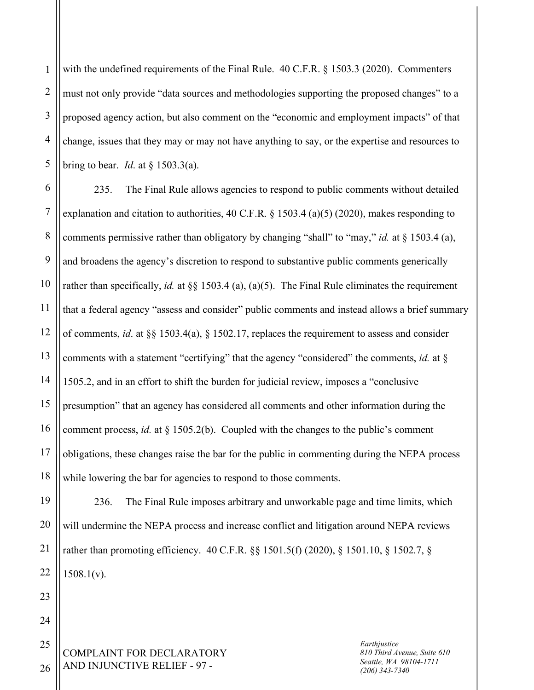2 3 4 5 with the undefined requirements of the Final Rule. 40 C.F.R. § 1503.3 (2020). Commenters must not only provide "data sources and methodologies supporting the proposed changes" to a proposed agency action, but also comment on the "economic and employment impacts" of that change, issues that they may or may not have anything to say, or the expertise and resources to bring to bear. *Id*. at § 1503.3(a).

6 7 8 9 10 11 12 13 14 15 16 17 18 235. The Final Rule allows agencies to respond to public comments without detailed explanation and citation to authorities,  $40 \text{ C.F.R.}$  § 1503.4 (a)(5) (2020), makes responding to comments permissive rather than obligatory by changing "shall" to "may," *id.* at § 1503.4 (a), and broadens the agency's discretion to respond to substantive public comments generically rather than specifically, *id.* at §§ 1503.4 (a), (a)(5). The Final Rule eliminates the requirement that a federal agency "assess and consider" public comments and instead allows a brief summary of comments, *id*. at §§ 1503.4(a), § 1502.17, replaces the requirement to assess and consider comments with a statement "certifying" that the agency "considered" the comments, *id.* at § 1505.2, and in an effort to shift the burden for judicial review, imposes a "conclusive presumption" that an agency has considered all comments and other information during the comment process, *id.* at § 1505.2(b). Coupled with the changes to the public's comment obligations, these changes raise the bar for the public in commenting during the NEPA process while lowering the bar for agencies to respond to those comments.

236. The Final Rule imposes arbitrary and unworkable page and time limits, which will undermine the NEPA process and increase conflict and litigation around NEPA reviews rather than promoting efficiency. 40 C.F.R. §§ 1501.5(f) (2020), § 1501.10, § 1502.7, §  $1508.1(v)$ .

COMPLAINT FOR DECLARATORY AND INJUNCTIVE RELIEF - 97 -

*Earthjustice 810 Third Avenue, Suite 610 Seattle, WA 98104-1711 (206) 343-7340*

26

19

20

21

22

23

24

25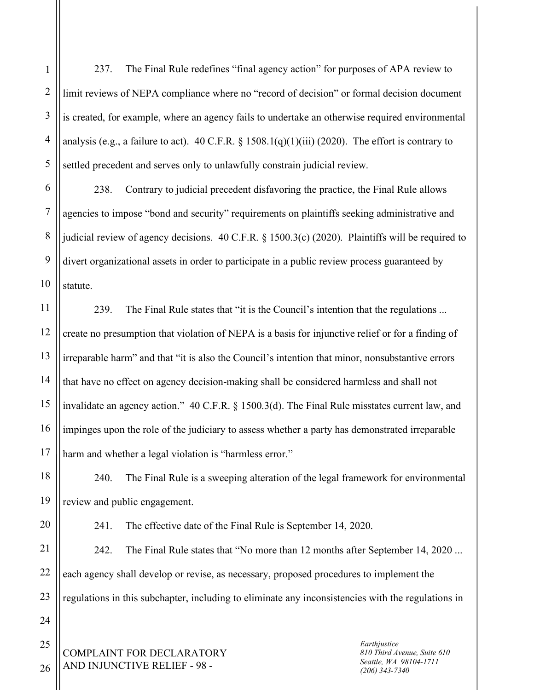1

2

3

237. The Final Rule redefines "final agency action" for purposes of APA review to limit reviews of NEPA compliance where no "record of decision" or formal decision document is created, for example, where an agency fails to undertake an otherwise required environmental analysis (e.g., a failure to act). 40 C.F.R.  $\S$  1508.1(q)(1)(iii) (2020). The effort is contrary to settled precedent and serves only to unlawfully constrain judicial review.

238. Contrary to judicial precedent disfavoring the practice, the Final Rule allows agencies to impose "bond and security" requirements on plaintiffs seeking administrative and judicial review of agency decisions. 40 C.F.R. § 1500.3(c) (2020). Plaintiffs will be required to divert organizational assets in order to participate in a public review process guaranteed by statute.

239. The Final Rule states that "it is the Council's intention that the regulations ... create no presumption that violation of NEPA is a basis for injunctive relief or for a finding of irreparable harm" and that "it is also the Council's intention that minor, nonsubstantive errors that have no effect on agency decision-making shall be considered harmless and shall not invalidate an agency action." 40 C.F.R. § 1500.3(d). The Final Rule misstates current law, and impinges upon the role of the judiciary to assess whether a party has demonstrated irreparable harm and whether a legal violation is "harmless error."

240. The Final Rule is a sweeping alteration of the legal framework for environmental review and public engagement.

241. The effective date of the Final Rule is September 14, 2020.

242. The Final Rule states that "No more than 12 months after September 14, 2020 ... each agency shall develop or revise, as necessary, proposed procedures to implement the regulations in this subchapter, including to eliminate any inconsistencies with the regulations in

COMPLAINT FOR DECLARATORY AND INJUNCTIVE RELIEF - 98 -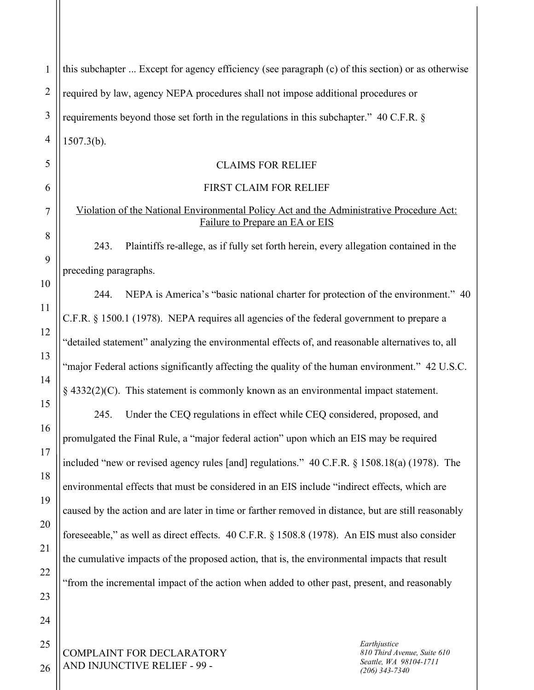| $\mathbf{1}$   | this subchapter  Except for agency efficiency (see paragraph (c) of this section) or as otherwise                           |
|----------------|-----------------------------------------------------------------------------------------------------------------------------|
| $\overline{2}$ | required by law, agency NEPA procedures shall not impose additional procedures or                                           |
| 3              | requirements beyond those set forth in the regulations in this subchapter." 40 C.F.R. §                                     |
| $\overline{4}$ | $1507.3(b)$ .                                                                                                               |
| 5              | <b>CLAIMS FOR RELIEF</b>                                                                                                    |
| 6              | FIRST CLAIM FOR RELIEF                                                                                                      |
| 7              | Violation of the National Environmental Policy Act and the Administrative Procedure Act:<br>Failure to Prepare an EA or EIS |
| 8<br>9         | Plaintiffs re-allege, as if fully set forth herein, every allegation contained in the<br>243.                               |
| 10             | preceding paragraphs.                                                                                                       |
| 11             | NEPA is America's "basic national charter for protection of the environment." 40<br>244.                                    |
|                | C.F.R. § 1500.1 (1978). NEPA requires all agencies of the federal government to prepare a                                   |
| 12             | "detailed statement" analyzing the environmental effects of, and reasonable alternatives to, all                            |
| 13             | "major Federal actions significantly affecting the quality of the human environment." 42 U.S.C.                             |
| 14             | $\S$ 4332(2)(C). This statement is commonly known as an environmental impact statement.                                     |
| 15             | Under the CEQ regulations in effect while CEQ considered, proposed, and<br>245.                                             |
| 16             | promulgated the Final Rule, a "major federal action" upon which an EIS may be required                                      |
| 17             | included "new or revised agency rules [and] regulations." 40 C.F.R. § 1508.18(a) (1978). The                                |
| 18             | environmental effects that must be considered in an EIS include "indirect effects, which are                                |
| 19             | caused by the action and are later in time or farther removed in distance, but are still reasonably                         |
| 20             | foreseeable," as well as direct effects. 40 C.F.R. § 1508.8 (1978). An EIS must also consider                               |
| 21             | the cumulative impacts of the proposed action, that is, the environmental impacts that result                               |
| 22             | "from the incremental impact of the action when added to other past, present, and reasonably                                |
| 23             |                                                                                                                             |
| 24             |                                                                                                                             |
| 25             | Earthjustice<br>COMPLAINT FOR DECLARATORY<br>810 Third Avenue, Suite 610                                                    |

 $_{26} \parallel$  AND INJUNCTIVE RELIEF - 99 -

*Seattle, WA 98104-1711 (206) 343-7340*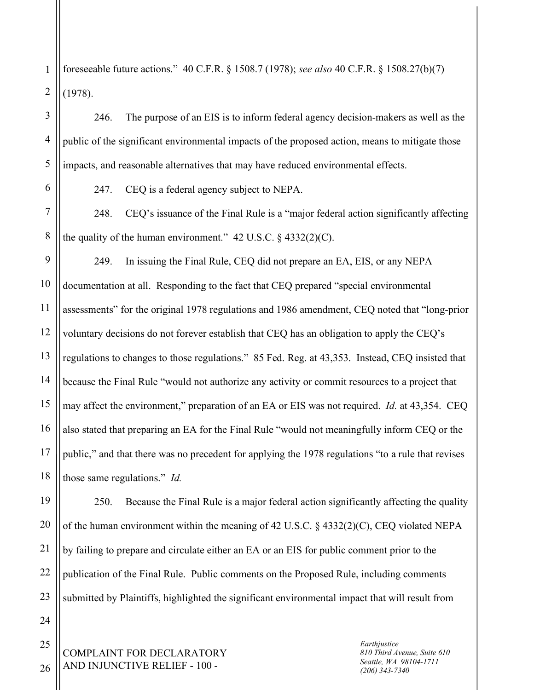1 2 foreseeable future actions." 40 C.F.R. § 1508.7 (1978); *see also* 40 C.F.R. § 1508.27(b)(7) (1978).

246. The purpose of an EIS is to inform federal agency decision-makers as well as the public of the significant environmental impacts of the proposed action, means to mitigate those impacts, and reasonable alternatives that may have reduced environmental effects.

3

4

5

6

7

8

247. CEQ is a federal agency subject to NEPA.

248. CEQ's issuance of the Final Rule is a "major federal action significantly affecting the quality of the human environment."  $42 \text{ U.S.C.} \$   $4332(2)(\text{C})$ .

9 10 11 12 13 14 15 16 17 18 249. In issuing the Final Rule, CEQ did not prepare an EA, EIS, or any NEPA documentation at all. Responding to the fact that CEQ prepared "special environmental assessments" for the original 1978 regulations and 1986 amendment, CEQ noted that "long-prior voluntary decisions do not forever establish that CEQ has an obligation to apply the CEQ's regulations to changes to those regulations." 85 Fed. Reg. at 43,353. Instead, CEQ insisted that because the Final Rule "would not authorize any activity or commit resources to a project that may affect the environment," preparation of an EA or EIS was not required. *Id.* at 43,354. CEQ also stated that preparing an EA for the Final Rule "would not meaningfully inform CEQ or the public," and that there was no precedent for applying the 1978 regulations "to a rule that revises those same regulations." *Id.*

250. Because the Final Rule is a major federal action significantly affecting the quality of the human environment within the meaning of 42 U.S.C. § 4332(2)(C), CEQ violated NEPA by failing to prepare and circulate either an EA or an EIS for public comment prior to the publication of the Final Rule. Public comments on the Proposed Rule, including comments submitted by Plaintiffs, highlighted the significant environmental impact that will result from

COMPLAINT FOR DECLARATORY AND INJUNCTIVE RELIEF - 100 -

*Earthjustice 810 Third Avenue, Suite 610 Seattle, WA 98104-1711 (206) 343-7340*

25 26

19

20

21

22

23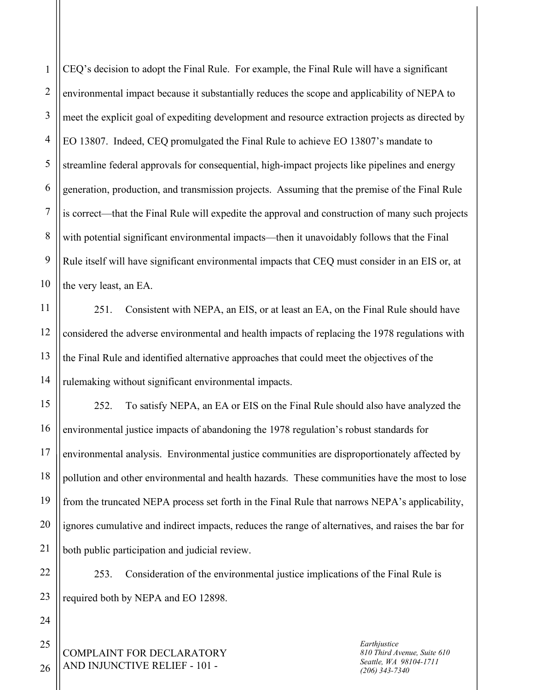1 2 3 4 5 6 7 8 9 10 CEQ's decision to adopt the Final Rule. For example, the Final Rule will have a significant environmental impact because it substantially reduces the scope and applicability of NEPA to meet the explicit goal of expediting development and resource extraction projects as directed by EO 13807. Indeed, CEQ promulgated the Final Rule to achieve EO 13807's mandate to streamline federal approvals for consequential, high-impact projects like pipelines and energy generation, production, and transmission projects. Assuming that the premise of the Final Rule is correct—that the Final Rule will expedite the approval and construction of many such projects with potential significant environmental impacts—then it unavoidably follows that the Final Rule itself will have significant environmental impacts that CEQ must consider in an EIS or, at the very least, an EA.

251. Consistent with NEPA, an EIS, or at least an EA, on the Final Rule should have considered the adverse environmental and health impacts of replacing the 1978 regulations with the Final Rule and identified alternative approaches that could meet the objectives of the rulemaking without significant environmental impacts.

15 16 17 18 19 20 21 252. To satisfy NEPA, an EA or EIS on the Final Rule should also have analyzed the environmental justice impacts of abandoning the 1978 regulation's robust standards for environmental analysis. Environmental justice communities are disproportionately affected by pollution and other environmental and health hazards. These communities have the most to lose from the truncated NEPA process set forth in the Final Rule that narrows NEPA's applicability, ignores cumulative and indirect impacts, reduces the range of alternatives, and raises the bar for both public participation and judicial review.

253. Consideration of the environmental justice implications of the Final Rule is required both by NEPA and EO 12898.

COMPLAINT FOR DECLARATORY AND INJUNCTIVE RELIEF - 101 -

*Earthjustice 810 Third Avenue, Suite 610 Seattle, WA 98104-1711 (206) 343-7340*

26

22

23

24

25

11

12

13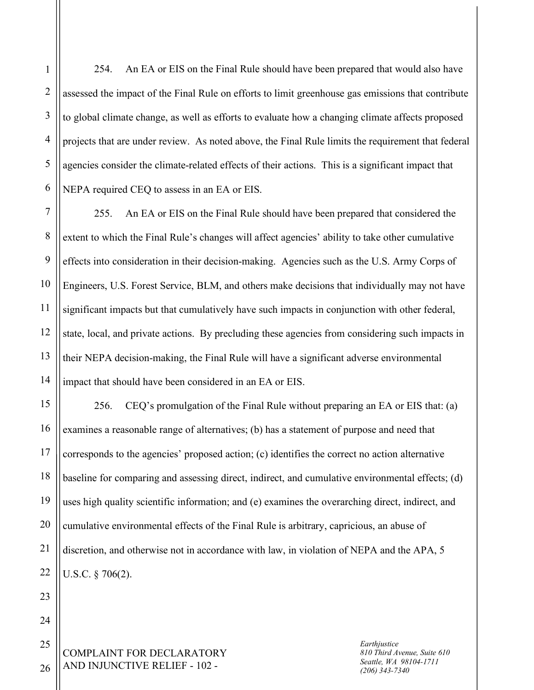1

254. An EA or EIS on the Final Rule should have been prepared that would also have assessed the impact of the Final Rule on efforts to limit greenhouse gas emissions that contribute to global climate change, as well as efforts to evaluate how a changing climate affects proposed projects that are under review. As noted above, the Final Rule limits the requirement that federal agencies consider the climate-related effects of their actions. This is a significant impact that NEPA required CEQ to assess in an EA or EIS.

255. An EA or EIS on the Final Rule should have been prepared that considered the extent to which the Final Rule's changes will affect agencies' ability to take other cumulative effects into consideration in their decision-making. Agencies such as the U.S. Army Corps of Engineers, U.S. Forest Service, BLM, and others make decisions that individually may not have significant impacts but that cumulatively have such impacts in conjunction with other federal, state, local, and private actions. By precluding these agencies from considering such impacts in their NEPA decision-making, the Final Rule will have a significant adverse environmental impact that should have been considered in an EA or EIS.

256. CEQ's promulgation of the Final Rule without preparing an EA or EIS that: (a) examines a reasonable range of alternatives; (b) has a statement of purpose and need that corresponds to the agencies' proposed action; (c) identifies the correct no action alternative baseline for comparing and assessing direct, indirect, and cumulative environmental effects; (d) uses high quality scientific information; and (e) examines the overarching direct, indirect, and cumulative environmental effects of the Final Rule is arbitrary, capricious, an abuse of discretion, and otherwise not in accordance with law, in violation of NEPA and the APA, 5 U.S.C. § 706(2).

COMPLAINT FOR DECLARATORY AND INJUNCTIVE RELIEF - 102 -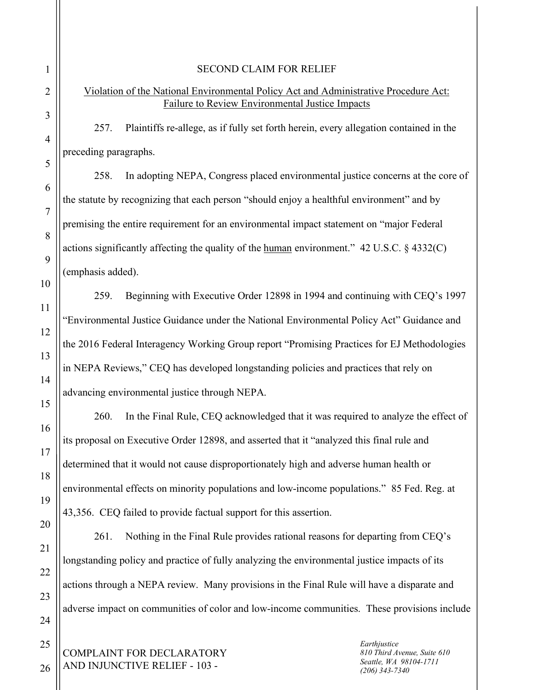#### SECOND CLAIM FOR RELIEF

# Violation of the National Environmental Policy Act and Administrative Procedure Act: Failure to Review Environmental Justice Impacts

257. Plaintiffs re-allege, as if fully set forth herein, every allegation contained in the preceding paragraphs.

258. In adopting NEPA, Congress placed environmental justice concerns at the core of the statute by recognizing that each person "should enjoy a healthful environment" and by premising the entire requirement for an environmental impact statement on "major Federal actions significantly affecting the quality of the <u>human</u> environment."  $42 \text{ U.S.C.}$  §  $4332(\text{C})$ (emphasis added).

259. Beginning with Executive Order 12898 in 1994 and continuing with CEQ's 1997 "Environmental Justice Guidance under the National Environmental Policy Act" Guidance and the 2016 Federal Interagency Working Group report "Promising Practices for EJ Methodologies in NEPA Reviews," CEQ has developed longstanding policies and practices that rely on advancing environmental justice through NEPA.

260. In the Final Rule, CEQ acknowledged that it was required to analyze the effect of its proposal on Executive Order 12898, and asserted that it "analyzed this final rule and determined that it would not cause disproportionately high and adverse human health or environmental effects on minority populations and low-income populations." 85 Fed. Reg. at 43,356. CEQ failed to provide factual support for this assertion.

261. Nothing in the Final Rule provides rational reasons for departing from CEQ's longstanding policy and practice of fully analyzing the environmental justice impacts of its actions through a NEPA review. Many provisions in the Final Rule will have a disparate and adverse impact on communities of color and low-income communities. These provisions include

COMPLAINT FOR DECLARATORY AND INJUNCTIVE RELIEF - 103 -

*Earthjustice 810 Third Avenue, Suite 610 Seattle, WA 98104-1711 (206) 343-7340*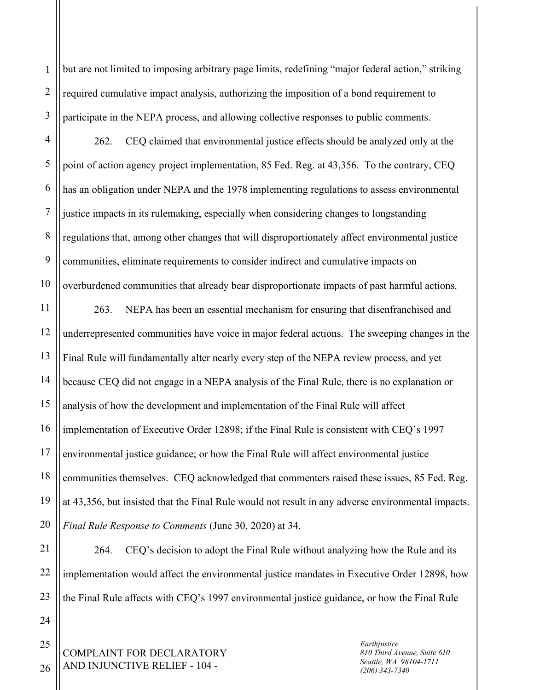2 3 but are not limited to imposing arbitrary page limits, redefining "major federal action," striking required cumulative impact analysis, authorizing the imposition of a bond requirement to participate in the NEPA process, and allowing collective responses to public comments.

4 5 6 7 8 9 10 262. CEQ claimed that environmental justice effects should be analyzed only at the point of action agency project implementation, 85 Fed. Reg. at 43,356. To the contrary, CEQ has an obligation under NEPA and the 1978 implementing regulations to assess environmental justice impacts in its rulemaking, especially when considering changes to longstanding regulations that, among other changes that will disproportionately affect environmental justice communities, eliminate requirements to consider indirect and cumulative impacts on overburdened communities that already bear disproportionate impacts of past harmful actions.

11 12 13 14 15 16 17 18 19 20 263. NEPA has been an essential mechanism for ensuring that disenfranchised and underrepresented communities have voice in major federal actions. The sweeping changes in the Final Rule will fundamentally alter nearly every step of the NEPA review process, and yet because CEQ did not engage in a NEPA analysis of the Final Rule, there is no explanation or analysis of how the development and implementation of the Final Rule will affect implementation of Executive Order 12898; if the Final Rule is consistent with CEQ's 1997 environmental justice guidance; or how the Final Rule will affect environmental justice communities themselves. CEQ acknowledged that commenters raised these issues, 85 Fed. Reg. at 43,356, but insisted that the Final Rule would not result in any adverse environmental impacts. *Final Rule Response to Comments* (June 30, 2020) at 34.

21 22 23 264. CEQ's decision to adopt the Final Rule without analyzing how the Rule and its implementation would affect the environmental justice mandates in Executive Order 12898, how the Final Rule affects with CEQ's 1997 environmental justice guidance, or how the Final Rule

COMPLAINT FOR DECLARATORY AND INJUNCTIVE RELIEF - 104 -

*Earthjustice 810 Third Avenue, Suite 610 Seattle, WA 98104-1711 (206) 343-7340*

26

24

25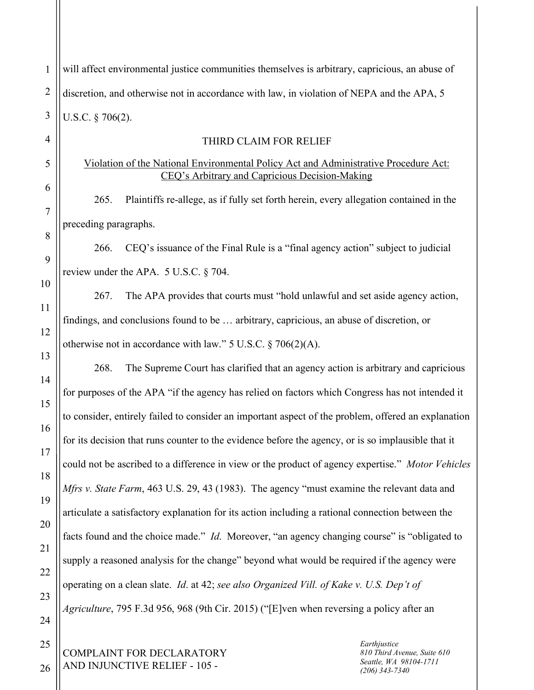| $\mathbf{1}$   | will affect environmental justice communities themselves is arbitrary, capricious, an abuse of                                          |
|----------------|-----------------------------------------------------------------------------------------------------------------------------------------|
| $\overline{2}$ | discretion, and otherwise not in accordance with law, in violation of NEPA and the APA, 5                                               |
| 3              | U.S.C. $\S$ 706(2).                                                                                                                     |
| $\overline{4}$ | THIRD CLAIM FOR RELIEF                                                                                                                  |
| 5              | Violation of the National Environmental Policy Act and Administrative Procedure Act:<br>CEQ's Arbitrary and Capricious Decision-Making  |
| 6              | Plaintiffs re-allege, as if fully set forth herein, every allegation contained in the<br>265.                                           |
| $\overline{7}$ | preceding paragraphs.                                                                                                                   |
| 8              | CEQ's issuance of the Final Rule is a "final agency action" subject to judicial<br>266.                                                 |
| 9              | review under the APA. 5 U.S.C. § 704.                                                                                                   |
| 10             | The APA provides that courts must "hold unlawful and set aside agency action,<br>267.                                                   |
| 11<br>12       | findings, and conclusions found to be  arbitrary, capricious, an abuse of discretion, or                                                |
| 13             | otherwise not in accordance with law." $5$ U.S.C. $\S$ 706(2)(A).                                                                       |
| 14             | The Supreme Court has clarified that an agency action is arbitrary and capricious<br>268.                                               |
| 15             | for purposes of the APA "if the agency has relied on factors which Congress has not intended it                                         |
| 16             | to consider, entirely failed to consider an important aspect of the problem, offered an explanation                                     |
| 17             | for its decision that runs counter to the evidence before the agency, or is so implausible that it                                      |
| 18             | could not be ascribed to a difference in view or the product of agency expertise." Motor Vehicles                                       |
| 19             | Mfrs v. State Farm, 463 U.S. 29, 43 (1983). The agency "must examine the relevant data and                                              |
| 20             | articulate a satisfactory explanation for its action including a rational connection between the                                        |
| 21             | facts found and the choice made." <i>Id.</i> Moreover, "an agency changing course" is "obligated to                                     |
| 22             | supply a reasoned analysis for the change" beyond what would be required if the agency were                                             |
| 23             | operating on a clean slate. Id. at 42; see also Organized Vill. of Kake v. U.S. Dep't of                                                |
| 24             | <i>Agriculture</i> , 795 F.3d 956, 968 (9th Cir. 2015) ("[E]ven when reversing a policy after an                                        |
| 25             | Earthjustice                                                                                                                            |
| 26             | COMPLAINT FOR DECLARATORY<br>810 Third Avenue, Suite 610<br>Seattle, WA 98104-1711<br>AND INJUNCTIVE RELIEF - 105 -<br>$(206)$ 343-7340 |
|                |                                                                                                                                         |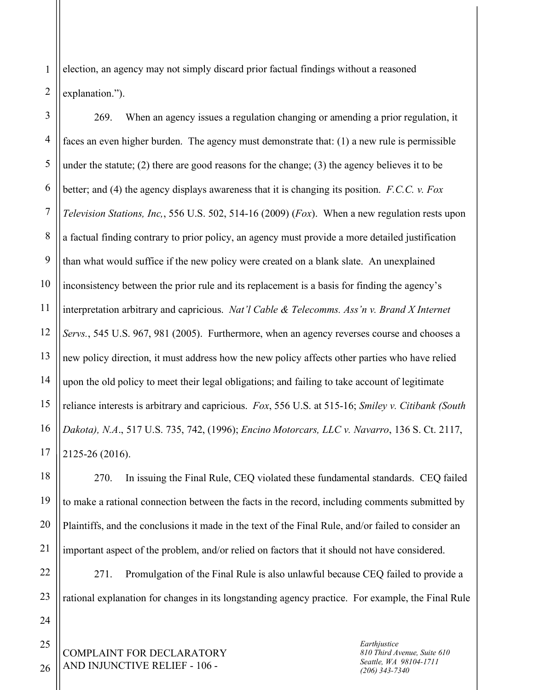1 2 election, an agency may not simply discard prior factual findings without a reasoned explanation.").

3 4 5 6 7 8 9 10 11 12 13 14 15 16 17 269. When an agency issues a regulation changing or amending a prior regulation, it faces an even higher burden. The agency must demonstrate that: (1) a new rule is permissible under the statute; (2) there are good reasons for the change; (3) the agency believes it to be better; and (4) the agency displays awareness that it is changing its position. *F.C.C. v. Fox Television Stations, Inc,*, 556 U.S. 502, 514-16 (2009) (*Fox*). When a new regulation rests upon a factual finding contrary to prior policy, an agency must provide a more detailed justification than what would suffice if the new policy were created on a blank slate. An unexplained inconsistency between the prior rule and its replacement is a basis for finding the agency's interpretation arbitrary and capricious. *Nat'l Cable & Telecomms. Ass'n v. Brand X Internet Servs.*, 545 U.S. 967, 981 (2005). Furthermore, when an agency reverses course and chooses a new policy direction, it must address how the new policy affects other parties who have relied upon the old policy to meet their legal obligations; and failing to take account of legitimate reliance interests is arbitrary and capricious. *Fox*, 556 U.S. at 515-16; *Smiley v. Citibank (South Dakota), N.A*., 517 U.S. 735, 742, (1996); *Encino Motorcars, LLC v. Navarro*, 136 S. Ct. 2117, 2125-26 (2016).

18 270. In issuing the Final Rule, CEQ violated these fundamental standards. CEQ failed to make a rational connection between the facts in the record, including comments submitted by Plaintiffs, and the conclusions it made in the text of the Final Rule, and/or failed to consider an important aspect of the problem, and/or relied on factors that it should not have considered.

22 23 271. Promulgation of the Final Rule is also unlawful because CEQ failed to provide a rational explanation for changes in its longstanding agency practice. For example, the Final Rule

COMPLAINT FOR DECLARATORY AND INJUNCTIVE RELIEF - 106 -

*Earthjustice 810 Third Avenue, Suite 610 Seattle, WA 98104-1711 (206) 343-7340*

26

24

25

19

20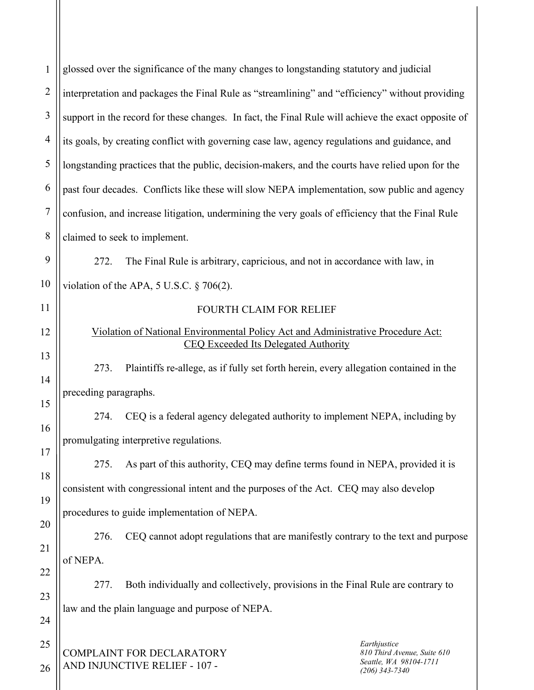| $\mathbf{1}$   | glossed over the significance of the many changes to longstanding statutory and judicial                                        |
|----------------|---------------------------------------------------------------------------------------------------------------------------------|
| $\overline{2}$ | interpretation and packages the Final Rule as "streamlining" and "efficiency" without providing                                 |
| 3              | support in the record for these changes. In fact, the Final Rule will achieve the exact opposite of                             |
| $\overline{4}$ | its goals, by creating conflict with governing case law, agency regulations and guidance, and                                   |
| 5              | longstanding practices that the public, decision-makers, and the courts have relied upon for the                                |
| 6              | past four decades. Conflicts like these will slow NEPA implementation, sow public and agency                                    |
| $\overline{7}$ | confusion, and increase litigation, undermining the very goals of efficiency that the Final Rule                                |
| 8              | claimed to seek to implement.                                                                                                   |
| 9              | The Final Rule is arbitrary, capricious, and not in accordance with law, in<br>272.                                             |
| 10             | violation of the APA, 5 U.S.C. § 706(2).                                                                                        |
| 11             | <b>FOURTH CLAIM FOR RELIEF</b>                                                                                                  |
| 12             | Violation of National Environmental Policy Act and Administrative Procedure Act:<br><b>CEQ Exceeded Its Delegated Authority</b> |
| 13             | Plaintiffs re-allege, as if fully set forth herein, every allegation contained in the<br>273.                                   |
| 14             | preceding paragraphs.                                                                                                           |
| 15             | CEQ is a federal agency delegated authority to implement NEPA, including by<br>274.                                             |
| 16             | promulgating interpretive regulations.                                                                                          |
| 17             | As part of this authority, CEQ may define terms found in NEPA, provided it is<br>275.                                           |
| 18             | consistent with congressional intent and the purposes of the Act. CEQ may also develop                                          |
| 19             | procedures to guide implementation of NEPA.                                                                                     |
| 20             | CEQ cannot adopt regulations that are manifestly contrary to the text and purpose<br>276.                                       |
| 21             | of NEPA.                                                                                                                        |
| 22<br>23       | Both individually and collectively, provisions in the Final Rule are contrary to<br>277.                                        |
| 24             | law and the plain language and purpose of NEPA.                                                                                 |
| 25             | Earthjustice                                                                                                                    |
| 26             | COMPLAINT FOR DECLARATORY<br>810 Third Avenue, Suite 610<br>Seattle, WA 98104-1711<br>AND INJUNCTIVE RELIEF - 107 -             |
|                | $(206)$ 343-7340                                                                                                                |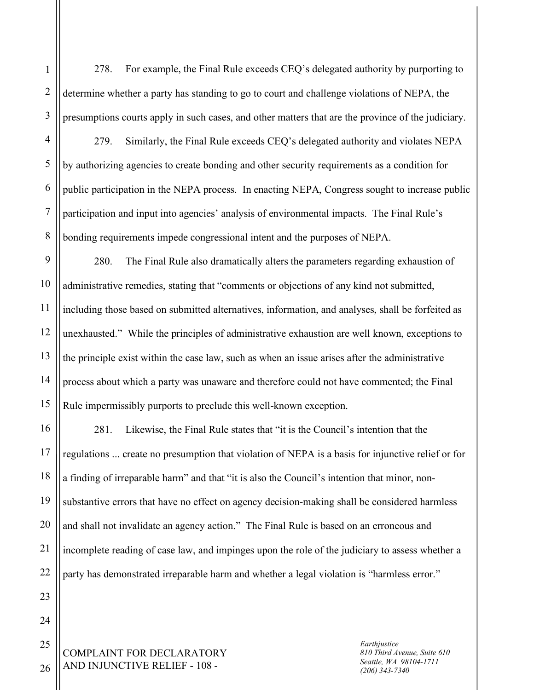278. For example, the Final Rule exceeds CEQ's delegated authority by purporting to determine whether a party has standing to go to court and challenge violations of NEPA, the presumptions courts apply in such cases, and other matters that are the province of the judiciary.

279. Similarly, the Final Rule exceeds CEQ's delegated authority and violates NEPA by authorizing agencies to create bonding and other security requirements as a condition for public participation in the NEPA process. In enacting NEPA, Congress sought to increase public participation and input into agencies' analysis of environmental impacts. The Final Rule's bonding requirements impede congressional intent and the purposes of NEPA.

9 10 11 12 13 14 15 280. The Final Rule also dramatically alters the parameters regarding exhaustion of administrative remedies, stating that "comments or objections of any kind not submitted, including those based on submitted alternatives, information, and analyses, shall be forfeited as unexhausted." While the principles of administrative exhaustion are well known, exceptions to the principle exist within the case law, such as when an issue arises after the administrative process about which a party was unaware and therefore could not have commented; the Final Rule impermissibly purports to preclude this well-known exception.

16 17 18 19 20 21 22 281. Likewise, the Final Rule states that "it is the Council's intention that the regulations ... create no presumption that violation of NEPA is a basis for injunctive relief or for a finding of irreparable harm" and that "it is also the Council's intention that minor, nonsubstantive errors that have no effect on agency decision-making shall be considered harmless and shall not invalidate an agency action." The Final Rule is based on an erroneous and incomplete reading of case law, and impinges upon the role of the judiciary to assess whether a party has demonstrated irreparable harm and whether a legal violation is "harmless error."

COMPLAINT FOR DECLARATORY AND INJUNCTIVE RELIEF - 108 -

*Earthjustice 810 Third Avenue, Suite 610 Seattle, WA 98104-1711 (206) 343-7340*

26

23

24

25

1

2

3

4

5

6

7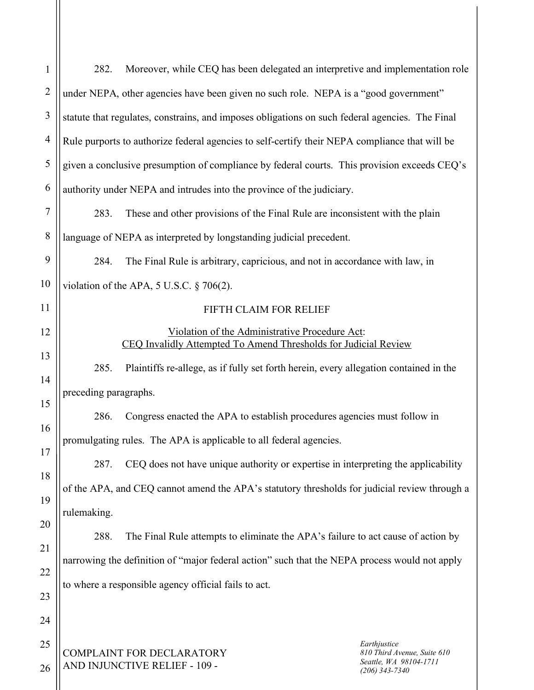| $\mathbf{1}$   | Moreover, while CEQ has been delegated an interpretive and implementation role<br>282.                                                                         |  |  |  |  |  |
|----------------|----------------------------------------------------------------------------------------------------------------------------------------------------------------|--|--|--|--|--|
| $\overline{2}$ | under NEPA, other agencies have been given no such role. NEPA is a "good government"                                                                           |  |  |  |  |  |
| $\mathfrak{Z}$ | statute that regulates, constrains, and imposes obligations on such federal agencies. The Final                                                                |  |  |  |  |  |
| $\overline{4}$ | Rule purports to authorize federal agencies to self-certify their NEPA compliance that will be                                                                 |  |  |  |  |  |
| 5              | given a conclusive presumption of compliance by federal courts. This provision exceeds CEQ's                                                                   |  |  |  |  |  |
| 6              | authority under NEPA and intrudes into the province of the judiciary.                                                                                          |  |  |  |  |  |
| 7              | These and other provisions of the Final Rule are inconsistent with the plain<br>283.                                                                           |  |  |  |  |  |
| 8              | language of NEPA as interpreted by longstanding judicial precedent.                                                                                            |  |  |  |  |  |
| 9              | The Final Rule is arbitrary, capricious, and not in accordance with law, in<br>284.                                                                            |  |  |  |  |  |
| 10             | violation of the APA, $5$ U.S.C. $\frac{6}{5}$ 706(2).                                                                                                         |  |  |  |  |  |
| 11             | FIFTH CLAIM FOR RELIEF                                                                                                                                         |  |  |  |  |  |
| 12             | Violation of the Administrative Procedure Act:                                                                                                                 |  |  |  |  |  |
| 13             | <b>CEQ Invalidly Attempted To Amend Thresholds for Judicial Review</b>                                                                                         |  |  |  |  |  |
| 14             | 285.<br>Plaintiffs re-allege, as if fully set forth herein, every allegation contained in the                                                                  |  |  |  |  |  |
| 15             | preceding paragraphs.                                                                                                                                          |  |  |  |  |  |
| 16             | Congress enacted the APA to establish procedures agencies must follow in<br>286.                                                                               |  |  |  |  |  |
| 17             | promulgating rules. The APA is applicable to all federal agencies.                                                                                             |  |  |  |  |  |
| 18             | CEQ does not have unique authority or expertise in interpreting the applicability<br>287.                                                                      |  |  |  |  |  |
| 19             | of the APA, and CEQ cannot amend the APA's statutory thresholds for judicial review through a                                                                  |  |  |  |  |  |
| 20             | rulemaking.                                                                                                                                                    |  |  |  |  |  |
| 21             | 288.<br>The Final Rule attempts to eliminate the APA's failure to act cause of action by                                                                       |  |  |  |  |  |
|                | narrowing the definition of "major federal action" such that the NEPA process would not apply<br>to where a responsible agency official fails to act.          |  |  |  |  |  |
| 22             |                                                                                                                                                                |  |  |  |  |  |
| 23             |                                                                                                                                                                |  |  |  |  |  |
| 24             |                                                                                                                                                                |  |  |  |  |  |
| 25<br>26       | Earthjustice<br><b>COMPLAINT FOR DECLARATORY</b><br>810 Third Avenue, Suite 610<br>Seattle, WA 98104-1711<br>AND INJUNCTIVE RELIEF - 109 -<br>$(206)$ 343-7340 |  |  |  |  |  |
|                |                                                                                                                                                                |  |  |  |  |  |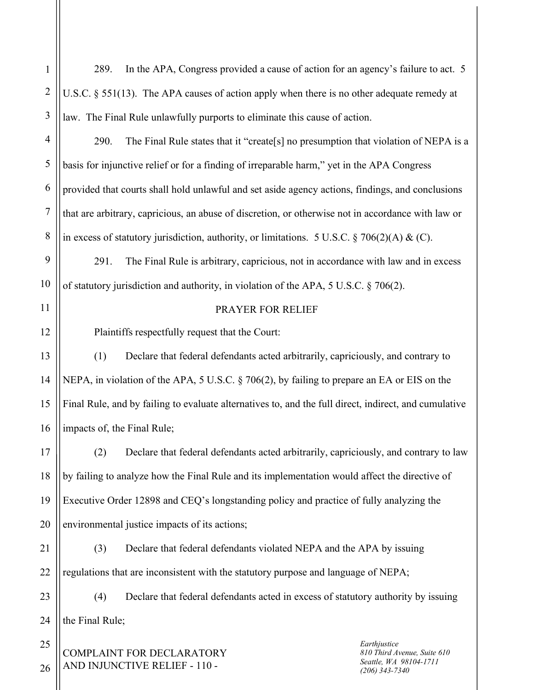289. In the APA, Congress provided a cause of action for an agency's failure to act. 5 U.S.C. § 551(13). The APA causes of action apply when there is no other adequate remedy at law. The Final Rule unlawfully purports to eliminate this cause of action.

290. The Final Rule states that it "create[s] no presumption that violation of NEPA is a basis for injunctive relief or for a finding of irreparable harm," yet in the APA Congress provided that courts shall hold unlawful and set aside agency actions, findings, and conclusions that are arbitrary, capricious, an abuse of discretion, or otherwise not in accordance with law or in excess of statutory jurisdiction, authority, or limitations. 5 U.S.C. § 706(2)(A) & (C).

291. The Final Rule is arbitrary, capricious, not in accordance with law and in excess of statutory jurisdiction and authority, in violation of the APA, 5 U.S.C. § 706(2).

## PRAYER FOR RELIEF

Plaintiffs respectfully request that the Court:

13 14 15 16 (1) Declare that federal defendants acted arbitrarily, capriciously, and contrary to NEPA, in violation of the APA, 5 U.S.C. § 706(2), by failing to prepare an EA or EIS on the Final Rule, and by failing to evaluate alternatives to, and the full direct, indirect, and cumulative impacts of, the Final Rule;

17 18 19 20 (2) Declare that federal defendants acted arbitrarily, capriciously, and contrary to law by failing to analyze how the Final Rule and its implementation would affect the directive of Executive Order 12898 and CEQ's longstanding policy and practice of fully analyzing the environmental justice impacts of its actions;

21 22 (3) Declare that federal defendants violated NEPA and the APA by issuing regulations that are inconsistent with the statutory purpose and language of NEPA;

23 (4) Declare that federal defendants acted in excess of statutory authority by issuing the Final Rule;

COMPLAINT FOR DECLARATORY AND INJUNCTIVE RELIEF - 110 -

*Earthjustice 810 Third Avenue, Suite 610 Seattle, WA 98104-1711 (206) 343-7340*

24 25

26

1

2

3

4

5

6

7

8

9

10

11

12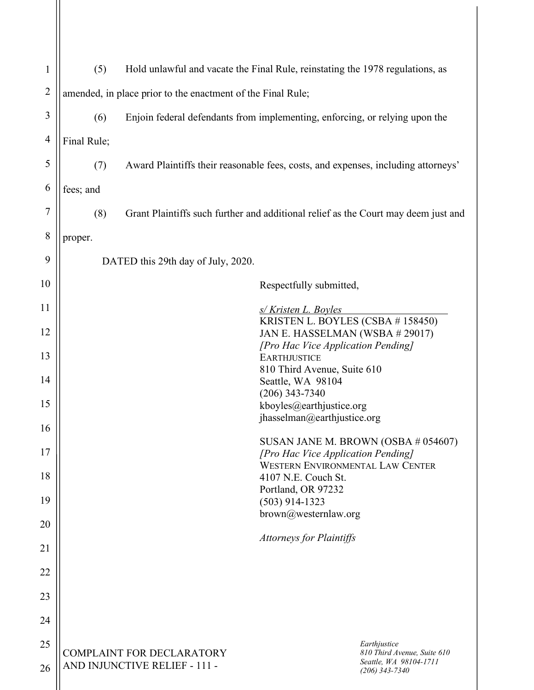| $\mathbf{1}$   | (5)<br>Hold unlawful and vacate the Final Rule, reinstating the 1978 regulations, as |                                                                                    |  |                                                                           |  |  |  |
|----------------|--------------------------------------------------------------------------------------|------------------------------------------------------------------------------------|--|---------------------------------------------------------------------------|--|--|--|
| $\overline{2}$ | amended, in place prior to the enactment of the Final Rule;                          |                                                                                    |  |                                                                           |  |  |  |
| 3              | (6)<br>Enjoin federal defendants from implementing, enforcing, or relying upon the   |                                                                                    |  |                                                                           |  |  |  |
| 4              | Final Rule;                                                                          |                                                                                    |  |                                                                           |  |  |  |
| 5              | (7)                                                                                  | Award Plaintiffs their reasonable fees, costs, and expenses, including attorneys'  |  |                                                                           |  |  |  |
| 6              | fees; and                                                                            |                                                                                    |  |                                                                           |  |  |  |
| 7              | (8)                                                                                  | Grant Plaintiffs such further and additional relief as the Court may deem just and |  |                                                                           |  |  |  |
| 8              | proper.                                                                              |                                                                                    |  |                                                                           |  |  |  |
| 9              | DATED this 29th day of July, 2020.                                                   |                                                                                    |  |                                                                           |  |  |  |
| 10             | Respectfully submitted,                                                              |                                                                                    |  |                                                                           |  |  |  |
| 11             | s/Kristen L. Boyles                                                                  |                                                                                    |  |                                                                           |  |  |  |
| 12             | KRISTEN L. BOYLES (CSBA # 158450)<br>JAN E. HASSELMAN (WSBA # 29017)                 |                                                                                    |  |                                                                           |  |  |  |
| 13             |                                                                                      | [Pro Hac Vice Application Pending]<br><b>EARTHJUSTICE</b>                          |  |                                                                           |  |  |  |
| 14             | 810 Third Avenue, Suite 610<br>Seattle, WA 98104                                     |                                                                                    |  |                                                                           |  |  |  |
| 15             | $(206)$ 343-7340<br>kboyles@earthjustice.org                                         |                                                                                    |  |                                                                           |  |  |  |
| 16             | jhasselman@earthjustice.org                                                          |                                                                                    |  |                                                                           |  |  |  |
| 17             | SUSAN JANE M. BROWN (OSBA # 054607)<br>[Pro Hac Vice Application Pending]            |                                                                                    |  |                                                                           |  |  |  |
| 18             | <b>WESTERN ENVIRONMENTAL LAW CENTER</b><br>4107 N.E. Couch St.                       |                                                                                    |  |                                                                           |  |  |  |
| 19             | Portland, OR 97232<br>$(503)$ 914-1323                                               |                                                                                    |  |                                                                           |  |  |  |
| 20             | brown@westernlaw.org                                                                 |                                                                                    |  |                                                                           |  |  |  |
| 21             | <b>Attorneys for Plaintiffs</b>                                                      |                                                                                    |  |                                                                           |  |  |  |
| 22             |                                                                                      |                                                                                    |  |                                                                           |  |  |  |
| 23             |                                                                                      |                                                                                    |  |                                                                           |  |  |  |
| 24             |                                                                                      |                                                                                    |  |                                                                           |  |  |  |
| 25             |                                                                                      |                                                                                    |  | Earthjustice                                                              |  |  |  |
| 26             | <b>COMPLAINT FOR DECLARATORY</b><br>AND INJUNCTIVE RELIEF - 111 -                    |                                                                                    |  | 810 Third Avenue, Suite 610<br>Seattle, WA 98104-1711<br>$(206)$ 343-7340 |  |  |  |
|                |                                                                                      |                                                                                    |  |                                                                           |  |  |  |